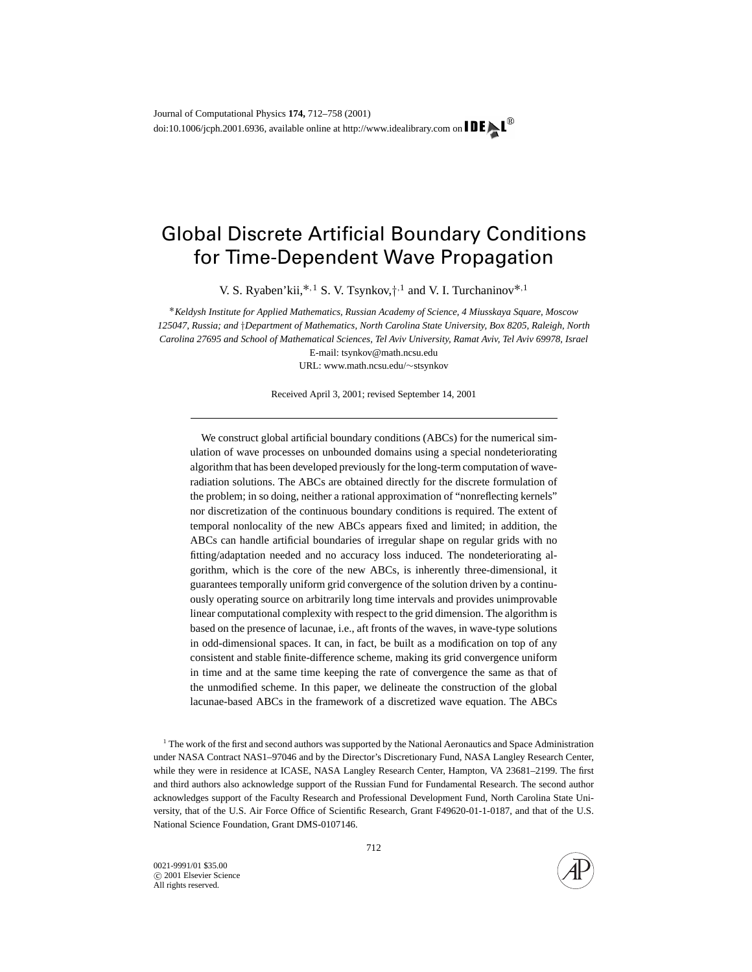# Global Discrete Artificial Boundary Conditions for Time-Dependent Wave Propagation

V. S. Ryaben'kii,∗,<sup>1</sup> S. V. Tsynkov,†,<sup>1</sup> and V. I. Turchaninov∗,<sup>1</sup>

∗*Keldysh Institute for Applied Mathematics, Russian Academy of Science, 4 Miusskaya Square, Moscow 125047, Russia; and* †*Department of Mathematics, North Carolina State University, Box 8205, Raleigh, North Carolina 27695 and School of Mathematical Sciences, Tel Aviv University, Ramat Aviv, Tel Aviv 69978, Israel* E-mail: tsynkov@math.ncsu.edu

URL: www.math.ncsu.edu/∼stsynkov

Received April 3, 2001; revised September 14, 2001

We construct global artificial boundary conditions (ABCs) for the numerical simulation of wave processes on unbounded domains using a special nondeteriorating algorithm that has been developed previously for the long-term computation of waveradiation solutions. The ABCs are obtained directly for the discrete formulation of the problem; in so doing, neither a rational approximation of "nonreflecting kernels" nor discretization of the continuous boundary conditions is required. The extent of temporal nonlocality of the new ABCs appears fixed and limited; in addition, the ABCs can handle artificial boundaries of irregular shape on regular grids with no fitting/adaptation needed and no accuracy loss induced. The nondeteriorating algorithm, which is the core of the new ABCs, is inherently three-dimensional, it guarantees temporally uniform grid convergence of the solution driven by a continuously operating source on arbitrarily long time intervals and provides unimprovable linear computational complexity with respect to the grid dimension. The algorithm is based on the presence of lacunae, i.e., aft fronts of the waves, in wave-type solutions in odd-dimensional spaces. It can, in fact, be built as a modification on top of any consistent and stable finite-difference scheme, making its grid convergence uniform in time and at the same time keeping the rate of convergence the same as that of the unmodified scheme. In this paper, we delineate the construction of the global lacunae-based ABCs in the framework of a discretized wave equation. The ABCs

<sup>1</sup> The work of the first and second authors was supported by the National Aeronautics and Space Administration under NASA Contract NAS1–97046 and by the Director's Discretionary Fund, NASA Langley Research Center, while they were in residence at ICASE, NASA Langley Research Center, Hampton, VA 23681–2199. The first and third authors also acknowledge support of the Russian Fund for Fundamental Research. The second author acknowledges support of the Faculty Research and Professional Development Fund, North Carolina State University, that of the U.S. Air Force Office of Scientific Research, Grant F49620-01-1-0187, and that of the U.S. National Science Foundation, Grant DMS-0107146.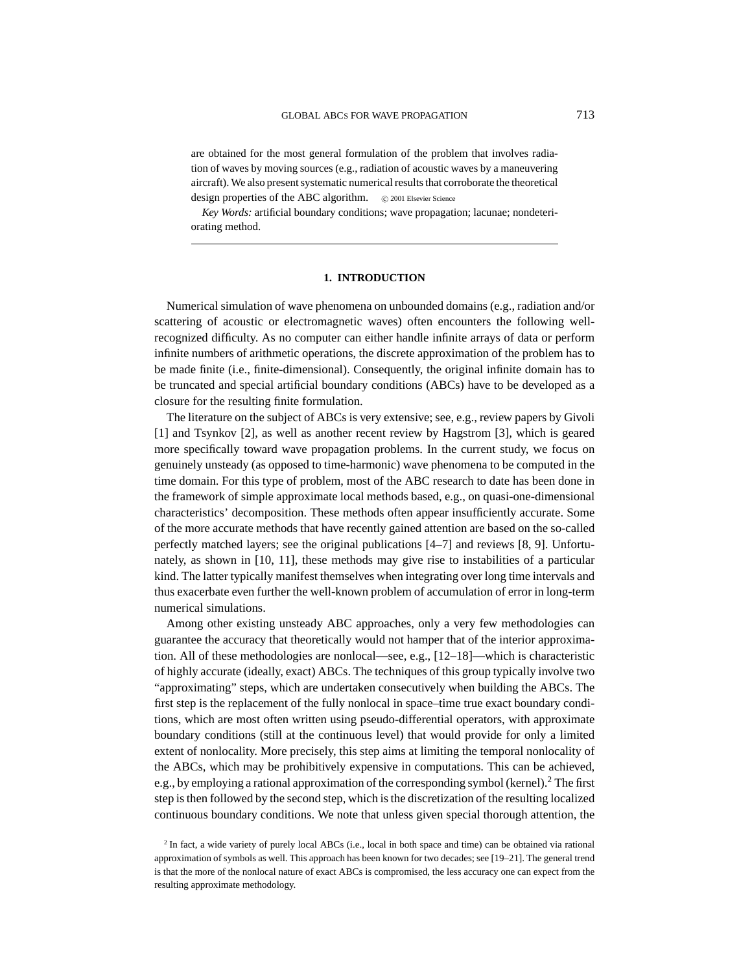are obtained for the most general formulation of the problem that involves radiation of waves by moving sources (e.g., radiation of acoustic waves by a maneuvering aircraft). We also present systematic numerical results that corroborate the theoretical design properties of the ABC algorithm.  $\circ$  2001 Elsevier Science

*Key Words:* artificial boundary conditions; wave propagation; lacunae; nondeteriorating method.

# **1. INTRODUCTION**

Numerical simulation of wave phenomena on unbounded domains (e.g., radiation and/or scattering of acoustic or electromagnetic waves) often encounters the following wellrecognized difficulty. As no computer can either handle infinite arrays of data or perform infinite numbers of arithmetic operations, the discrete approximation of the problem has to be made finite (i.e., finite-dimensional). Consequently, the original infinite domain has to be truncated and special artificial boundary conditions (ABCs) have to be developed as a closure for the resulting finite formulation.

The literature on the subject of ABCs is very extensive; see, e.g., review papers by Givoli [1] and Tsynkov [2], as well as another recent review by Hagstrom [3], which is geared more specifically toward wave propagation problems. In the current study, we focus on genuinely unsteady (as opposed to time-harmonic) wave phenomena to be computed in the time domain. For this type of problem, most of the ABC research to date has been done in the framework of simple approximate local methods based, e.g., on quasi-one-dimensional characteristics' decomposition. These methods often appear insufficiently accurate. Some of the more accurate methods that have recently gained attention are based on the so-called perfectly matched layers; see the original publications [4–7] and reviews [8, 9]. Unfortunately, as shown in [10, 11], these methods may give rise to instabilities of a particular kind. The latter typically manifest themselves when integrating over long time intervals and thus exacerbate even further the well-known problem of accumulation of error in long-term numerical simulations.

Among other existing unsteady ABC approaches, only a very few methodologies can guarantee the accuracy that theoretically would not hamper that of the interior approximation. All of these methodologies are nonlocal—see, e.g., [12–18]—which is characteristic of highly accurate (ideally, exact) ABCs. The techniques of this group typically involve two "approximating" steps, which are undertaken consecutively when building the ABCs. The first step is the replacement of the fully nonlocal in space–time true exact boundary conditions, which are most often written using pseudo-differential operators, with approximate boundary conditions (still at the continuous level) that would provide for only a limited extent of nonlocality. More precisely, this step aims at limiting the temporal nonlocality of the ABCs, which may be prohibitively expensive in computations. This can be achieved, e.g., by employing a rational approximation of the corresponding symbol (kernel).<sup>2</sup> The first step is then followed by the second step, which is the discretization of the resulting localized continuous boundary conditions. We note that unless given special thorough attention, the

 $2$  In fact, a wide variety of purely local ABCs (i.e., local in both space and time) can be obtained via rational approximation of symbols as well. This approach has been known for two decades; see [19–21]. The general trend is that the more of the nonlocal nature of exact ABCs is compromised, the less accuracy one can expect from the resulting approximate methodology.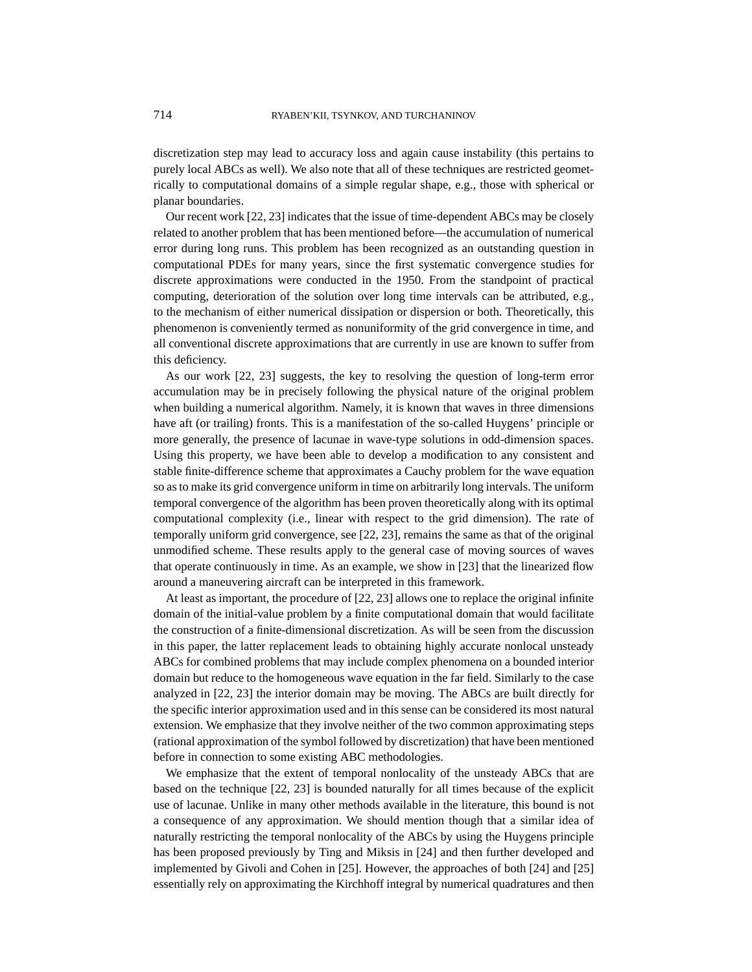discretization step may lead to accuracy loss and again cause instability (this pertains to purely local ABCs as well). We also note that all of these techniques are restricted geometrically to computational domains of a simple regular shape, e.g., those with spherical or planar boundaries.

Our recent work [22, 23] indicates that the issue of time-dependent ABCs may be closely related to another problem that has been mentioned before—the accumulation of numerical error during long runs. This problem has been recognized as an outstanding question in computational PDEs for many years, since the first systematic convergence studies for discrete approximations were conducted in the 1950. From the standpoint of practical computing, deterioration of the solution over long time intervals can be attributed, e.g., to the mechanism of either numerical dissipation or dispersion or both. Theoretically, this phenomenon is conveniently termed as nonuniformity of the grid convergence in time, and all conventional discrete approximations that are currently in use are known to suffer from this deficiency.

As our work [22, 23] suggests, the key to resolving the question of long-term error accumulation may be in precisely following the physical nature of the original problem when building a numerical algorithm. Namely, it is known that waves in three dimensions have aft (or trailing) fronts. This is a manifestation of the so-called Huygens' principle or more generally, the presence of lacunae in wave-type solutions in odd-dimension spaces. Using this property, we have been able to develop a modification to any consistent and stable finite-difference scheme that approximates a Cauchy problem for the wave equation so as to make its grid convergence uniform in time on arbitrarily long intervals. The uniform temporal convergence of the algorithm has been proven theoretically along with its optimal computational complexity (i.e., linear with respect to the grid dimension). The rate of temporally uniform grid convergence, see [22, 23], remains the same as that of the original unmodified scheme. These results apply to the general case of moving sources of waves that operate continuously in time. As an example, we show in [23] that the linearized flow around a maneuvering aircraft can be interpreted in this framework.

At least as important, the procedure of [22, 23] allows one to replace the original infinite domain of the initial-value problem by a finite computational domain that would facilitate the construction of a finite-dimensional discretization. As will be seen from the discussion in this paper, the latter replacement leads to obtaining highly accurate nonlocal unsteady ABCs for combined problems that may include complex phenomena on a bounded interior domain but reduce to the homogeneous wave equation in the far field. Similarly to the case analyzed in [22, 23] the interior domain may be moving. The ABCs are built directly for the specific interior approximation used and in this sense can be considered its most natural extension. We emphasize that they involve neither of the two common approximating steps (rational approximation of the symbol followed by discretization) that have been mentioned before in connection to some existing ABC methodologies.

We emphasize that the extent of temporal nonlocality of the unsteady ABCs that are based on the technique [22, 23] is bounded naturally for all times because of the explicit use of lacunae. Unlike in many other methods available in the literature, this bound is not a consequence of any approximation. We should mention though that a similar idea of naturally restricting the temporal nonlocality of the ABCs by using the Huygens principle has been proposed previously by Ting and Miksis in [24] and then further developed and implemented by Givoli and Cohen in [25]. However, the approaches of both [24] and [25] essentially rely on approximating the Kirchhoff integral by numerical quadratures and then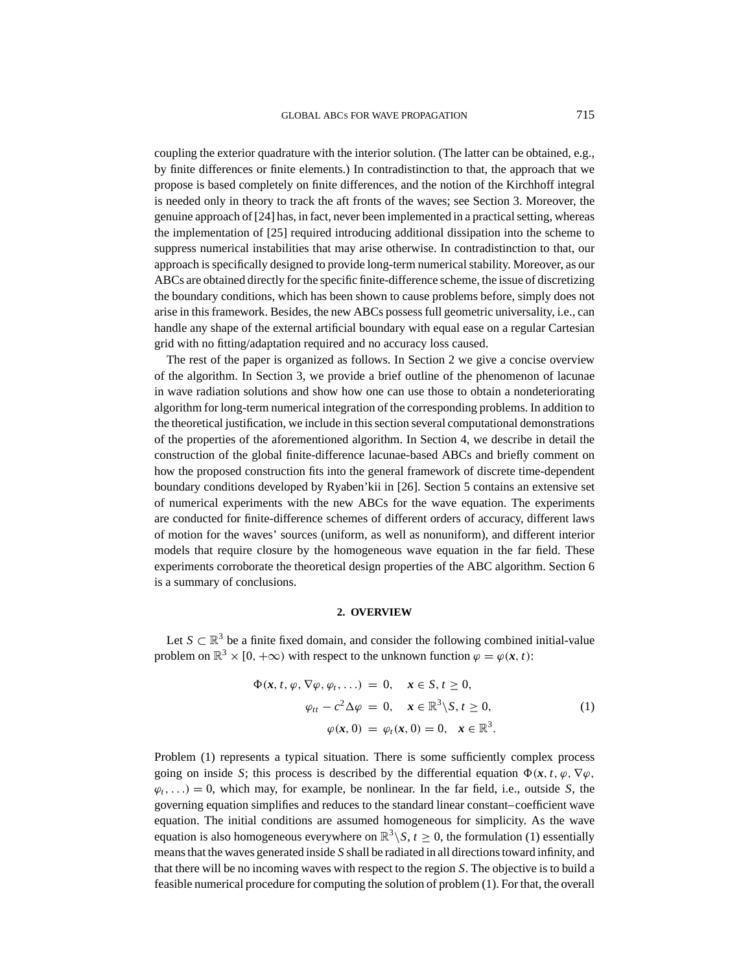coupling the exterior quadrature with the interior solution. (The latter can be obtained, e.g., by finite differences or finite elements.) In contradistinction to that, the approach that we propose is based completely on finite differences, and the notion of the Kirchhoff integral is needed only in theory to track the aft fronts of the waves; see Section 3. Moreover, the genuine approach of [24] has, in fact, never been implemented in a practical setting, whereas the implementation of [25] required introducing additional dissipation into the scheme to suppress numerical instabilities that may arise otherwise. In contradistinction to that, our approach is specifically designed to provide long-term numerical stability. Moreover, as our ABCs are obtained directly for the specific finite-difference scheme, the issue of discretizing the boundary conditions, which has been shown to cause problems before, simply does not arise in this framework. Besides, the new ABCs possess full geometric universality, i.e., can handle any shape of the external artificial boundary with equal ease on a regular Cartesian grid with no fitting/adaptation required and no accuracy loss caused.

The rest of the paper is organized as follows. In Section 2 we give a concise overview of the algorithm. In Section 3, we provide a brief outline of the phenomenon of lacunae in wave radiation solutions and show how one can use those to obtain a nondeteriorating algorithm for long-term numerical integration of the corresponding problems. In addition to the theoretical justification, we include in this section several computational demonstrations of the properties of the aforementioned algorithm. In Section 4, we describe in detail the construction of the global finite-difference lacunae-based ABCs and briefly comment on how the proposed construction fits into the general framework of discrete time-dependent boundary conditions developed by Ryaben'kii in [26]. Section 5 contains an extensive set of numerical experiments with the new ABCs for the wave equation. The experiments are conducted for finite-difference schemes of different orders of accuracy, different laws of motion for the waves' sources (uniform, as well as nonuniform), and different interior models that require closure by the homogeneous wave equation in the far field. These experiments corroborate the theoretical design properties of the ABC algorithm. Section 6 is a summary of conclusions.

#### **2. OVERVIEW**

Let  $S \subset \mathbb{R}^3$  be a finite fixed domain, and consider the following combined initial-value problem on  $\mathbb{R}^3 \times [0, +\infty)$  with respect to the unknown function  $\varphi = \varphi(\mathbf{x}, t)$ :

$$
\Phi(\mathbf{x}, t, \varphi, \nabla \varphi, \varphi_t, \ldots) = 0, \quad \mathbf{x} \in S, t \ge 0,
$$
  

$$
\varphi_{tt} - c^2 \Delta \varphi = 0, \quad \mathbf{x} \in \mathbb{R}^3 \setminus S, t \ge 0,
$$
  

$$
\varphi(\mathbf{x}, 0) = \varphi_t(\mathbf{x}, 0) = 0, \quad \mathbf{x} \in \mathbb{R}^3.
$$
 (1)

Problem (1) represents a typical situation. There is some sufficiently complex process going on inside *S*; this process is described by the differential equation  $\Phi(x, t, \varphi, \nabla \varphi, \nabla \varphi)$  $\varphi_t$ , ...) = 0, which may, for example, be nonlinear. In the far field, i.e., outside *S*, the governing equation simplifies and reduces to the standard linear constant–coefficient wave equation. The initial conditions are assumed homogeneous for simplicity. As the wave equation is also homogeneous everywhere on  $\mathbb{R}^3 \setminus S$ ,  $t \geq 0$ , the formulation (1) essentially means that the waves generated inside *S* shall be radiated in all directions toward infinity, and that there will be no incoming waves with respect to the region *S*. The objective is to build a feasible numerical procedure for computing the solution of problem (1). For that, the overall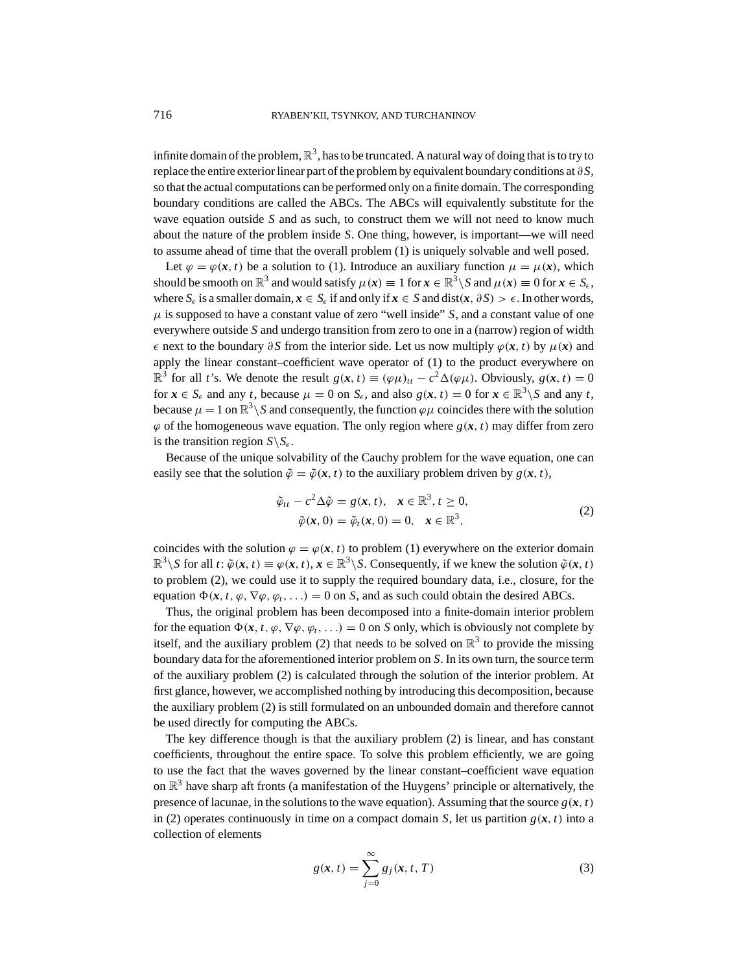infinite domain of the problem,  $\mathbb{R}^3$ , has to be truncated. A natural way of doing that is to try to replace the entire exterior linear part of the problem by equivalent boundary conditions at ∂ *S*, so that the actual computations can be performed only on a finite domain. The corresponding boundary conditions are called the ABCs. The ABCs will equivalently substitute for the wave equation outside *S* and as such, to construct them we will not need to know much about the nature of the problem inside *S*. One thing, however, is important—we will need to assume ahead of time that the overall problem (1) is uniquely solvable and well posed.

Let  $\varphi = \varphi(\mathbf{x}, t)$  be a solution to (1). Introduce an auxiliary function  $\mu = \mu(\mathbf{x})$ , which should be smooth on  $\mathbb{R}^3$  and would satisfy  $\mu(x) \equiv 1$  for  $x \in \mathbb{R}^3 \setminus S$  and  $\mu(x) \equiv 0$  for  $x \in S_{\epsilon}$ , where  $S_{\epsilon}$  is a smaller domain,  $\mathbf{x} \in S_{\epsilon}$  if and only if  $\mathbf{x} \in S$  and dist( $\mathbf{x}, \partial S$ ) >  $\epsilon$ . In other words,  $\mu$  is supposed to have a constant value of zero "well inside" *S*, and a constant value of one everywhere outside *S* and undergo transition from zero to one in a (narrow) region of width  $\epsilon$  next to the boundary  $\partial S$  from the interior side. Let us now multiply  $\varphi(x, t)$  by  $\mu(x)$  and apply the linear constant–coefficient wave operator of (1) to the product everywhere on  $\mathbb{R}^3$  for all *t*'s. We denote the result  $g(\mathbf{x}, t) \equiv (\varphi \mu)_{tt} - c^2 \Delta(\varphi \mu)$ . Obviously,  $g(\mathbf{x}, t) = 0$ for  $x \in S_\epsilon$  and any *t*, because  $\mu = 0$  on  $S_\epsilon$ , and also  $g(x, t) = 0$  for  $x \in \mathbb{R}^3 \setminus S$  and any *t*, because  $\mu = 1$  on  $\mathbb{R}^3 \setminus S$  and consequently, the function  $\varphi\mu$  coincides there with the solution  $\varphi$  of the homogeneous wave equation. The only region where  $g(x, t)$  may differ from zero is the transition region  $S \ S_{\epsilon}$ .

Because of the unique solvability of the Cauchy problem for the wave equation, one can easily see that the solution  $\tilde{\varphi} = \tilde{\varphi}(x, t)$  to the auxiliary problem driven by  $g(x, t)$ ,

$$
\tilde{\varphi}_{tt} - c^2 \Delta \tilde{\varphi} = g(\mathbf{x}, t), \quad \mathbf{x} \in \mathbb{R}^3, t \ge 0,
$$
  
\n
$$
\tilde{\varphi}(\mathbf{x}, 0) = \tilde{\varphi}_t(\mathbf{x}, 0) = 0, \quad \mathbf{x} \in \mathbb{R}^3,
$$
\n(2)

coincides with the solution  $\varphi = \varphi(\mathbf{x}, t)$  to problem (1) everywhere on the exterior domain  $\mathbb{R}^3 \setminus S$  for all *t*:  $\tilde{\varphi}(\mathbf{x}, t) \equiv \varphi(\mathbf{x}, t), \mathbf{x} \in \mathbb{R}^3 \setminus S$ . Consequently, if we knew the solution  $\tilde{\varphi}(\mathbf{x}, t)$ to problem (2), we could use it to supply the required boundary data, i.e., closure, for the equation  $\Phi(x, t, \varphi, \nabla \varphi, \varphi_t, ...) = 0$  on *S*, and as such could obtain the desired ABCs.

Thus, the original problem has been decomposed into a finite-domain interior problem for the equation  $\Phi(x, t, \varphi, \nabla \varphi, \varphi_t, ...) = 0$  on *S* only, which is obviously not complete by itself, and the auxiliary problem (2) that needs to be solved on  $\mathbb{R}^3$  to provide the missing boundary data for the aforementioned interior problem on *S*. In its own turn, the source term of the auxiliary problem (2) is calculated through the solution of the interior problem. At first glance, however, we accomplished nothing by introducing this decomposition, because the auxiliary problem (2) is still formulated on an unbounded domain and therefore cannot be used directly for computing the ABCs.

The key difference though is that the auxiliary problem (2) is linear, and has constant coefficients, throughout the entire space. To solve this problem efficiently, we are going to use the fact that the waves governed by the linear constant–coefficient wave equation on  $\mathbb{R}^3$  have sharp aft fronts (a manifestation of the Huygens' principle or alternatively, the presence of lacunae, in the solutions to the wave equation). Assuming that the source  $g(x, t)$ in (2) operates continuously in time on a compact domain *S*, let us partition  $g(x, t)$  into a collection of elements

$$
g(\mathbf{x}, t) = \sum_{j=0}^{\infty} g_j(\mathbf{x}, t, T)
$$
 (3)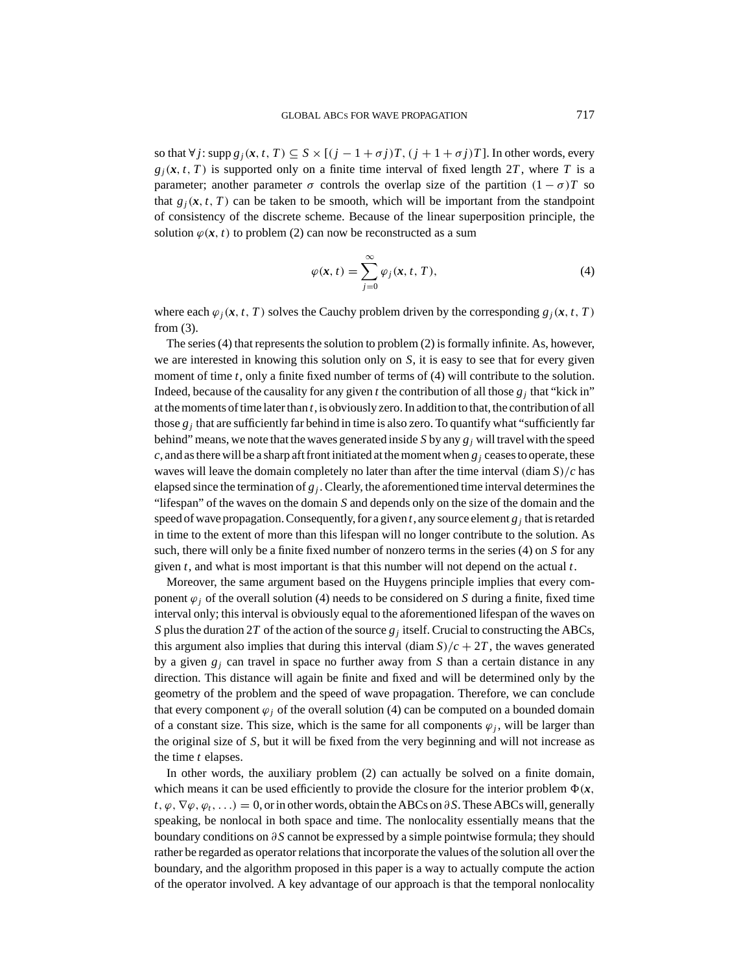so that  $\forall j$ : supp  $g_j(x, t, T) \subseteq S \times [(j - 1 + \sigma j)T, (j + 1 + \sigma j)T]$ . In other words, every  $g_i(\mathbf{x}, t, T)$  is supported only on a finite time interval of fixed length 2*T*, where *T* is a parameter; another parameter  $\sigma$  controls the overlap size of the partition  $(1 - \sigma)T$  so that  $g_i(x, t, T)$  can be taken to be smooth, which will be important from the standpoint of consistency of the discrete scheme. Because of the linear superposition principle, the solution  $\varphi(\mathbf{x}, t)$  to problem (2) can now be reconstructed as a sum

$$
\varphi(\mathbf{x},t) = \sum_{j=0}^{\infty} \varphi_j(\mathbf{x},t,T),
$$
\n(4)

where each  $\varphi_i(\mathbf{x}, t, T)$  solves the Cauchy problem driven by the corresponding  $g_i(\mathbf{x}, t, T)$ from (3).

The series (4) that represents the solution to problem (2) is formally infinite. As, however, we are interested in knowing this solution only on *S*, it is easy to see that for every given moment of time *t*, only a finite fixed number of terms of (4) will contribute to the solution. Indeed, because of the causality for any given  $t$  the contribution of all those  $g_i$  that "kick in" at the moments of time later than *t*, is obviously zero. In addition to that, the contribution of all those  $g_i$  that are sufficiently far behind in time is also zero. To quantify what "sufficiently far behind" means, we note that the waves generated inside  $S$  by any  $g_j$  will travel with the speed  $c$ , and as there will be a sharp aft front initiated at the moment when  $g_i$  ceases to operate, these waves will leave the domain completely no later than after the time interval (diam *S*)/*c* has elapsed since the termination of  $g_i$ . Clearly, the aforementioned time interval determines the "lifespan" of the waves on the domain *S* and depends only on the size of the domain and the speed of wave propagation. Consequently, for a given  $t$ , any source element  $g_i$  that is retarded in time to the extent of more than this lifespan will no longer contribute to the solution. As such, there will only be a finite fixed number of nonzero terms in the series (4) on *S* for any given *t*, and what is most important is that this number will not depend on the actual *t*.

Moreover, the same argument based on the Huygens principle implies that every component  $\varphi_i$  of the overall solution (4) needs to be considered on *S* during a finite, fixed time interval only; this interval is obviously equal to the aforementioned lifespan of the waves on *S* plus the duration 2*T* of the action of the source  $g_j$  itself. Crucial to constructing the ABCs, this argument also implies that during this interval  $(\text{diam } S)/c + 2T$ , the waves generated by a given  $g_i$  can travel in space no further away from  $S$  than a certain distance in any direction. This distance will again be finite and fixed and will be determined only by the geometry of the problem and the speed of wave propagation. Therefore, we can conclude that every component  $\varphi_j$  of the overall solution (4) can be computed on a bounded domain of a constant size. This size, which is the same for all components  $\varphi_j$ , will be larger than the original size of *S*, but it will be fixed from the very beginning and will not increase as the time *t* elapses.

In other words, the auxiliary problem (2) can actually be solved on a finite domain, which means it can be used efficiently to provide the closure for the interior problem  $\Phi(x, \theta)$  $t, \varphi, \nabla \varphi, \varphi_t, \ldots$  = 0, or in other words, obtain the ABCs on ∂ *S*. These ABCs will, generally speaking, be nonlocal in both space and time. The nonlocality essentially means that the boundary conditions on ∂ *S* cannot be expressed by a simple pointwise formula; they should rather be regarded as operator relations that incorporate the values of the solution all over the boundary, and the algorithm proposed in this paper is a way to actually compute the action of the operator involved. A key advantage of our approach is that the temporal nonlocality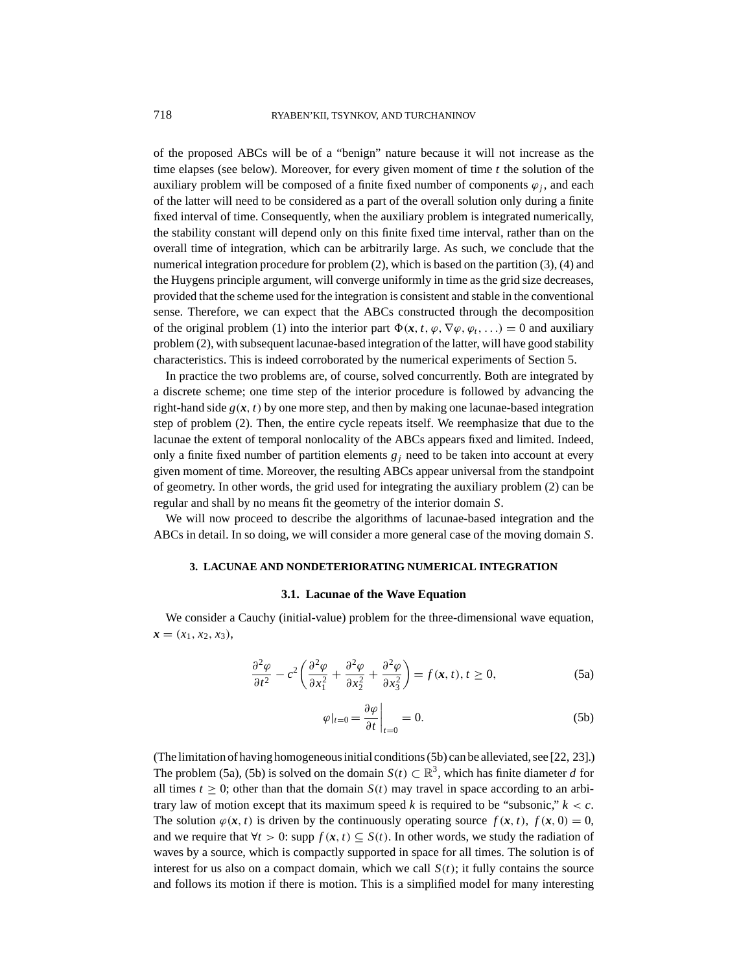of the proposed ABCs will be of a "benign" nature because it will not increase as the time elapses (see below). Moreover, for every given moment of time *t* the solution of the auxiliary problem will be composed of a finite fixed number of components  $\varphi_i$ , and each of the latter will need to be considered as a part of the overall solution only during a finite fixed interval of time. Consequently, when the auxiliary problem is integrated numerically, the stability constant will depend only on this finite fixed time interval, rather than on the overall time of integration, which can be arbitrarily large. As such, we conclude that the numerical integration procedure for problem (2), which is based on the partition (3), (4) and the Huygens principle argument, will converge uniformly in time as the grid size decreases, provided that the scheme used for the integration is consistent and stable in the conventional sense. Therefore, we can expect that the ABCs constructed through the decomposition of the original problem (1) into the interior part  $\Phi(x, t, \varphi, \nabla \varphi, \varphi_t, ...) = 0$  and auxiliary problem (2), with subsequent lacunae-based integration of the latter, will have good stability characteristics. This is indeed corroborated by the numerical experiments of Section 5.

In practice the two problems are, of course, solved concurrently. Both are integrated by a discrete scheme; one time step of the interior procedure is followed by advancing the right-hand side  $g(x, t)$  by one more step, and then by making one lacunae-based integration step of problem (2). Then, the entire cycle repeats itself. We reemphasize that due to the lacunae the extent of temporal nonlocality of the ABCs appears fixed and limited. Indeed, only a finite fixed number of partition elements  $g_i$  need to be taken into account at every given moment of time. Moreover, the resulting ABCs appear universal from the standpoint of geometry. In other words, the grid used for integrating the auxiliary problem (2) can be regular and shall by no means fit the geometry of the interior domain *S*.

We will now proceed to describe the algorithms of lacunae-based integration and the ABCs in detail. In so doing, we will consider a more general case of the moving domain *S*.

# **3. LACUNAE AND NONDETERIORATING NUMERICAL INTEGRATION**

# **3.1. Lacunae of the Wave Equation**

We consider a Cauchy (initial-value) problem for the three-dimensional wave equation,  $x = (x_1, x_2, x_3),$ 

$$
\frac{\partial^2 \varphi}{\partial t^2} - c^2 \left( \frac{\partial^2 \varphi}{\partial x_1^2} + \frac{\partial^2 \varphi}{\partial x_2^2} + \frac{\partial^2 \varphi}{\partial x_3^2} \right) = f(\mathbf{x}, t), t \ge 0,
$$
 (5a)

$$
\varphi|_{t=0} = \frac{\partial \varphi}{\partial t}\bigg|_{t=0} = 0.
$$
\n(5b)

(The limitation of having homogeneous initial conditions (5b) can be alleviated, see [22, 23].) The problem (5a), (5b) is solved on the domain  $S(t) \subset \mathbb{R}^3$ , which has finite diameter *d* for all times  $t \geq 0$ ; other than that the domain  $S(t)$  may travel in space according to an arbitrary law of motion except that its maximum speed *k* is required to be "subsonic,"  $k < c$ . The solution  $\varphi(\mathbf{x}, t)$  is driven by the continuously operating source  $f(\mathbf{x}, t)$ ,  $f(\mathbf{x}, 0) = 0$ , and we require that  $\forall t > 0$ : supp  $f(\mathbf{x}, t) \subseteq S(t)$ . In other words, we study the radiation of waves by a source, which is compactly supported in space for all times. The solution is of interest for us also on a compact domain, which we call  $S(t)$ ; it fully contains the source and follows its motion if there is motion. This is a simplified model for many interesting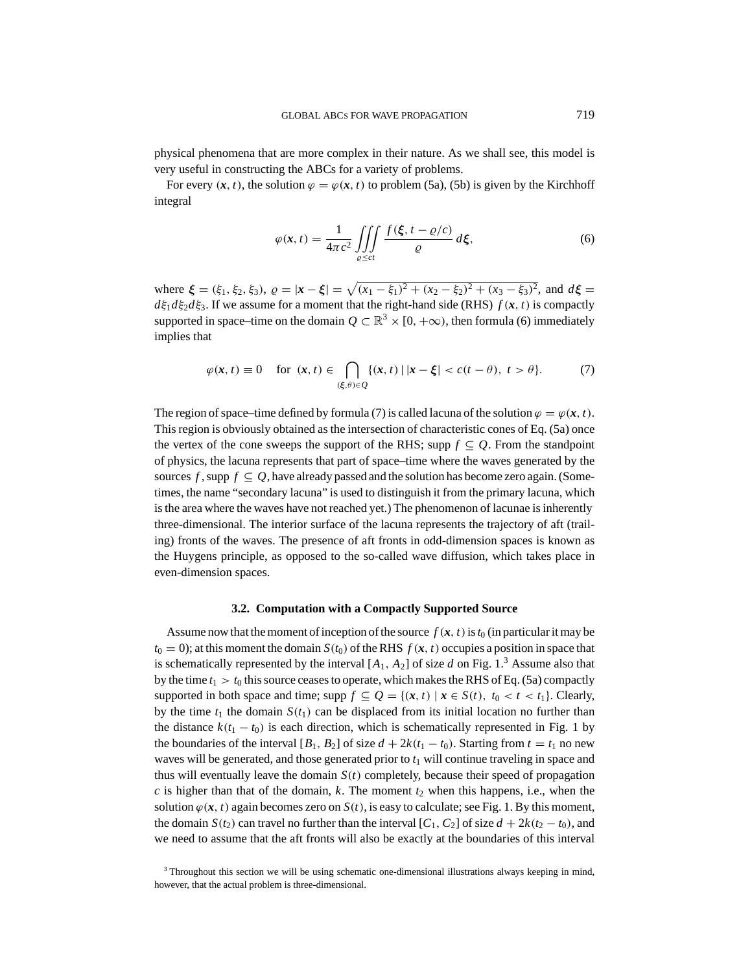physical phenomena that are more complex in their nature. As we shall see, this model is very useful in constructing the ABCs for a variety of problems.

For every  $(x, t)$ , the solution  $\varphi = \varphi(x, t)$  to problem (5a), (5b) is given by the Kirchhoff integral

$$
\varphi(\mathbf{x},t) = \frac{1}{4\pi c^2} \iiint\limits_{\varrho \le ct} \frac{f(\xi, t - \varrho/c)}{\varrho} d\xi,\tag{6}
$$

where  $\boldsymbol{\xi} = (\xi_1, \xi_2, \xi_3), \, \rho = |\boldsymbol{x} - \boldsymbol{\xi}| = \sqrt{(x_1 - \xi_1)^2 + (x_2 - \xi_2)^2 + (x_3 - \xi_3)^2}$ , and  $d\boldsymbol{\xi} =$  $d\xi_1 d\xi_2 d\xi_3$ . If we assume for a moment that the right-hand side (RHS)  $f(\mathbf{x}, t)$  is compactly supported in space–time on the domain  $Q \subset \mathbb{R}^3 \times [0, +\infty)$ , then formula (6) immediately implies that

$$
\varphi(\mathbf{x},t) \equiv 0 \quad \text{for } (\mathbf{x},t) \in \bigcap_{(\xi,\theta)\in\mathcal{Q}} \{(\mathbf{x},t) \mid |\mathbf{x}-\xi| < c(t-\theta), \ t > \theta\}. \tag{7}
$$

The region of space–time defined by formula (7) is called lacuna of the solution  $\varphi = \varphi(\mathbf{x}, t)$ . This region is obviously obtained as the intersection of characteristic cones of Eq. (5a) once the vertex of the cone sweeps the support of the RHS; supp  $f \subseteq Q$ . From the standpoint of physics, the lacuna represents that part of space–time where the waves generated by the sources *f*, supp  $f \subseteq Q$ , have already passed and the solution has become zero again. (Sometimes, the name "secondary lacuna" is used to distinguish it from the primary lacuna, which is the area where the waves have not reached yet.) The phenomenon of lacunae is inherently three-dimensional. The interior surface of the lacuna represents the trajectory of aft (trailing) fronts of the waves. The presence of aft fronts in odd-dimension spaces is known as the Huygens principle, as opposed to the so-called wave diffusion, which takes place in even-dimension spaces.

## **3.2. Computation with a Compactly Supported Source**

Assume now that the moment of inception of the source  $f(\mathbf{x}, t)$  is  $t_0$  (in particular it may be  $t_0 = 0$ ; at this moment the domain *S*( $t_0$ ) of the RHS  $f(x, t)$  occupies a position in space that is schematically represented by the interval  $[A_1, A_2]$  of size *d* on Fig. 1.<sup>3</sup> Assume also that by the time  $t_1 > t_0$  this source ceases to operate, which makes the RHS of Eq. (5a) compactly supported in both space and time; supp  $f \subseteq Q = \{(x, t) | x \in S(t), t_0 < t < t_1\}$ . Clearly, by the time  $t_1$  the domain  $S(t_1)$  can be displaced from its initial location no further than the distance  $k(t_1 - t_0)$  is each direction, which is schematically represented in Fig. 1 by the boundaries of the interval  $[B_1, B_2]$  of size  $d + 2k(t_1 - t_0)$ . Starting from  $t = t_1$  no new waves will be generated, and those generated prior to  $t_1$  will continue traveling in space and thus will eventually leave the domain  $S(t)$  completely, because their speed of propagation  $c$  is higher than that of the domain,  $k$ . The moment  $t_2$  when this happens, i.e., when the solution  $\varphi(\mathbf{x}, t)$  again becomes zero on  $S(t)$ , is easy to calculate; see Fig. 1. By this moment, the domain *S*( $t_2$ ) can travel no further than the interval [ $C_1$ ,  $C_2$ ] of size  $d + 2k(t_2 - t_0)$ , and we need to assume that the aft fronts will also be exactly at the boundaries of this interval

<sup>&</sup>lt;sup>3</sup> Throughout this section we will be using schematic one-dimensional illustrations always keeping in mind, however, that the actual problem is three-dimensional.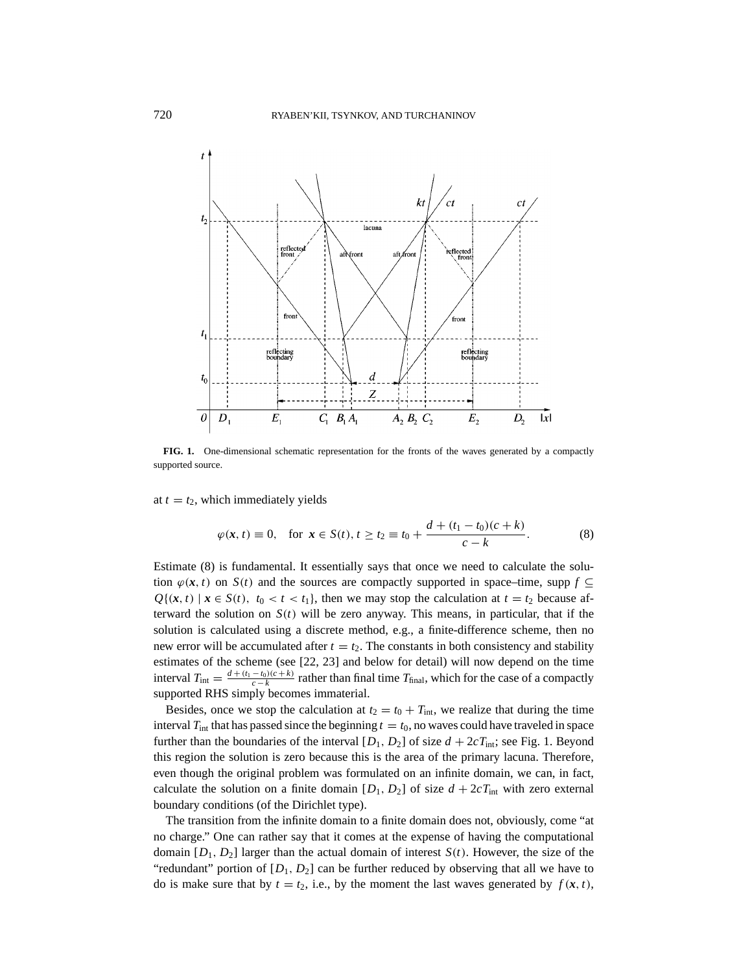

**FIG. 1.** One-dimensional schematic representation for the fronts of the waves generated by a compactly supported source.

at  $t = t_2$ , which immediately yields

$$
\varphi(\mathbf{x}, t) \equiv 0
$$
, for  $\mathbf{x} \in S(t)$ ,  $t \ge t_2 \equiv t_0 + \frac{d + (t_1 - t_0)(c + k)}{c - k}$ . (8)

Estimate (8) is fundamental. It essentially says that once we need to calculate the solution  $\varphi(x, t)$  on  $S(t)$  and the sources are compactly supported in space–time, supp  $f \subset$  $Q(x, t) | x \in S(t)$ ,  $t_0 < t < t_1$ , then we may stop the calculation at  $t = t_2$  because afterward the solution on  $S(t)$  will be zero anyway. This means, in particular, that if the solution is calculated using a discrete method, e.g., a finite-difference scheme, then no new error will be accumulated after  $t = t<sub>2</sub>$ . The constants in both consistency and stability estimates of the scheme (see [22, 23] and below for detail) will now depend on the time interval  $T_{\text{int}} = \frac{d + (t_1 - t_0)(c + k)}{c - k}$  rather than final time  $T_{\text{final}}$ , which for the case of a compactly supported RHS simply becomes immaterial.

Besides, once we stop the calculation at  $t_2 = t_0 + T_{int}$ , we realize that during the time interval  $T_{int}$  that has passed since the beginning  $t = t_0$ , no waves could have traveled in space further than the boundaries of the interval  $[D_1, D_2]$  of size  $d + 2cT_{\text{int}}$ ; see Fig. 1. Beyond this region the solution is zero because this is the area of the primary lacuna. Therefore, even though the original problem was formulated on an infinite domain, we can, in fact, calculate the solution on a finite domain  $[D_1, D_2]$  of size  $d + 2cT_{int}$  with zero external boundary conditions (of the Dirichlet type).

The transition from the infinite domain to a finite domain does not, obviously, come "at no charge." One can rather say that it comes at the expense of having the computational domain  $[D_1, D_2]$  larger than the actual domain of interest  $S(t)$ . However, the size of the "redundant" portion of  $[D_1, D_2]$  can be further reduced by observing that all we have to do is make sure that by  $t = t_2$ , i.e., by the moment the last waves generated by  $f(\mathbf{x}, t)$ ,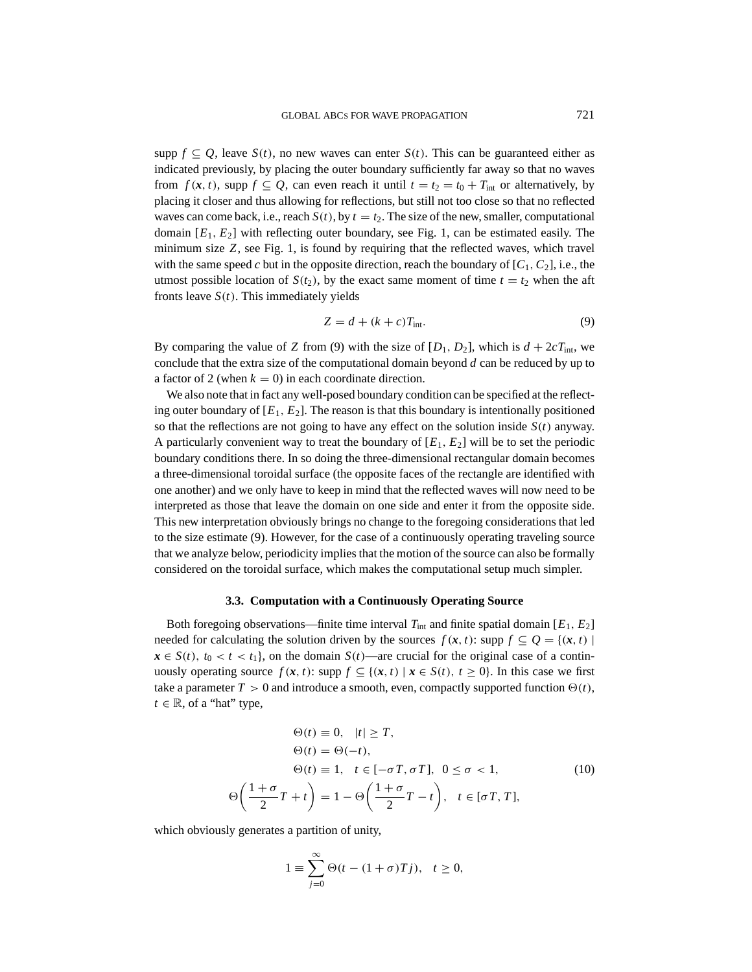supp  $f \subseteq Q$ , leave  $S(t)$ , no new waves can enter  $S(t)$ . This can be guaranteed either as indicated previously, by placing the outer boundary sufficiently far away so that no waves from  $f(\mathbf{x}, t)$ , supp  $f \subseteq Q$ , can even reach it until  $t = t_2 = t_0 + T_{int}$  or alternatively, by placing it closer and thus allowing for reflections, but still not too close so that no reflected waves can come back, i.e., reach  $S(t)$ , by  $t = t_2$ . The size of the new, smaller, computational domain  $[E_1, E_2]$  with reflecting outer boundary, see Fig. 1, can be estimated easily. The minimum size *Z*, see Fig. 1, is found by requiring that the reflected waves, which travel with the same speed *c* but in the opposite direction, reach the boundary of  $[C_1, C_2]$ , i.e., the utmost possible location of  $S(t_2)$ , by the exact same moment of time  $t = t_2$  when the aft fronts leave  $S(t)$ . This immediately yields

$$
Z = d + (k + c)T_{\text{int}}.\tag{9}
$$

By comparing the value of *Z* from (9) with the size of  $[D_1, D_2]$ , which is  $d + 2cT_{\text{int}}$ , we conclude that the extra size of the computational domain beyond *d* can be reduced by up to a factor of 2 (when  $k = 0$ ) in each coordinate direction.

We also note that in fact any well-posed boundary condition can be specified at the reflecting outer boundary of  $[E_1, E_2]$ . The reason is that this boundary is intentionally positioned so that the reflections are not going to have any effect on the solution inside  $S(t)$  anyway. A particularly convenient way to treat the boundary of  $[E_1, E_2]$  will be to set the periodic boundary conditions there. In so doing the three-dimensional rectangular domain becomes a three-dimensional toroidal surface (the opposite faces of the rectangle are identified with one another) and we only have to keep in mind that the reflected waves will now need to be interpreted as those that leave the domain on one side and enter it from the opposite side. This new interpretation obviously brings no change to the foregoing considerations that led to the size estimate (9). However, for the case of a continuously operating traveling source that we analyze below, periodicity implies that the motion of the source can also be formally considered on the toroidal surface, which makes the computational setup much simpler.

## **3.3. Computation with a Continuously Operating Source**

Both foregoing observations—finite time interval  $T_{int}$  and finite spatial domain  $[E_1, E_2]$ needed for calculating the solution driven by the sources  $f(\mathbf{x}, t)$ : supp  $f \subseteq Q = \{(\mathbf{x}, t) \mid \mathbf{x} \in \mathbb{R}^d : |f| \leq \epsilon \}$  $x \in S(t)$ ,  $t_0 < t < t_1$ , on the domain  $S(t)$ —are crucial for the original case of a continuously operating source  $f(\mathbf{x}, t)$ : supp  $f \subseteq \{(\mathbf{x}, t) \mid \mathbf{x} \in S(t), t \ge 0\}$ . In this case we first take a parameter  $T > 0$  and introduce a smooth, even, compactly supported function  $\Theta(t)$ ,  $t \in \mathbb{R}$ , of a "hat" type,

$$
\Theta(t) \equiv 0, \quad |t| \ge T,
$$
  
\n
$$
\Theta(t) = \Theta(-t),
$$
  
\n
$$
\Theta(t) \equiv 1, \quad t \in [-\sigma T, \sigma T], \quad 0 \le \sigma < 1,
$$
  
\n
$$
\Theta\left(\frac{1+\sigma}{2}T+t\right) = 1 - \Theta\left(\frac{1+\sigma}{2}T-t\right), \quad t \in [\sigma T, T],
$$
\n(10)

which obviously generates a partition of unity,

$$
1 \equiv \sum_{j=0}^{\infty} \Theta(t - (1 + \sigma)Tj), \quad t \ge 0,
$$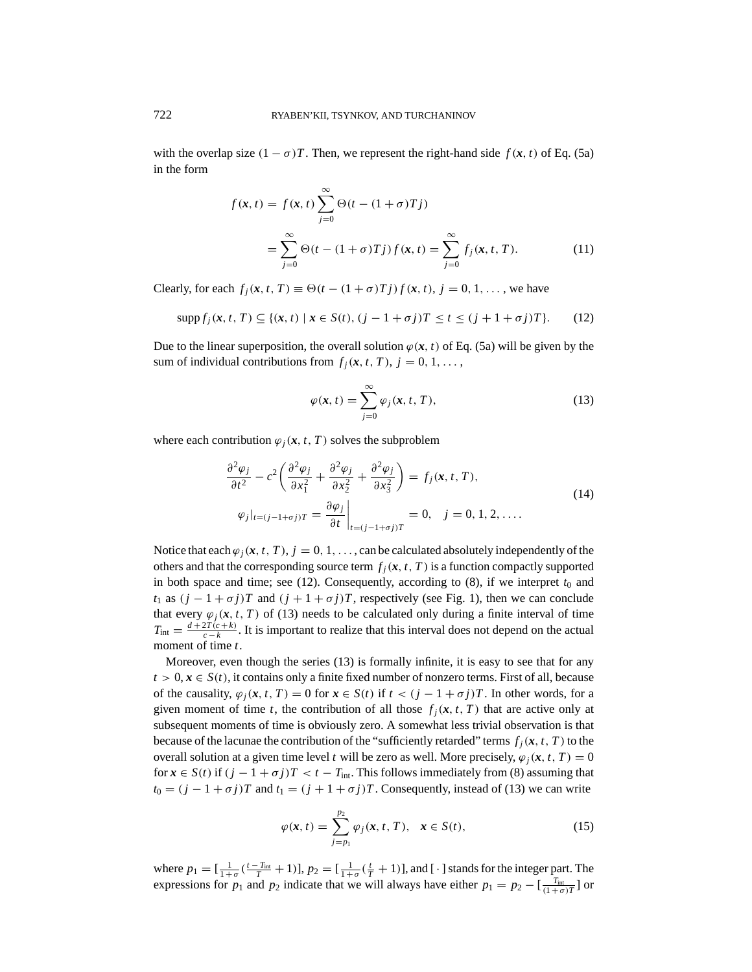with the overlap size  $(1 - \sigma)T$ . Then, we represent the right-hand side  $f(\mathbf{x}, t)$  of Eq. (5a) in the form

$$
f(\mathbf{x}, t) = f(\mathbf{x}, t) \sum_{j=0}^{\infty} \Theta(t - (1 + \sigma)Tj)
$$
  
= 
$$
\sum_{j=0}^{\infty} \Theta(t - (1 + \sigma)Tj) f(\mathbf{x}, t) = \sum_{j=0}^{\infty} f_j(\mathbf{x}, t, T).
$$
 (11)

Clearly, for each  $f_i(\mathbf{x}, t, T) \equiv \Theta(t - (1 + \sigma)Tj) f(\mathbf{x}, t), j = 0, 1, \ldots$ , we have

$$
\mathrm{supp} f_j(x, t, T) \subseteq \{ (x, t) \mid x \in S(t), (j - 1 + \sigma j)T \le t \le (j + 1 + \sigma j)T \}. \tag{12}
$$

Due to the linear superposition, the overall solution  $\varphi(\mathbf{x}, t)$  of Eq. (5a) will be given by the sum of individual contributions from  $f_i(\mathbf{x}, t, T)$ ,  $j = 0, 1, \ldots$ ,

$$
\varphi(\mathbf{x},t) = \sum_{j=0}^{\infty} \varphi_j(\mathbf{x},t,T),
$$
\n(13)

where each contribution  $\varphi_i(x, t, T)$  solves the subproblem

$$
\frac{\partial^2 \varphi_j}{\partial t^2} - c^2 \left( \frac{\partial^2 \varphi_j}{\partial x_1^2} + \frac{\partial^2 \varphi_j}{\partial x_2^2} + \frac{\partial^2 \varphi_j}{\partial x_3^2} \right) = f_j(\mathbf{x}, t, T),
$$
  
\n
$$
\varphi_j|_{t=(j-1+\sigma)T} = \frac{\partial \varphi_j}{\partial t} \bigg|_{t=(j-1+\sigma)T} = 0, \quad j = 0, 1, 2, ....
$$
\n(14)

Notice that each  $\varphi_i(\mathbf{x}, t, T)$ ,  $j = 0, 1, \ldots$ , can be calculated absolutely independently of the others and that the corresponding source term  $f_i(x, t, T)$  is a function compactly supported in both space and time; see  $(12)$ . Consequently, according to  $(8)$ , if we interpret  $t_0$  and  $t_1$  as  $(j - 1 + \sigma j)T$  and  $(j + 1 + \sigma j)T$ , respectively (see Fig. 1), then we can conclude that every  $\varphi_j(x, t, T)$  of (13) needs to be calculated only during a finite interval of time  $T_{\text{int}} = \frac{d + 2T(c+k)}{c-k}$ . It is important to realize that this interval does not depend on the actual moment of time *t*.

Moreover, even though the series (13) is formally infinite, it is easy to see that for any  $t > 0, x \in S(t)$ , it contains only a finite fixed number of nonzero terms. First of all, because of the causality,  $\varphi_i(\mathbf{x}, t, T) = 0$  for  $\mathbf{x} \in S(t)$  if  $t < (j - 1 + \sigma j)T$ . In other words, for a given moment of time *t*, the contribution of all those  $f_i(x, t, T)$  that are active only at subsequent moments of time is obviously zero. A somewhat less trivial observation is that because of the lacunae the contribution of the "sufficiently retarded" terms  $f_i(\mathbf{x}, t, T)$  to the overall solution at a given time level *t* will be zero as well. More precisely,  $\varphi_i(\mathbf{x}, t, T) = 0$ for  $x \in S(t)$  if  $(j - 1 + \sigma j)T < t - T_{int}$ . This follows immediately from (8) assuming that  $t_0 = (j - 1 + \sigma j)T$  and  $t_1 = (j + 1 + \sigma j)T$ . Consequently, instead of (13) we can write

$$
\varphi(\mathbf{x},t) = \sum_{j=p_1}^{p_2} \varphi_j(\mathbf{x},t,T), \quad \mathbf{x} \in S(t), \tag{15}
$$

where  $p_1 = \left[\frac{1}{1+\sigma}(\frac{t-T_{\text{int}}}{T}+1)\right]$ ,  $p_2 = \left[\frac{1}{1+\sigma}(\frac{t}{T}+1)\right]$ , and  $\left[\cdot\right]$  stands for the integer part. The expressions for  $p_1$  and  $p_2$  indicate that we will always have either  $p_1 = p_2 - \left[\frac{T_{\text{int}}}{(1 + \sigma)T}\right]$  or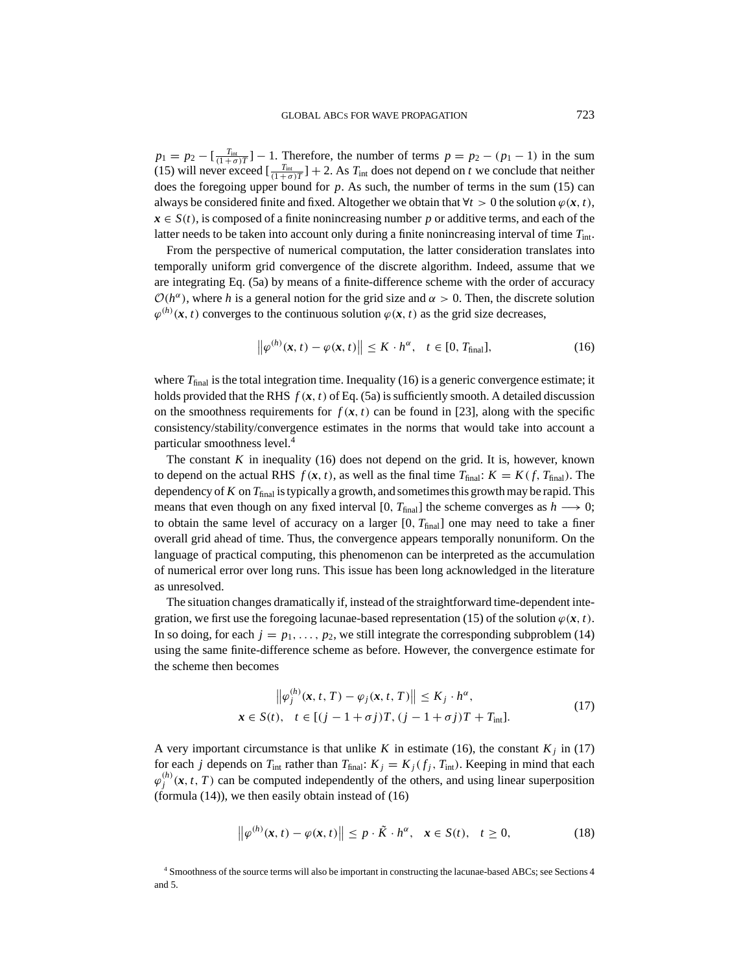$p_1 = p_2 - \left[\frac{T_{\text{int}}}{(1+\sigma)T}\right] - 1$ . Therefore, the number of terms  $p = p_2 - (p_1 - 1)$  in the sum (15) will never exceed  $\left[\frac{T_{\text{int}}}{(1+\sigma)T}\right] + 2$ . As  $T_{\text{int}}$  does not depend on *t* we conclude that neither does the foregoing upper bound for *p*. As such, the number of terms in the sum (15) can always be considered finite and fixed. Altogether we obtain that  $\forall t > 0$  the solution  $\varphi(\mathbf{x}, t)$ ,  $x \in S(t)$ , is composed of a finite nonincreasing number p or additive terms, and each of the latter needs to be taken into account only during a finite nonincreasing interval of time *T*int.

From the perspective of numerical computation, the latter consideration translates into temporally uniform grid convergence of the discrete algorithm. Indeed, assume that we are integrating Eq. (5a) by means of a finite-difference scheme with the order of accuracy  $\mathcal{O}(h^{\alpha})$ , where *h* is a general notion for the grid size and  $\alpha > 0$ . Then, the discrete solution  $\varphi^{(h)}(x, t)$  converges to the continuous solution  $\varphi(x, t)$  as the grid size decreases,

$$
\left\|\varphi^{(h)}(\mathbf{x},t)-\varphi(\mathbf{x},t)\right\| \leq K \cdot h^{\alpha}, \quad t \in [0,T_{\text{final}}],\tag{16}
$$

where  $T_{final}$  is the total integration time. Inequality (16) is a generic convergence estimate; it holds provided that the RHS  $f(x, t)$  of Eq. (5a) is sufficiently smooth. A detailed discussion on the smoothness requirements for  $f(x, t)$  can be found in [23], along with the specific consistency/stability/convergence estimates in the norms that would take into account a particular smoothness level.4

The constant  $K$  in inequality  $(16)$  does not depend on the grid. It is, however, known to depend on the actual RHS  $f(x, t)$ , as well as the final time  $T_{final}$ :  $K = K(f, T_{final})$ . The dependency of  $K$  on  $T_{final}$  is typically a growth, and sometimes this growth may be rapid. This means that even though on any fixed interval [0,  $T_{final}$ ] the scheme converges as  $h \rightarrow 0$ ; to obtain the same level of accuracy on a larger  $[0, T<sub>final</sub>]$  one may need to take a finer overall grid ahead of time. Thus, the convergence appears temporally nonuniform. On the language of practical computing, this phenomenon can be interpreted as the accumulation of numerical error over long runs. This issue has been long acknowledged in the literature as unresolved.

The situation changes dramatically if, instead of the straightforward time-dependent integration, we first use the foregoing lacunae-based representation (15) of the solution  $\varphi(\mathbf{x}, t)$ . In so doing, for each  $j = p_1, \ldots, p_2$ , we still integrate the corresponding subproblem (14) using the same finite-difference scheme as before. However, the convergence estimate for the scheme then becomes

$$
\|\varphi_j^{(h)}(\mathbf{x}, t, T) - \varphi_j(\mathbf{x}, t, T)\| \le K_j \cdot h^{\alpha},
$$
  

$$
\mathbf{x} \in S(t), \quad t \in [(j - 1 + \sigma j)T, (j - 1 + \sigma j)T + T_{int}].
$$
 (17)

A very important circumstance is that unlike *K* in estimate (16), the constant  $K_i$  in (17) for each *j* depends on  $T_{\text{int}}$  rather than  $T_{\text{final}}$ :  $K_j = K_j(f_j, T_{\text{int}})$ . Keeping in mind that each  $\varphi_j^{(h)}(\mathbf{x}, t, T)$  can be computed independently of the others, and using linear superposition (formula (14)), we then easily obtain instead of (16)

$$
\left\|\varphi^{(h)}(\mathbf{x},t)-\varphi(\mathbf{x},t)\right\| \leq p \cdot \tilde{K} \cdot h^{\alpha}, \quad \mathbf{x} \in S(t), \quad t \geq 0,
$$
\n(18)

<sup>4</sup> Smoothness of the source terms will also be important in constructing the lacunae-based ABCs; see Sections 4 and 5.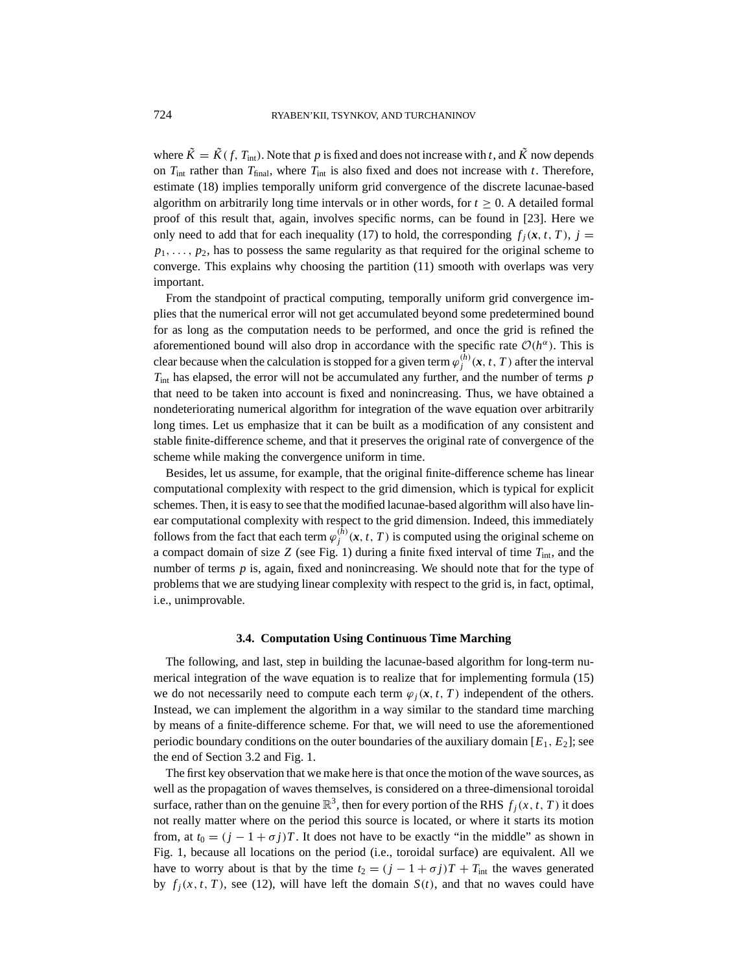where  $\tilde{K} = \tilde{K}(f, T_{\text{int}})$ . Note that p is fixed and does not increase with t, and  $\tilde{K}$  now depends on  $T_{\text{int}}$  rather than  $T_{\text{final}}$ , where  $T_{\text{int}}$  is also fixed and does not increase with *t*. Therefore, estimate (18) implies temporally uniform grid convergence of the discrete lacunae-based algorithm on arbitrarily long time intervals or in other words, for  $t \geq 0$ . A detailed formal proof of this result that, again, involves specific norms, can be found in [23]. Here we only need to add that for each inequality (17) to hold, the corresponding  $f_i(\mathbf{x}, t, T)$ ,  $j =$  $p_1, \ldots, p_2$ , has to possess the same regularity as that required for the original scheme to converge. This explains why choosing the partition (11) smooth with overlaps was very important.

From the standpoint of practical computing, temporally uniform grid convergence implies that the numerical error will not get accumulated beyond some predetermined bound for as long as the computation needs to be performed, and once the grid is refined the aforementioned bound will also drop in accordance with the specific rate  $O(h^{\alpha})$ . This is clear because when the calculation is stopped for a given term  $\varphi_j^{(h)}(\bm x,t,T)$  after the interval *T*int has elapsed, the error will not be accumulated any further, and the number of terms *p* that need to be taken into account is fixed and nonincreasing. Thus, we have obtained a nondeteriorating numerical algorithm for integration of the wave equation over arbitrarily long times. Let us emphasize that it can be built as a modification of any consistent and stable finite-difference scheme, and that it preserves the original rate of convergence of the scheme while making the convergence uniform in time.

Besides, let us assume, for example, that the original finite-difference scheme has linear computational complexity with respect to the grid dimension, which is typical for explicit schemes. Then, it is easy to see that the modified lacunae-based algorithm will also have linear computational complexity with respect to the grid dimension. Indeed, this immediately follows from the fact that each term  $\varphi_j^{(h)}(\mathbf{x}, t, T)$  is computed using the original scheme on a compact domain of size *Z* (see Fig. 1) during a finite fixed interval of time  $T_{\text{int}}$ , and the number of terms *p* is, again, fixed and nonincreasing. We should note that for the type of problems that we are studying linear complexity with respect to the grid is, in fact, optimal, i.e., unimprovable.

## **3.4. Computation Using Continuous Time Marching**

The following, and last, step in building the lacunae-based algorithm for long-term numerical integration of the wave equation is to realize that for implementing formula (15) we do not necessarily need to compute each term  $\varphi_i(\mathbf{x}, t, T)$  independent of the others. Instead, we can implement the algorithm in a way similar to the standard time marching by means of a finite-difference scheme. For that, we will need to use the aforementioned periodic boundary conditions on the outer boundaries of the auxiliary domain  $[E_1, E_2]$ ; see the end of Section 3.2 and Fig. 1.

The first key observation that we make here is that once the motion of the wave sources, as well as the propagation of waves themselves, is considered on a three-dimensional toroidal surface, rather than on the genuine  $\mathbb{R}^3$ , then for every portion of the RHS  $f_j(x, t, T)$  it does not really matter where on the period this source is located, or where it starts its motion from, at  $t_0 = (j - 1 + \sigma j)T$ . It does not have to be exactly "in the middle" as shown in Fig. 1, because all locations on the period (i.e., toroidal surface) are equivalent. All we have to worry about is that by the time  $t_2 = (j - 1 + \sigma j)T + T_{int}$  the waves generated by  $f_i(x, t, T)$ , see (12), will have left the domain  $S(t)$ , and that no waves could have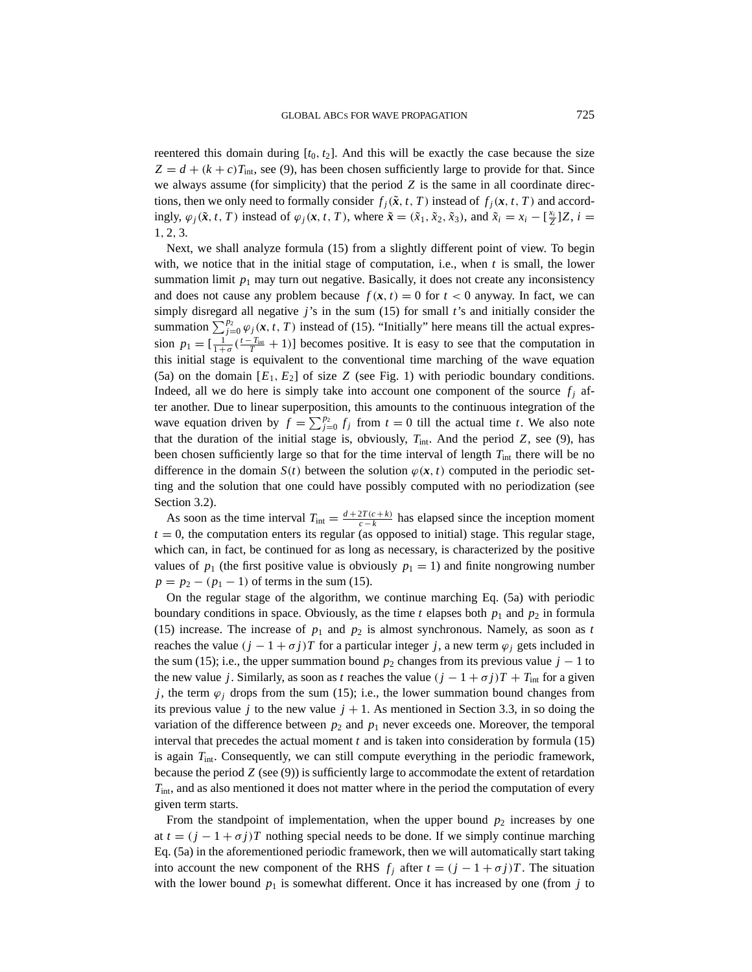reentered this domain during  $[t_0, t_2]$ . And this will be exactly the case because the size  $Z = d + (k + c)T_{\text{int}}$ , see (9), has been chosen sufficiently large to provide for that. Since we always assume (for simplicity) that the period  $Z$  is the same in all coordinate directions, then we only need to formally consider  $f_i(\tilde{\mathbf{x}}, t, T)$  instead of  $f_i(\mathbf{x}, t, T)$  and accordingly,  $\varphi_j(\tilde{x}, t, T)$  instead of  $\varphi_j(x, t, T)$ , where  $\tilde{x} = (\tilde{x}_1, \tilde{x}_2, \tilde{x}_3)$ , and  $\tilde{x}_i = x_i - [\frac{x_i}{Z}]Z$ ,  $i =$ 1, 2, 3.

Next, we shall analyze formula (15) from a slightly different point of view. To begin with, we notice that in the initial stage of computation, i.e., when *t* is small, the lower summation limit  $p_1$  may turn out negative. Basically, it does not create any inconsistency and does not cause any problem because  $f(x, t) = 0$  for  $t < 0$  anyway. In fact, we can simply disregard all negative *j*'s in the sum (15) for small *t*'s and initially consider the summation  $\sum_{j=0}^{p_2} \varphi_j(x, t, T)$  instead of (15). "Initially" here means till the actual expression  $p_1 = \left[\frac{1}{1+\sigma}\left(\frac{t-T_{\text{int}}}{T}+1\right)\right]$  becomes positive. It is easy to see that the computation in this initial stage is equivalent to the conventional time marching of the wave equation (5a) on the domain  $[E_1, E_2]$  of size *Z* (see Fig. 1) with periodic boundary conditions. Indeed, all we do here is simply take into account one component of the source  $f_i$  after another. Due to linear superposition, this amounts to the continuous integration of the wave equation driven by  $f = \sum_{j=0}^{p_2} f_j$  from  $t = 0$  till the actual time *t*. We also note that the duration of the initial stage is, obviously,  $T_{int}$ . And the period *Z*, see (9), has been chosen sufficiently large so that for the time interval of length *T*int there will be no difference in the domain  $S(t)$  between the solution  $\varphi(\mathbf{x}, t)$  computed in the periodic setting and the solution that one could have possibly computed with no periodization (see Section 3.2).

As soon as the time interval  $T_{int} = \frac{d + 2T(c + k)}{c - k}$  has elapsed since the inception moment  $t = 0$ , the computation enters its regular (as opposed to initial) stage. This regular stage, which can, in fact, be continued for as long as necessary, is characterized by the positive values of  $p_1$  (the first positive value is obviously  $p_1 = 1$ ) and finite nongrowing number  $p = p_2 - (p_1 - 1)$  of terms in the sum (15).

On the regular stage of the algorithm, we continue marching Eq. (5a) with periodic boundary conditions in space. Obviously, as the time *t* elapses both  $p_1$  and  $p_2$  in formula (15) increase. The increase of  $p_1$  and  $p_2$  is almost synchronous. Namely, as soon as *t* reaches the value  $(j - 1 + \sigma j)T$  for a particular integer *j*, a new term  $\varphi_j$  gets included in the sum (15); i.e., the upper summation bound  $p_2$  changes from its previous value  $j - 1$  to the new value *j*. Similarly, as soon as *t* reaches the value  $(j - 1 + \sigma j)T + T_{int}$  for a given *j*, the term  $\varphi_i$  drops from the sum (15); i.e., the lower summation bound changes from its previous value *j* to the new value  $j + 1$ . As mentioned in Section 3.3, in so doing the variation of the difference between  $p_2$  and  $p_1$  never exceeds one. Moreover, the temporal interval that precedes the actual moment *t* and is taken into consideration by formula (15) is again  $T_{\text{int}}$ . Consequently, we can still compute everything in the periodic framework, because the period  $Z$  (see  $(9)$ ) is sufficiently large to accommodate the extent of retardation  $T_{\text{int}}$ , and as also mentioned it does not matter where in the period the computation of every given term starts.

From the standpoint of implementation, when the upper bound  $p_2$  increases by one at  $t = (j - 1 + \sigma j)T$  nothing special needs to be done. If we simply continue marching Eq. (5a) in the aforementioned periodic framework, then we will automatically start taking into account the new component of the RHS  $f_i$  after  $t = (j - 1 + \sigma j)T$ . The situation with the lower bound  $p_1$  is somewhat different. Once it has increased by one (from *j* to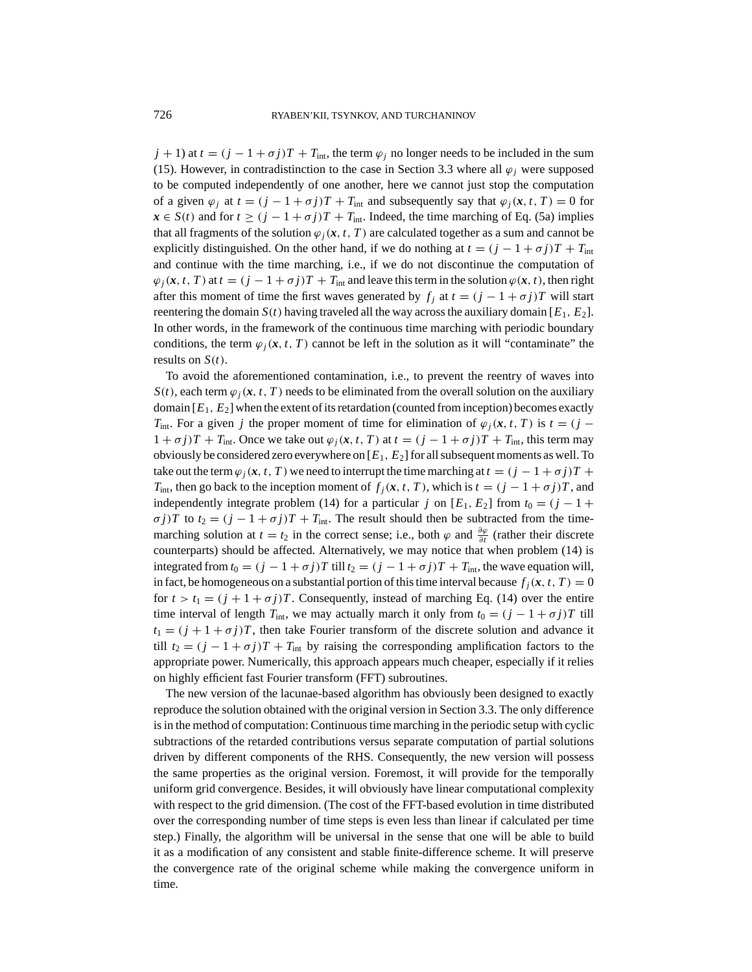$j + 1$ ) at  $t = (j - 1 + \sigma j)T + T_{int}$ , the term  $\varphi_j$  no longer needs to be included in the sum (15). However, in contradistinction to the case in Section 3.3 where all  $\varphi_i$  were supposed to be computed independently of one another, here we cannot just stop the computation of a given  $\varphi_i$  at  $t = (i - 1 + \sigma i)T + T_{int}$  and subsequently say that  $\varphi_i(\mathbf{x}, t, T) = 0$  for  $x \in S(t)$  and for  $t \ge (j - 1 + \sigma j)T + T_{int}$ . Indeed, the time marching of Eq. (5a) implies that all fragments of the solution  $\varphi_i(x, t, T)$  are calculated together as a sum and cannot be explicitly distinguished. On the other hand, if we do nothing at  $t = (j - 1 + \sigma j)T + T_{\text{int}}$ and continue with the time marching, i.e., if we do not discontinue the computation of  $\varphi_i(\mathbf{x}, t, T)$  at  $t = (j - 1 + \sigma j)T + T_{\text{int}}$  and leave this term in the solution  $\varphi(\mathbf{x}, t)$ , then right after this moment of time the first waves generated by  $f_i$  at  $t = (j - 1 + \sigma j)T$  will start reentering the domain  $S(t)$  having traveled all the way across the auxiliary domain  $[E_1, E_2]$ . In other words, in the framework of the continuous time marching with periodic boundary conditions, the term  $\varphi_i(x, t, T)$  cannot be left in the solution as it will "contaminate" the results on *S*(*t*).

To avoid the aforementioned contamination, i.e., to prevent the reentry of waves into  $S(t)$ , each term  $\varphi_i(\mathbf{x}, t, T)$  needs to be eliminated from the overall solution on the auxiliary domain  $[E_1, E_2]$  when the extent of its retardation (counted from inception) becomes exactly *T*<sub>int</sub>. For a given *j* the proper moment of time for elimination of  $\varphi_i(\mathbf{x}, t, T)$  is  $t = (j (1 + \sigma j)T + T_{\text{int}}$ . Once we take out  $\varphi_i(\mathbf{x}, t, T)$  at  $t = (j - 1 + \sigma j)T + T_{\text{int}}$ , this term may obviously be considered zero everywhere on [*E*1, *E*2] for all subsequent moments as well. To take out the term  $\varphi_i(\mathbf{x}, t, T)$  we need to interrupt the time marching at  $t = (j - 1 + \sigma j)T +$ *T*<sub>int</sub>, then go back to the inception moment of  $f_i(x, t, T)$ , which is  $t = (j - 1 + \sigma j)T$ , and independently integrate problem (14) for a particular *j* on [ $E_1$ ,  $E_2$ ] from  $t_0 = (j - 1 + j)$  $\sigma j$ )*T* to  $t_2 = (j - 1 + \sigma j)T + T_{\text{int}}$ . The result should then be subtracted from the timemarching solution at  $t = t_2$  in the correct sense; i.e., both  $\varphi$  and  $\frac{\partial \varphi}{\partial t}$  (rather their discrete counterparts) should be affected. Alternatively, we may notice that when problem (14) is integrated from  $t_0 = (j - 1 + \sigma j)T$  till  $t_2 = (j - 1 + \sigma j)T + T_{int}$ , the wave equation will, in fact, be homogeneous on a substantial portion of this time interval because  $f_i(\mathbf{x}, t, T) = 0$ for  $t > t_1 = (j + 1 + \sigma j)T$ . Consequently, instead of marching Eq. (14) over the entire time interval of length  $T_{\text{int}}$ , we may actually march it only from  $t_0 = (j - 1 + \sigma j)T$  till  $t_1 = (i + 1 + \sigma i)T$ , then take Fourier transform of the discrete solution and advance it till  $t_2 = (j - 1 + \sigma j)T + T_{int}$  by raising the corresponding amplification factors to the appropriate power. Numerically, this approach appears much cheaper, especially if it relies on highly efficient fast Fourier transform (FFT) subroutines.

The new version of the lacunae-based algorithm has obviously been designed to exactly reproduce the solution obtained with the original version in Section 3.3. The only difference is in the method of computation: Continuous time marching in the periodic setup with cyclic subtractions of the retarded contributions versus separate computation of partial solutions driven by different components of the RHS. Consequently, the new version will possess the same properties as the original version. Foremost, it will provide for the temporally uniform grid convergence. Besides, it will obviously have linear computational complexity with respect to the grid dimension. (The cost of the FFT-based evolution in time distributed over the corresponding number of time steps is even less than linear if calculated per time step.) Finally, the algorithm will be universal in the sense that one will be able to build it as a modification of any consistent and stable finite-difference scheme. It will preserve the convergence rate of the original scheme while making the convergence uniform in time.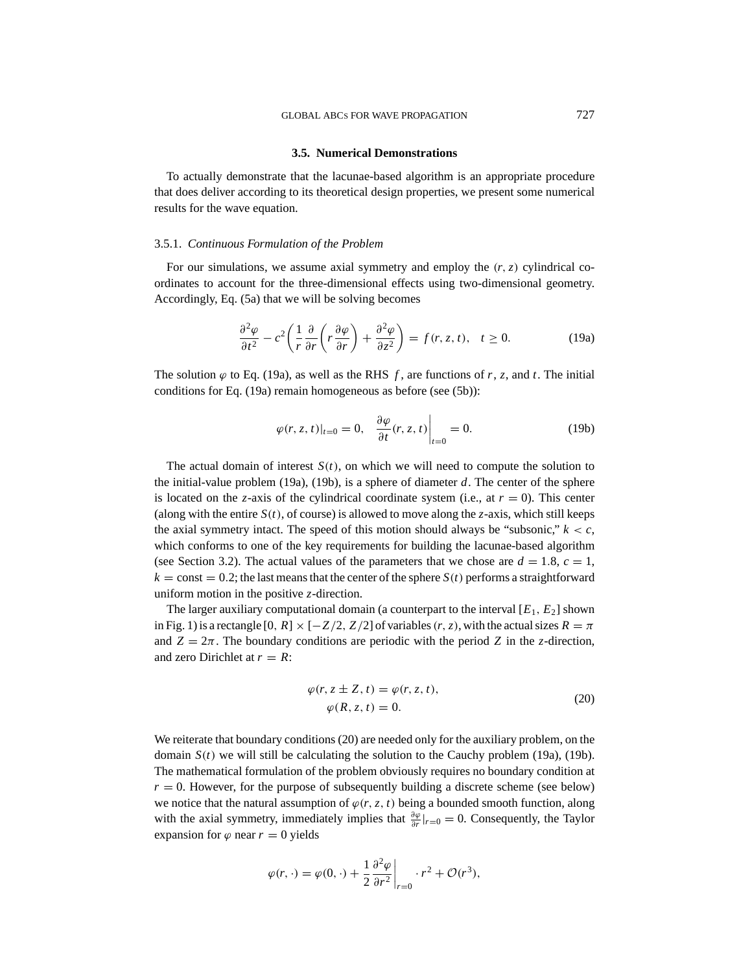# **3.5. Numerical Demonstrations**

To actually demonstrate that the lacunae-based algorithm is an appropriate procedure that does deliver according to its theoretical design properties, we present some numerical results for the wave equation.

### 3.5.1. *Continuous Formulation of the Problem*

For our simulations, we assume axial symmetry and employ the  $(r, z)$  cylindrical coordinates to account for the three-dimensional effects using two-dimensional geometry. Accordingly, Eq. (5a) that we will be solving becomes

$$
\frac{\partial^2 \varphi}{\partial t^2} - c^2 \left( \frac{1}{r} \frac{\partial}{\partial r} \left( r \frac{\partial \varphi}{\partial r} \right) + \frac{\partial^2 \varphi}{\partial z^2} \right) = f(r, z, t), \quad t \ge 0.
$$
 (19a)

The solution  $\varphi$  to Eq. (19a), as well as the RHS  $f$ , are functions of  $r$ ,  $z$ , and  $t$ . The initial conditions for Eq. (19a) remain homogeneous as before (see (5b)):

$$
\varphi(r, z, t)|_{t=0} = 0, \quad \frac{\partial \varphi}{\partial t}(r, z, t)|_{t=0} = 0.
$$
 (19b)

The actual domain of interest  $S(t)$ , on which we will need to compute the solution to the initial-value problem (19a), (19b), is a sphere of diameter *d*. The center of the sphere is located on the *z*-axis of the cylindrical coordinate system (i.e., at  $r = 0$ ). This center (along with the entire  $S(t)$ , of course) is allowed to move along the *z*-axis, which still keeps the axial symmetry intact. The speed of this motion should always be "subsonic,"  $k < c$ , which conforms to one of the key requirements for building the lacunae-based algorithm (see Section 3.2). The actual values of the parameters that we chose are  $d = 1.8$ ,  $c = 1$ ,  $k =$  const  $= 0.2$ ; the last means that the center of the sphere  $S(t)$  performs a straightforward uniform motion in the positive *z*-direction.

The larger auxiliary computational domain (a counterpart to the interval  $[E_1, E_2]$  shown in Fig. 1) is a rectangle [0,  $R \times [-Z/2, Z/2]$  of variables  $(r, z)$ , with the actual sizes  $R = \pi$ and  $Z = 2\pi$ . The boundary conditions are periodic with the period Z in the *z*-direction, and zero Dirichlet at  $r = R$ :

$$
\varphi(r, z \pm Z, t) = \varphi(r, z, t),
$$
  
\n
$$
\varphi(R, z, t) = 0.
$$
\n(20)

We reiterate that boundary conditions (20) are needed only for the auxiliary problem, on the domain  $S(t)$  we will still be calculating the solution to the Cauchy problem (19a), (19b). The mathematical formulation of the problem obviously requires no boundary condition at  $r = 0$ . However, for the purpose of subsequently building a discrete scheme (see below) we notice that the natural assumption of  $\varphi(r, z, t)$  being a bounded smooth function, along with the axial symmetry, immediately implies that  $\frac{\partial \varphi}{\partial r}|_{r=0} = 0$ . Consequently, the Taylor expansion for  $\varphi$  near  $r = 0$  yields

$$
\varphi(r,\cdot) = \varphi(0,\cdot) + \frac{1}{2} \frac{\partial^2 \varphi}{\partial r^2}\bigg|_{r=0} \cdot r^2 + \mathcal{O}(r^3),
$$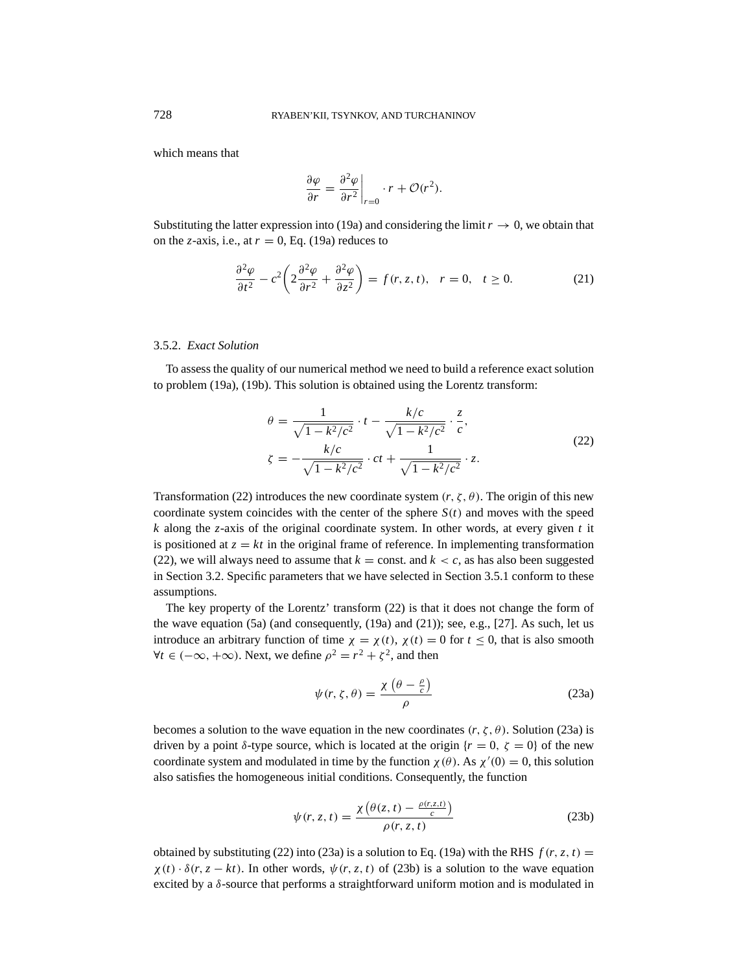which means that

$$
\frac{\partial \varphi}{\partial r} = \frac{\partial^2 \varphi}{\partial r^2}\bigg|_{r=0} \cdot r + \mathcal{O}(r^2).
$$

Substituting the latter expression into (19a) and considering the limit  $r \to 0$ , we obtain that on the *z*-axis, i.e., at  $r = 0$ , Eq. (19a) reduces to

$$
\frac{\partial^2 \varphi}{\partial t^2} - c^2 \left( 2 \frac{\partial^2 \varphi}{\partial r^2} + \frac{\partial^2 \varphi}{\partial z^2} \right) = f(r, z, t), \quad r = 0, \quad t \ge 0.
$$
 (21)

# 3.5.2. *Exact Solution*

To assess the quality of our numerical method we need to build a reference exact solution to problem (19a), (19b). This solution is obtained using the Lorentz transform:

$$
\theta = \frac{1}{\sqrt{1 - k^2/c^2}} \cdot t - \frac{k/c}{\sqrt{1 - k^2/c^2}} \cdot \frac{z}{c},
$$
  

$$
\zeta = -\frac{k/c}{\sqrt{1 - k^2/c^2}} \cdot ct + \frac{1}{\sqrt{1 - k^2/c^2}} \cdot z.
$$
 (22)

Transformation (22) introduces the new coordinate system  $(r, \zeta, \theta)$ . The origin of this new coordinate system coincides with the center of the sphere  $S(t)$  and moves with the speed *k* along the *z*-axis of the original coordinate system. In other words, at every given *t* it is positioned at  $z = kt$  in the original frame of reference. In implementing transformation (22), we will always need to assume that  $k =$  const. and  $k < c$ , as has also been suggested in Section 3.2. Specific parameters that we have selected in Section 3.5.1 conform to these assumptions.

The key property of the Lorentz' transform (22) is that it does not change the form of the wave equation (5a) (and consequently, (19a) and (21)); see, e.g., [27]. As such, let us introduce an arbitrary function of time  $\chi = \chi(t)$ ,  $\chi(t) = 0$  for  $t \le 0$ , that is also smooth  $\forall t \in (-\infty, +\infty)$ . Next, we define  $\rho^2 = r^2 + \zeta^2$ , and then

$$
\psi(r,\zeta,\theta) = \frac{\chi\left(\theta - \frac{\rho}{c}\right)}{\rho} \tag{23a}
$$

becomes a solution to the wave equation in the new coordinates  $(r, \zeta, \theta)$ . Solution (23a) is driven by a point δ-type source, which is located at the origin  $\{r = 0, \zeta = 0\}$  of the new coordinate system and modulated in time by the function  $\chi(\theta)$ . As  $\chi'(0) = 0$ , this solution also satisfies the homogeneous initial conditions. Consequently, the function

$$
\psi(r, z, t) = \frac{\chi\left(\theta(z, t) - \frac{\rho(r, z, t)}{c}\right)}{\rho(r, z, t)}
$$
\n(23b)

obtained by substituting (22) into (23a) is a solution to Eq. (19a) with the RHS  $f(r, z, t) =$  $\chi(t) \cdot \delta(r, z - kt)$ . In other words,  $\psi(r, z, t)$  of (23b) is a solution to the wave equation excited by a δ-source that performs a straightforward uniform motion and is modulated in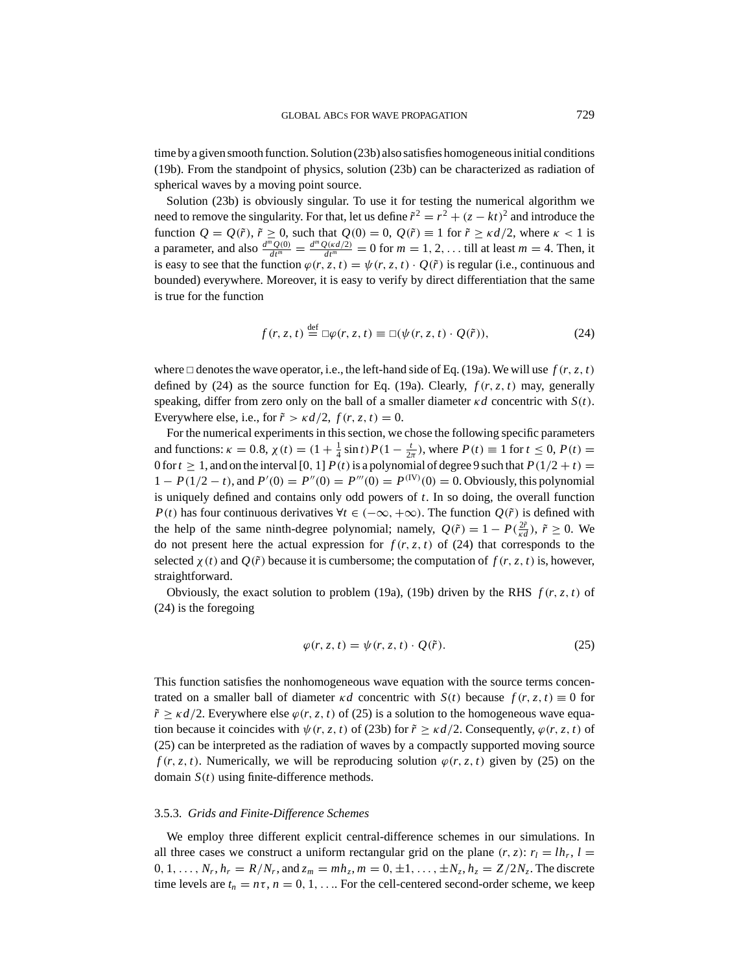time by a given smooth function. Solution (23b) also satisfies homogeneous initial conditions (19b). From the standpoint of physics, solution (23b) can be characterized as radiation of spherical waves by a moving point source.

Solution (23b) is obviously singular. To use it for testing the numerical algorithm we need to remove the singularity. For that, let us define  $\tilde{r}^2 = r^2 + (z - kt)^2$  and introduce the function  $Q = Q(\tilde{r})$ ,  $\tilde{r} \ge 0$ , such that  $Q(0) = 0$ ,  $Q(\tilde{r}) \equiv 1$  for  $\tilde{r} \ge \kappa d/2$ , where  $\kappa < 1$  is a parameter, and also  $\frac{d^m Q(0)}{dt^m} = \frac{d^m Q(kd/2)}{dt^m} = 0$  for  $m = 1, 2, ...$  till at least  $m = 4$ . Then, it is easy to see that the function  $\varphi(r, z, t) = \psi(r, z, t) \cdot Q(\tilde{r})$  is regular (i.e., continuous and bounded) everywhere. Moreover, it is easy to verify by direct differentiation that the same is true for the function

$$
f(r, z, t) \stackrel{\text{def}}{=} \Box \varphi(r, z, t) \equiv \Box (\psi(r, z, t) \cdot Q(\tilde{r})), \tag{24}
$$

where  $\Box$  denotes the wave operator, i.e., the left-hand side of Eq. (19a). We will use  $f(r, z, t)$ defined by (24) as the source function for Eq. (19a). Clearly,  $f(r, z, t)$  may, generally speaking, differ from zero only on the ball of a smaller diameter κ*d* concentric with *S*(*t*). Everywhere else, i.e., for  $\tilde{r} > \kappa d/2$ ,  $f(r, z, t) = 0$ .

For the numerical experiments in this section, we chose the following specific parameters and functions:  $\kappa = 0.8$ ,  $\chi(t) = (1 + \frac{1}{4} \sin t)P(1 - \frac{t}{2\pi})$ , where  $P(t) \equiv 1$  for  $t \le 0$ ,  $P(t) =$ 0 for  $t \ge 1$ , and on the interval [0, 1]  $P(t)$  is a polynomial of degree 9 such that  $P(1/2 + t) =$  $1 - P(1/2 - t)$ , and  $P'(0) = P''(0) = P'''(0) = P^{(IV)}(0) = 0$ . Obviously, this polynomial is uniquely defined and contains only odd powers of *t*. In so doing, the overall function *P*(*t*) has four continuous derivatives ∀*t* ∈ (−∞, +∞). The function  $Q(\tilde{r})$  is defined with the help of the same ninth-degree polynomial; namely,  $Q(\tilde{r}) = 1 - P(\frac{2\tilde{r}}{kd})$ ,  $\tilde{r} \ge 0$ . We do not present here the actual expression for  $f(r, z, t)$  of (24) that corresponds to the selected  $\chi(t)$  and  $Q(\tilde{r})$  because it is cumbersome; the computation of  $f(r, z, t)$  is, however, straightforward.

Obviously, the exact solution to problem (19a), (19b) driven by the RHS  $f(r, z, t)$  of (24) is the foregoing

$$
\varphi(r, z, t) = \psi(r, z, t) \cdot Q(\tilde{r}). \tag{25}
$$

This function satisfies the nonhomogeneous wave equation with the source terms concentrated on a smaller ball of diameter  $\kappa d$  concentric with  $S(t)$  because  $f(r, z, t) \equiv 0$  for  $\tilde{r} \geq \frac{\kappa d}{2}$ . Everywhere else  $\varphi(r, z, t)$  of (25) is a solution to the homogeneous wave equation because it coincides with  $\psi(r, z, t)$  of (23b) for  $\tilde{r} \ge \kappa d/2$ . Consequently,  $\varphi(r, z, t)$  of (25) can be interpreted as the radiation of waves by a compactly supported moving source *f* (*r*, *z*, *t*). Numerically, we will be reproducing solution  $\varphi$  (*r*, *z*, *t*) given by (25) on the domain *S*(*t*) using finite-difference methods.

#### 3.5.3. *Grids and Finite-Difference Schemes*

We employ three different explicit central-difference schemes in our simulations. In all three cases we construct a uniform rectangular grid on the plane  $(r, z)$ :  $r_l = lh_r$ ,  $l =$  $0, 1, \ldots, N_r, h_r = R/N_r$ , and  $z_m = mh_z, m = 0, \pm 1, \ldots, \pm N_z, h_z = Z/2N_z$ . The discrete time levels are  $t_n = n\tau$ ,  $n = 0, 1, \ldots$  For the cell-centered second-order scheme, we keep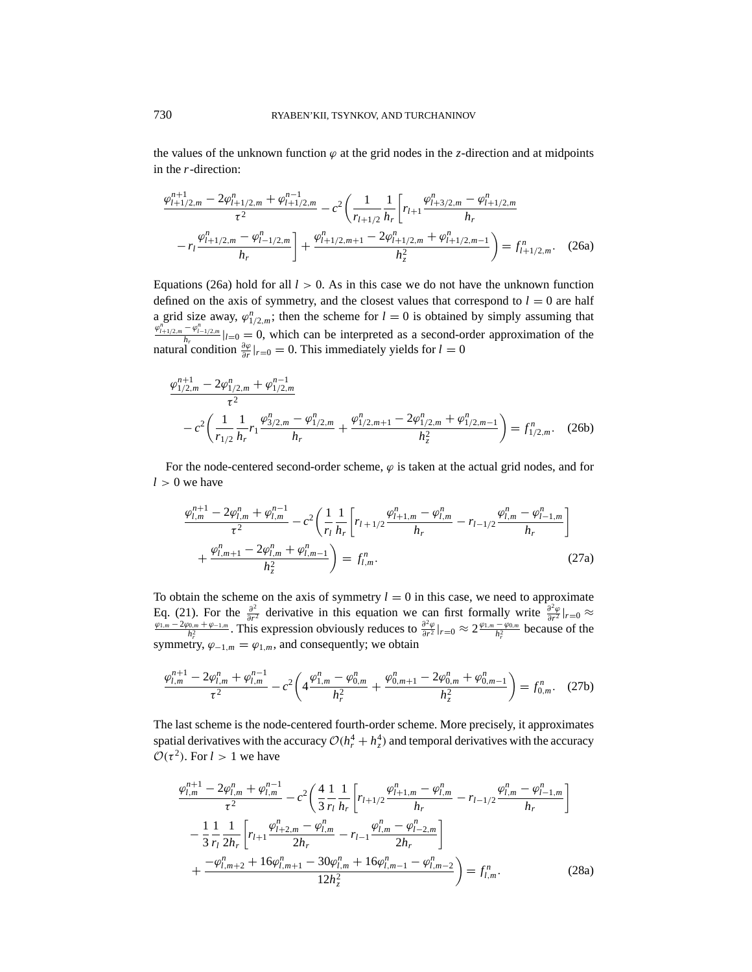the values of the unknown function  $\varphi$  at the grid nodes in the *z*-direction and at midpoints in the *r*-direction:

$$
\frac{\varphi_{l+1/2,m}^{n+1} - 2\varphi_{l+1/2,m}^{n}}{\tau^2} - c^2 \left( \frac{1}{r_{l+1/2}} \frac{1}{h_r} \left[ r_{l+1} \frac{\varphi_{l+3/2,m}^{n} - \varphi_{l+1/2,m}^{n}}{h_r} - r_l \frac{\varphi_{l+1/2,m}^{n} - \varphi_{l-1/2,m}^{n}}{h_r} \right] + \frac{\varphi_{l+1/2,m+1}^{n} - 2\varphi_{l+1/2,m}^{n} + \varphi_{l+1/2,m-1}^{n}}{h_z^2} \right) = f_{l+1/2,m}^{n}.
$$
 (26a)

Equations (26a) hold for all  $l > 0$ . As in this case we do not have the unknown function defined on the axis of symmetry, and the closest values that correspond to  $l = 0$  are half a grid size away,  $\varphi_{1/2,m}^n$ ; then the scheme for  $l = 0$  is obtained by simply assuming that  $\frac{\varphi_{l+1/2,m}^n - \varphi_{l-1/2,m}^n}{h_r}$   $|_{l=0} = 0$ , which can be interpreted as a second-order approximation of the natural condition  $\frac{\partial \varphi}{\partial r}|_{r=0} = 0$ . This immediately yields for  $l = 0$ 

$$
\frac{\varphi_{1/2,m}^{n+1} - 2\varphi_{1/2,m}^{n}}{\tau^2} + \frac{\varphi_{1/2,m}^{n-1}}{h_r} + \frac{\varphi_{1/2,m}^{n}}{h_r} + \frac{\varphi_{1/2,m+1}^{n} - 2\varphi_{1/2,m}^{n}}{h_z^2} + \frac{\varphi_{1/2,m+1}^{n} - 2\varphi_{1/2,m}^{n}}{h_z^2} = f_{1/2,m}^{n}.
$$
 (26b)

For the node-centered second-order scheme,  $\varphi$  is taken at the actual grid nodes, and for  $l > 0$  we have

$$
\frac{\varphi_{l,m}^{n+1} - 2\varphi_{l,m}^n + \varphi_{l,m}^{n-1}}{\tau^2} - c^2 \left( \frac{1}{r_l} \frac{1}{h_r} \left[ r_{l+1/2} \frac{\varphi_{l+1,m}^n - \varphi_{l,m}^n}{h_r} - r_{l-1/2} \frac{\varphi_{l,m}^n - \varphi_{l-1,m}^n}{h_r} \right] + \frac{\varphi_{l,m+1}^n - 2\varphi_{l,m}^n + \varphi_{l,m-1}^n}{h_z^2} \right) = f_{l,m}^n.
$$
\n(27a)

To obtain the scheme on the axis of symmetry  $l = 0$  in this case, we need to approximate Eq. (21). For the  $\frac{\partial^2}{\partial r^2}$  derivative in this equation we can first formally write  $\frac{\partial^2 \varphi}{\partial r^2}|_{r=0} \approx \frac{\varphi_{1,m}-2\varphi_{0,m}+\varphi_{-1,m}}{h_r^2}$ . This expression obviously reduces to  $\frac{\partial^2 \varphi}{\partial r^2}|_{r=0} \approx 2 \frac{\varphi_{1,m}-\$ symmetry,  $\varphi_{-1,m} = \varphi_{1,m}$ , and consequently; we obtain

$$
\frac{\varphi_{l,m}^{n+1} - 2\varphi_{l,m}^n + \varphi_{l,m}^{n-1}}{\tau^2} - c^2 \left( 4 \frac{\varphi_{1,m}^n - \varphi_{0,m}^n}{h_r^2} + \frac{\varphi_{0,m+1}^n - 2\varphi_{0,m}^n + \varphi_{0,m-1}^n}{h_z^2} \right) = f_{0,m}^n. \quad (27b)
$$

The last scheme is the node-centered fourth-order scheme. More precisely, it approximates spatial derivatives with the accuracy  $O(h_r^4 + h_z^4)$  and temporal derivatives with the accuracy  $\mathcal{O}(\tau^2)$ . For  $l > 1$  we have

$$
\frac{\varphi_{l,m}^{n+1} - 2\varphi_{l,m}^n + \varphi_{l,m}^{n-1}}{\tau^2} - c^2 \left( \frac{4}{3} \frac{1}{r_l} \frac{1}{h_r} \left[ r_{l+1/2} \frac{\varphi_{l+1,m}^n - \varphi_{l,m}^n}{h_r} - r_{l-1/2} \frac{\varphi_{l,m}^n - \varphi_{l-1,m}^n}{h_r} \right] - \frac{1}{3} \frac{1}{r_l} \frac{1}{2h_r} \left[ r_{l+1} \frac{\varphi_{l+2,m}^n - \varphi_{l,m}^n}{2h_r} - r_{l-1} \frac{\varphi_{l,m}^n - \varphi_{l-2,m}^n}{2h_r} \right] + \frac{-\varphi_{l,m+2}^n + 16\varphi_{l,m+1}^n - 30\varphi_{l,m}^n + 16\varphi_{l,m-1}^n - \varphi_{l,m-2}^n}{12h_z^2} = f_{l,m}^n.
$$
\n(28a)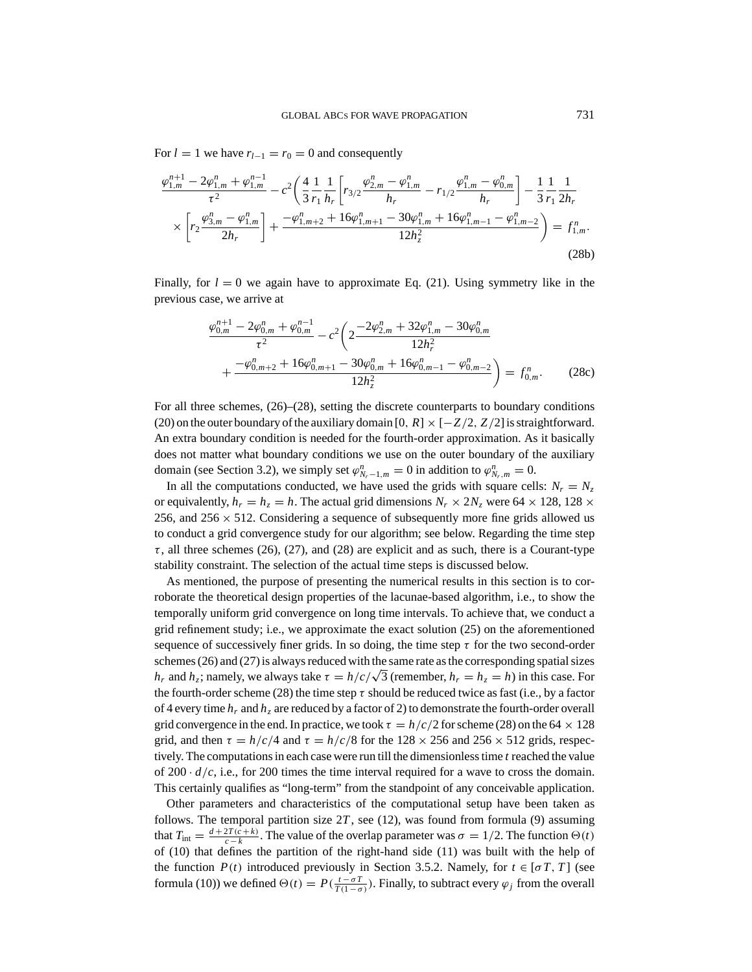For  $l = 1$  we have  $r_{l-1} = r_0 = 0$  and consequently

$$
\frac{\varphi_{1,m}^{n+1} - 2\varphi_{1,m}^{n} + \varphi_{1,m}^{n-1}}{\tau^2} - c^2 \left( \frac{4}{3} \frac{1}{r_1} \frac{1}{h_r} \left[ r_{3/2} \frac{\varphi_{2,m}^n - \varphi_{1,m}^n}{h_r} - r_{1/2} \frac{\varphi_{1,m}^n - \varphi_{0,m}^n}{h_r} \right] - \frac{1}{3} \frac{1}{r_1} \frac{1}{2h_r} \times \left[ r_2 \frac{\varphi_{3,m}^n - \varphi_{1,m}^n}{2h_r} \right] + \frac{-\varphi_{1,m+2}^n + 16\varphi_{1,m+1}^n - 30\varphi_{1,m}^n + 16\varphi_{1,m-1}^n - \varphi_{1,m-2}^n}{12h_z^2} \right) = f_{1,m}^n.
$$
\n(28b)

Finally, for  $l = 0$  we again have to approximate Eq. (21). Using symmetry like in the previous case, we arrive at

$$
\frac{\varphi_{0,m}^{n+1} - 2\varphi_{0,m}^{n} + \varphi_{0,m}^{n-1}}{\tau^2} - c^2 \left( 2 \frac{-2\varphi_{2,m}^n + 32\varphi_{1,m}^n - 30\varphi_{0,m}^n}{12h_r^2} + \frac{-\varphi_{0,m+2}^n + 16\varphi_{0,m+1}^n - 30\varphi_{0,m}^n + 16\varphi_{0,m-1}^n - \varphi_{0,m-2}^n}{12h_z^2} \right) = f_{0,m}^n.
$$
 (28c)

For all three schemes, (26)–(28), setting the discrete counterparts to boundary conditions (20) on the outer boundary of the auxiliary domain  $[0, R] \times [-Z/2, Z/2]$  is straightforward. An extra boundary condition is needed for the fourth-order approximation. As it basically does not matter what boundary conditions we use on the outer boundary of the auxiliary domain (see Section 3.2), we simply set  $\varphi_{N_r-1,m}^n = 0$  in addition to  $\varphi_{N_r,m}^n = 0$ .

In all the computations conducted, we have used the grids with square cells:  $N_r = N_z$ or equivalently,  $h_r = h_z = h$ . The actual grid dimensions  $N_r \times 2N_z$  were 64  $\times$  128, 128  $\times$ 256, and 256  $\times$  512. Considering a sequence of subsequently more fine grids allowed us to conduct a grid convergence study for our algorithm; see below. Regarding the time step  $\tau$ , all three schemes (26), (27), and (28) are explicit and as such, there is a Courant-type stability constraint. The selection of the actual time steps is discussed below.

As mentioned, the purpose of presenting the numerical results in this section is to corroborate the theoretical design properties of the lacunae-based algorithm, i.e., to show the temporally uniform grid convergence on long time intervals. To achieve that, we conduct a grid refinement study; i.e., we approximate the exact solution (25) on the aforementioned sequence of successively finer grids. In so doing, the time step  $\tau$  for the two second-order schemes (26) and (27) is always reduced with the same rate as the corresponding spatial sizes *h<sub>r</sub>* and *h<sub>z</sub>*; namely, we always take  $τ = h/c/\sqrt{3}$  (remember,  $h_r = h_z = h$ ) in this case. For the fourth-order scheme (28) the time step  $\tau$  should be reduced twice as fast (i.e., by a factor of 4 every time  $h_r$  and  $h_z$  are reduced by a factor of 2) to demonstrate the fourth-order overall grid convergence in the end. In practice, we took  $\tau = h/c/2$  for scheme (28) on the 64  $\times$  128 grid, and then  $\tau = h/c/4$  and  $\tau = h/c/8$  for the 128  $\times$  256 and 256  $\times$  512 grids, respectively. The computations in each case were run till the dimensionless time *t* reached the value of  $200 \cdot d/c$ , i.e., for 200 times the time interval required for a wave to cross the domain. This certainly qualifies as "long-term" from the standpoint of any conceivable application.

Other parameters and characteristics of the computational setup have been taken as follows. The temporal partition size  $2T$ , see (12), was found from formula (9) assuming that  $T_{\text{int}} = \frac{d + 2T(c+k)}{c-k}$ . The value of the overlap parameter was  $\sigma = 1/2$ . The function  $\Theta(t)$ of (10) that defines the partition of the right-hand side (11) was built with the help of the function  $P(t)$  introduced previously in Section 3.5.2. Namely, for  $t \in [\sigma T, T]$  (see formula (10)) we defined  $\Theta(t) = P(\frac{t-\sigma T}{T(1-\sigma)})$ . Finally, to subtract every  $\varphi_j$  from the overall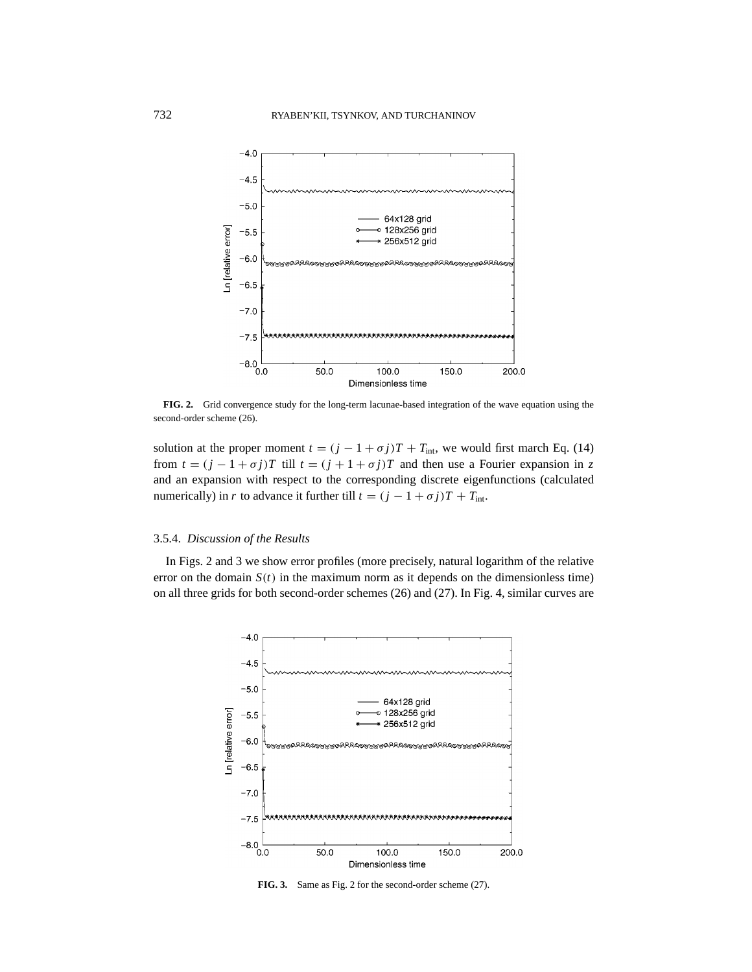

**FIG. 2.** Grid convergence study for the long-term lacunae-based integration of the wave equation using the second-order scheme (26).

solution at the proper moment  $t = (j - 1 + \sigma j)T + T_{int}$ , we would first march Eq. (14) from  $t = (j - 1 + \sigma j)T$  till  $t = (j + 1 + \sigma j)T$  and then use a Fourier expansion in z and an expansion with respect to the corresponding discrete eigenfunctions (calculated numerically) in *r* to advance it further till  $t = (j - 1 + \sigma j)T + T_{int}$ .

# 3.5.4. *Discussion of the Results*

In Figs. 2 and 3 we show error profiles (more precisely, natural logarithm of the relative error on the domain  $S(t)$  in the maximum norm as it depends on the dimensionless time) on all three grids for both second-order schemes (26) and (27). In Fig. 4, similar curves are



**FIG. 3.** Same as Fig. 2 for the second-order scheme (27).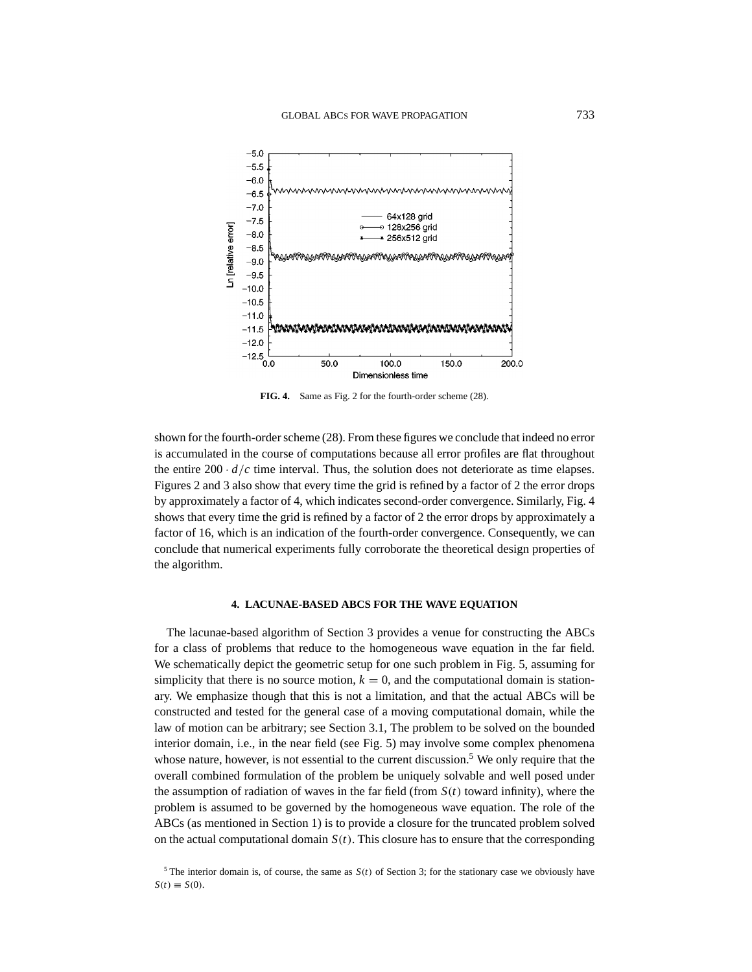

**FIG. 4.** Same as Fig. 2 for the fourth-order scheme (28).

shown for the fourth-order scheme (28). From these figures we conclude that indeed no error is accumulated in the course of computations because all error profiles are flat throughout the entire  $200 \cdot d/c$  time interval. Thus, the solution does not deteriorate as time elapses. Figures 2 and 3 also show that every time the grid is refined by a factor of 2 the error drops by approximately a factor of 4, which indicates second-order convergence. Similarly, Fig. 4 shows that every time the grid is refined by a factor of 2 the error drops by approximately a factor of 16, which is an indication of the fourth-order convergence. Consequently, we can conclude that numerical experiments fully corroborate the theoretical design properties of the algorithm.

#### **4. LACUNAE-BASED ABCS FOR THE WAVE EQUATION**

The lacunae-based algorithm of Section 3 provides a venue for constructing the ABCs for a class of problems that reduce to the homogeneous wave equation in the far field. We schematically depict the geometric setup for one such problem in Fig. 5, assuming for simplicity that there is no source motion,  $k = 0$ , and the computational domain is stationary. We emphasize though that this is not a limitation, and that the actual ABCs will be constructed and tested for the general case of a moving computational domain, while the law of motion can be arbitrary; see Section 3.1, The problem to be solved on the bounded interior domain, i.e., in the near field (see Fig. 5) may involve some complex phenomena whose nature, however, is not essential to the current discussion.<sup>5</sup> We only require that the overall combined formulation of the problem be uniquely solvable and well posed under the assumption of radiation of waves in the far field (from  $S(t)$  toward infinity), where the problem is assumed to be governed by the homogeneous wave equation. The role of the ABCs (as mentioned in Section 1) is to provide a closure for the truncated problem solved on the actual computational domain  $S(t)$ . This closure has to ensure that the corresponding

<sup>&</sup>lt;sup>5</sup> The interior domain is, of course, the same as  $S(t)$  of Section 3; for the stationary case we obviously have  $S(t) \equiv S(0)$ .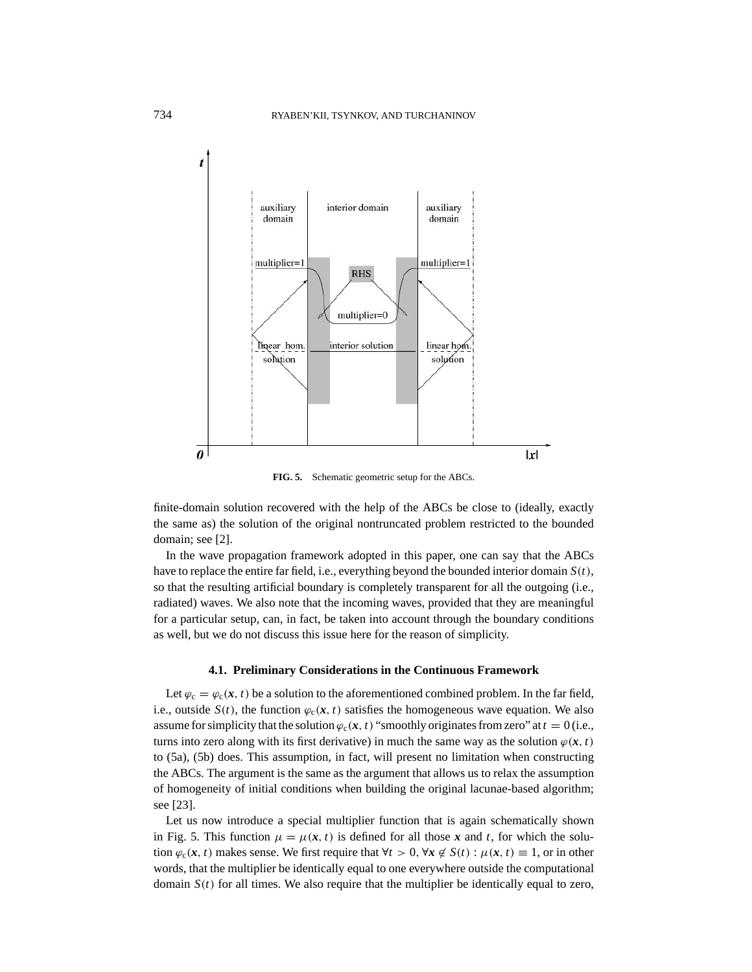

**FIG. 5.** Schematic geometric setup for the ABCs.

finite-domain solution recovered with the help of the ABCs be close to (ideally, exactly the same as) the solution of the original nontruncated problem restricted to the bounded domain; see [2].

In the wave propagation framework adopted in this paper, one can say that the ABCs have to replace the entire far field, i.e., everything beyond the bounded interior domain  $S(t)$ , so that the resulting artificial boundary is completely transparent for all the outgoing (i.e., radiated) waves. We also note that the incoming waves, provided that they are meaningful for a particular setup, can, in fact, be taken into account through the boundary conditions as well, but we do not discuss this issue here for the reason of simplicity.

## **4.1. Preliminary Considerations in the Continuous Framework**

Let  $\varphi_c = \varphi_c(\mathbf{x}, t)$  be a solution to the aforementioned combined problem. In the far field, i.e., outside  $S(t)$ , the function  $\varphi_c(\mathbf{x}, t)$  satisfies the homogeneous wave equation. We also assume for simplicity that the solution  $\varphi_c(\mathbf{x}, t)$  "smoothly originates from zero" at  $t = 0$  (i.e., turns into zero along with its first derivative) in much the same way as the solution  $\varphi(\mathbf{x}, t)$ to (5a), (5b) does. This assumption, in fact, will present no limitation when constructing the ABCs. The argument is the same as the argument that allows us to relax the assumption of homogeneity of initial conditions when building the original lacunae-based algorithm; see [23].

Let us now introduce a special multiplier function that is again schematically shown in Fig. 5. This function  $\mu = \mu(x, t)$  is defined for all those x and t, for which the solution  $\varphi_c(\mathbf{x}, t)$  makes sense. We first require that  $\forall t > 0$ ,  $\forall \mathbf{x} \notin S(t)$  :  $\mu(\mathbf{x}, t) \equiv 1$ , or in other words, that the multiplier be identically equal to one everywhere outside the computational domain  $S(t)$  for all times. We also require that the multiplier be identically equal to zero,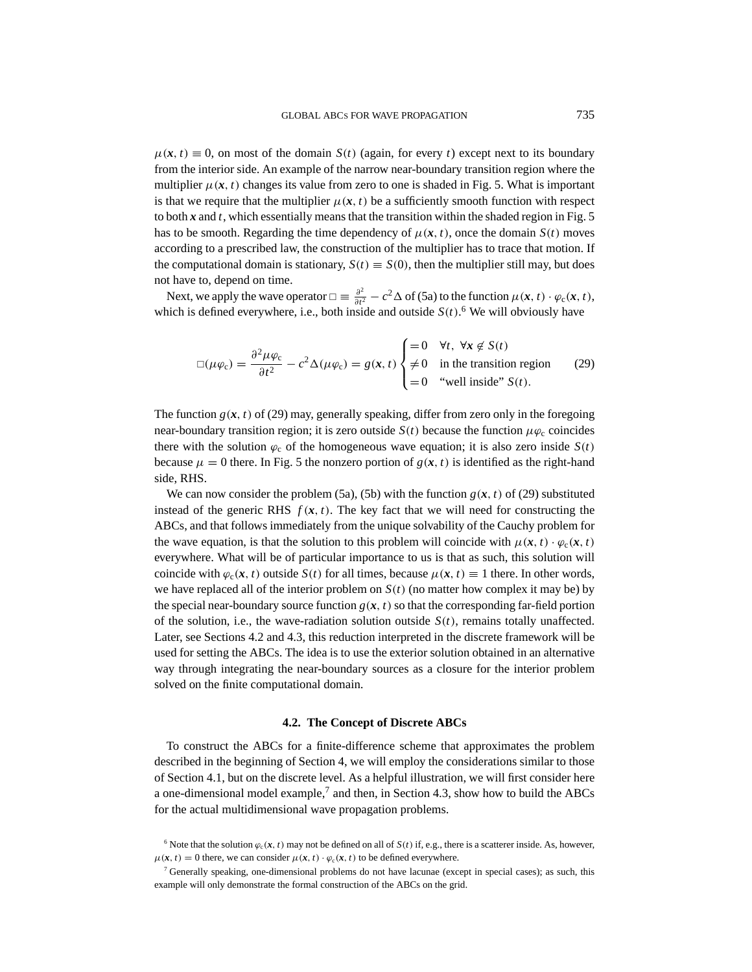$\mu(\mathbf{x}, t) \equiv 0$ , on most of the domain  $S(t)$  (again, for every *t*) except next to its boundary from the interior side. An example of the narrow near-boundary transition region where the multiplier  $\mu(x, t)$  changes its value from zero to one is shaded in Fig. 5. What is important is that we require that the multiplier  $\mu(x, t)$  be a sufficiently smooth function with respect to both *x* and *t*, which essentially means that the transition within the shaded region in Fig. 5 has to be smooth. Regarding the time dependency of  $\mu(x, t)$ , once the domain  $S(t)$  moves according to a prescribed law, the construction of the multiplier has to trace that motion. If the computational domain is stationary,  $S(t) \equiv S(0)$ , then the multiplier still may, but does not have to, depend on time.

Next, we apply the wave operator  $\Box \equiv \frac{\partial^2}{\partial t^2} - c^2 \Delta$  of (5a) to the function  $\mu(\mathbf{x}, t) \cdot \varphi_c(\mathbf{x}, t)$ , which is defined everywhere, i.e., both inside and outside  $S(t)$ .<sup>6</sup> We will obviously have

$$
\Box(\mu \varphi_c) = \frac{\partial^2 \mu \varphi_c}{\partial t^2} - c^2 \Delta(\mu \varphi_c) = g(\mathbf{x}, t) \begin{cases} = 0 & \forall t, \ \forall \mathbf{x} \notin S(t) \\ \neq 0 & \text{in the transition region} \\ = 0 & \text{``well inside'' } S(t). \end{cases}
$$
 (29)

The function  $g(x, t)$  of (29) may, generally speaking, differ from zero only in the foregoing near-boundary transition region; it is zero outside  $S(t)$  because the function  $\mu\varphi_c$  coincides there with the solution  $\varphi_c$  of the homogeneous wave equation; it is also zero inside  $S(t)$ because  $\mu = 0$  there. In Fig. 5 the nonzero portion of  $g(x, t)$  is identified as the right-hand side, RHS.

We can now consider the problem (5a), (5b) with the function  $g(x, t)$  of (29) substituted instead of the generic RHS  $f(x, t)$ . The key fact that we will need for constructing the ABCs, and that follows immediately from the unique solvability of the Cauchy problem for the wave equation, is that the solution to this problem will coincide with  $\mu(\mathbf{x}, t) \cdot \varphi_c(\mathbf{x}, t)$ everywhere. What will be of particular importance to us is that as such, this solution will coincide with  $\varphi_c(\mathbf{x}, t)$  outside  $S(t)$  for all times, because  $\mu(\mathbf{x}, t) \equiv 1$  there. In other words, we have replaced all of the interior problem on  $S(t)$  (no matter how complex it may be) by the special near-boundary source function  $g(x, t)$  so that the corresponding far-field portion of the solution, i.e., the wave-radiation solution outside  $S(t)$ , remains totally unaffected. Later, see Sections 4.2 and 4.3, this reduction interpreted in the discrete framework will be used for setting the ABCs. The idea is to use the exterior solution obtained in an alternative way through integrating the near-boundary sources as a closure for the interior problem solved on the finite computational domain.

## **4.2. The Concept of Discrete ABCs**

To construct the ABCs for a finite-difference scheme that approximates the problem described in the beginning of Section 4, we will employ the considerations similar to those of Section 4.1, but on the discrete level. As a helpful illustration, we will first consider here a one-dimensional model example,<sup>7</sup> and then, in Section 4.3, show how to build the ABCs for the actual multidimensional wave propagation problems.

<sup>&</sup>lt;sup>6</sup> Note that the solution  $\varphi_c(\mathbf{x}, t)$  may not be defined on all of  $S(t)$  if, e.g., there is a scatterer inside. As, however,  $\mu(\mathbf{x}, t) = 0$  there, we can consider  $\mu(\mathbf{x}, t) \cdot \varphi_c(\mathbf{x}, t)$  to be defined everywhere.

 $7$  Generally speaking, one-dimensional problems do not have lacunae (except in special cases); as such, this example will only demonstrate the formal construction of the ABCs on the grid.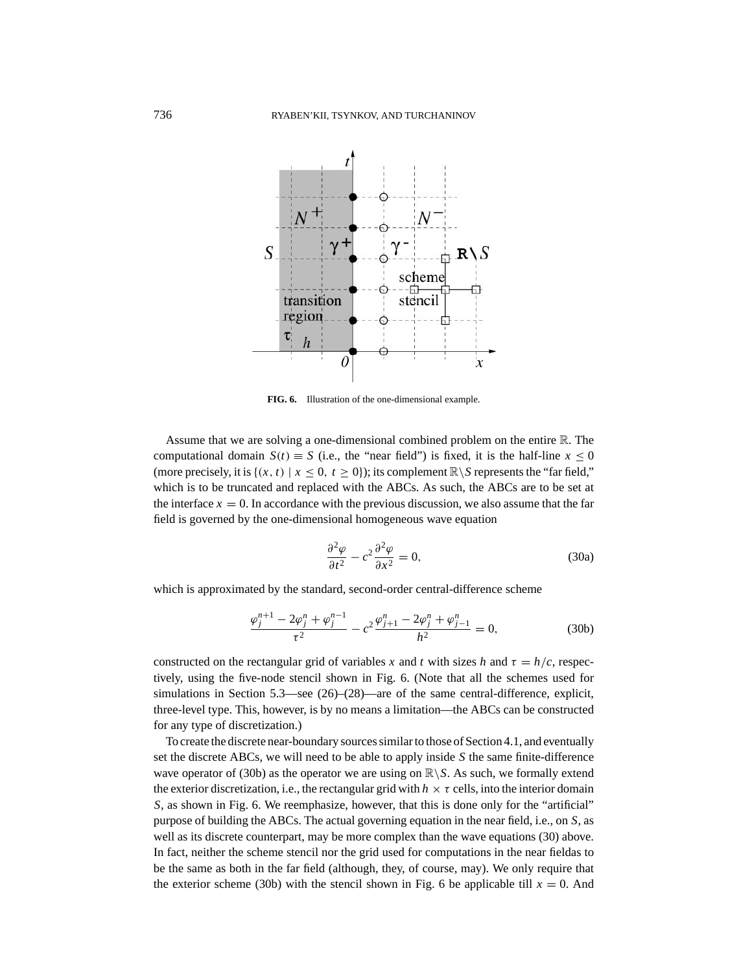

**FIG. 6.** Illustration of the one-dimensional example.

Assume that we are solving a one-dimensional combined problem on the entire R. The computational domain  $S(t) \equiv S$  (i.e., the "near field") is fixed, it is the half-line  $x \le 0$ (more precisely, it is  $\{(x, t) | x \le 0, t \ge 0\}$ ); its complement  $\mathbb{R} \setminus S$  represents the "far field," which is to be truncated and replaced with the ABCs. As such, the ABCs are to be set at the interface  $x = 0$ . In accordance with the previous discussion, we also assume that the far field is governed by the one-dimensional homogeneous wave equation

$$
\frac{\partial^2 \varphi}{\partial t^2} - c^2 \frac{\partial^2 \varphi}{\partial x^2} = 0,
$$
\n(30a)

which is approximated by the standard, second-order central-difference scheme

$$
\frac{\varphi_j^{n+1} - 2\varphi_j^n + \varphi_j^{n-1}}{\tau^2} - c^2 \frac{\varphi_{j+1}^n - 2\varphi_j^n + \varphi_{j-1}^n}{h^2} = 0,
$$
\n(30b)

constructed on the rectangular grid of variables x and t with sizes h and  $\tau = h/c$ , respectively, using the five-node stencil shown in Fig. 6. (Note that all the schemes used for simulations in Section 5.3—see  $(26)$ – $(28)$ —are of the same central-difference, explicit, three-level type. This, however, is by no means a limitation—the ABCs can be constructed for any type of discretization.)

To create the discrete near-boundary sources similar to those of Section 4.1, and eventually set the discrete ABCs, we will need to be able to apply inside *S* the same finite-difference wave operator of (30b) as the operator we are using on  $\mathbb{R}\setminus S$ . As such, we formally extend the exterior discretization, i.e., the rectangular grid with  $h \times \tau$  cells, into the interior domain *S*, as shown in Fig. 6. We reemphasize, however, that this is done only for the "artificial" purpose of building the ABCs. The actual governing equation in the near field, i.e., on *S*, as well as its discrete counterpart, may be more complex than the wave equations (30) above. In fact, neither the scheme stencil nor the grid used for computations in the near fieldas to be the same as both in the far field (although, they, of course, may). We only require that the exterior scheme (30b) with the stencil shown in Fig. 6 be applicable till  $x = 0$ . And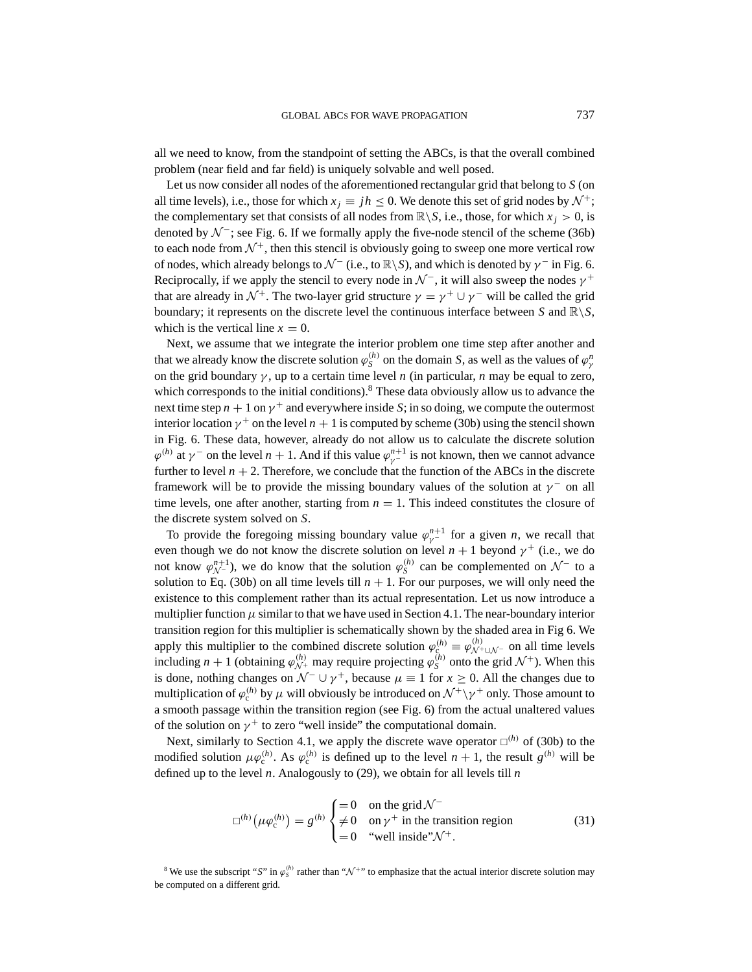all we need to know, from the standpoint of setting the ABCs, is that the overall combined problem (near field and far field) is uniquely solvable and well posed.

Let us now consider all nodes of the aforementioned rectangular grid that belong to *S* (on all time levels), i.e., those for which  $x_i \equiv jh \le 0$ . We denote this set of grid nodes by  $\mathcal{N}^+$ ; the complementary set that consists of all nodes from  $\mathbb{R}\setminus S$ , i.e., those, for which  $x_i > 0$ , is denoted by  $\mathcal{N}^-$ ; see Fig. 6. If we formally apply the five-node stencil of the scheme (36b) to each node from  $\mathcal{N}^+$ , then this stencil is obviously going to sweep one more vertical row of nodes, which already belongs to  $\mathcal{N}^-$  (i.e., to  $\mathbb{R}\setminus S$ ), and which is denoted by  $\gamma^-$  in Fig. 6. Reciprocally, if we apply the stencil to every node in  $\mathcal{N}^-$ , it will also sweep the nodes  $\gamma^+$ that are already in  $\mathcal{N}^+$ . The two-layer grid structure  $\gamma = \gamma^+ \cup \gamma^-$  will be called the grid boundary; it represents on the discrete level the continuous interface between *S* and  $\mathbb{R}\setminus S$ , which is the vertical line  $x = 0$ .

Next, we assume that we integrate the interior problem one time step after another and that we already know the discrete solution  $\varphi_S^{(h)}$  on the domain *S*, as well as the values of  $\varphi_\gamma^n$ on the grid boundary  $\gamma$ , up to a certain time level *n* (in particular, *n* may be equal to zero, which corresponds to the initial conditions).<sup>8</sup> These data obviously allow us to advance the next time step  $n + 1$  on  $\gamma^+$  and everywhere inside *S*; in so doing, we compute the outermost interior location  $\gamma^+$  on the level  $n + 1$  is computed by scheme (30b) using the stencil shown in Fig. 6. These data, however, already do not allow us to calculate the discrete solution  $\varphi^{(h)}$  at  $\gamma^-$  on the level  $n+1$ . And if this value  $\varphi^{n+1}_{\gamma}$  is not known, then we cannot advance further to level  $n + 2$ . Therefore, we conclude that the function of the ABCs in the discrete framework will be to provide the missing boundary values of the solution at  $\gamma$ <sup>-</sup> on all time levels, one after another, starting from  $n = 1$ . This indeed constitutes the closure of the discrete system solved on *S*.

To provide the foregoing missing boundary value  $\varphi_{\gamma}^{n+1}$  for a given *n*, we recall that even though we do not know the discrete solution on level  $n + 1$  beyond  $\gamma^+$  (i.e., we do not know  $\varphi_{\mathcal{N}^-}^{n+1}$ ), we do know that the solution  $\varphi_S^{(h)}$  can be complemented on  $\mathcal{N}^-$  to a solution to Eq. (30b) on all time levels till  $n + 1$ . For our purposes, we will only need the existence to this complement rather than its actual representation. Let us now introduce a multiplier function  $\mu$  similar to that we have used in Section 4.1. The near-boundary interior transition region for this multiplier is schematically shown by the shaded area in Fig 6. We apply this multiplier to the combined discrete solution  $\varphi_{\mathcal{C}_h}^{(h)} \equiv \varphi_{\mathcal{N}^+ \cup \mathcal{N}^-}^{(h)}$  on all time levels including  $n + 1$  (obtaining  $\varphi_{\mathcal{N}^+}^{(h)}$  may require projecting  $\varphi_S^{(h)}$  onto the grid  $\mathcal{N}^+$ ). When this is done, nothing changes on  $\mathcal{N}^- \cup \gamma^+$ , because  $\mu \equiv 1$  for  $x \ge 0$ . All the changes due to multiplication of  $\varphi_n^{(h)}$  by  $\mu$  will obviously be introduced on  $\mathcal{N}^+\backslash \gamma^+$  only. Those amount to a smooth passage within the transition region (see Fig. 6) from the actual unaltered values of the solution on  $\gamma^+$  to zero "well inside" the computational domain.

Next, similarly to Section 4.1, we apply the discrete wave operator  $\Box^{(h)}$  of (30b) to the modified solution  $\mu \varphi_c^{(h)}$ . As  $\varphi_c^{(h)}$  is defined up to the level  $n+1$ , the result  $g^{(h)}$  will be defined up to the level *n*. Analogously to (29), we obtain for all levels till *n*

$$
\Box^{(h)}(\mu \varphi_c^{(h)}) = g^{(h)} \begin{cases} = 0 & \text{on the grid } \mathcal{N}^- \\ \neq 0 & \text{on } \gamma^+ \text{ in the transition region} \\ = 0 & \text{``well inside''} \mathcal{N}^+. \end{cases}
$$
(31)

<sup>8</sup> We use the subscript "*S*" in  $\varphi_S^{(h)}$  rather than " $\mathcal{N}^{+}$ " to emphasize that the actual interior discrete solution may be computed on a different grid.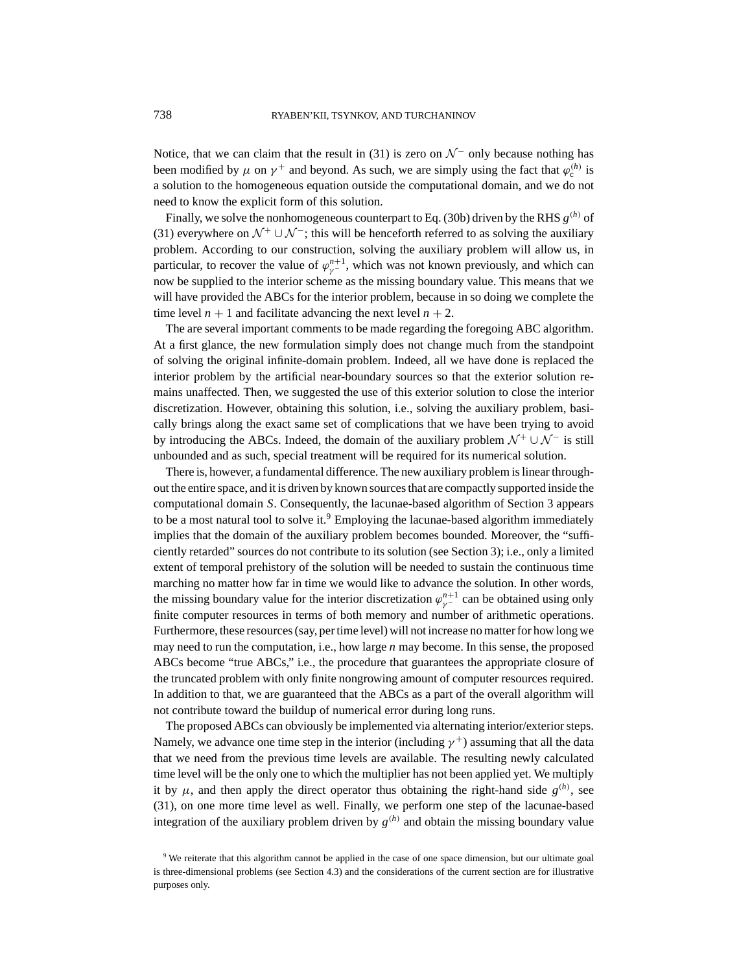Notice, that we can claim that the result in (31) is zero on  $\mathcal{N}^-$  only because nothing has been modified by  $\mu$  on  $\gamma^+$  and beyond. As such, we are simply using the fact that  $\varphi^{(h)}$  is a solution to the homogeneous equation outside the computational domain, and we do not need to know the explicit form of this solution.

Finally, we solve the nonhomogeneous counterpart to Eq. (30b) driven by the RHS  $g^{(h)}$  of (31) everywhere on  $\mathcal{N}^+ \cup \mathcal{N}^-$ ; this will be henceforth referred to as solving the auxiliary problem. According to our construction, solving the auxiliary problem will allow us, in particular, to recover the value of  $\varphi_{\gamma}^{n+1}$ , which was not known previously, and which can now be supplied to the interior scheme as the missing boundary value. This means that we will have provided the ABCs for the interior problem, because in so doing we complete the time level  $n + 1$  and facilitate advancing the next level  $n + 2$ .

The are several important comments to be made regarding the foregoing ABC algorithm. At a first glance, the new formulation simply does not change much from the standpoint of solving the original infinite-domain problem. Indeed, all we have done is replaced the interior problem by the artificial near-boundary sources so that the exterior solution remains unaffected. Then, we suggested the use of this exterior solution to close the interior discretization. However, obtaining this solution, i.e., solving the auxiliary problem, basically brings along the exact same set of complications that we have been trying to avoid by introducing the ABCs. Indeed, the domain of the auxiliary problem  $\mathcal{N}^+ \cup \mathcal{N}^-$  is still unbounded and as such, special treatment will be required for its numerical solution.

There is, however, a fundamental difference. The new auxiliary problem is linear throughout the entire space, and it is driven by known sources that are compactly supported inside the computational domain *S*. Consequently, the lacunae-based algorithm of Section 3 appears to be a most natural tool to solve it.<sup>9</sup> Employing the lacunae-based algorithm immediately implies that the domain of the auxiliary problem becomes bounded. Moreover, the "sufficiently retarded" sources do not contribute to its solution (see Section 3); i.e., only a limited extent of temporal prehistory of the solution will be needed to sustain the continuous time marching no matter how far in time we would like to advance the solution. In other words, the missing boundary value for the interior discretization  $\varphi_{\gamma}^{n+1}$  can be obtained using only finite computer resources in terms of both memory and number of arithmetic operations. Furthermore, these resources (say, per time level) will not increase no matter for how long we may need to run the computation, i.e., how large *n* may become. In this sense, the proposed ABCs become "true ABCs," i.e., the procedure that guarantees the appropriate closure of the truncated problem with only finite nongrowing amount of computer resources required. In addition to that, we are guaranteed that the ABCs as a part of the overall algorithm will not contribute toward the buildup of numerical error during long runs.

The proposed ABCs can obviously be implemented via alternating interior/exterior steps. Namely, we advance one time step in the interior (including  $\gamma^+$ ) assuming that all the data that we need from the previous time levels are available. The resulting newly calculated time level will be the only one to which the multiplier has not been applied yet. We multiply it by  $\mu$ , and then apply the direct operator thus obtaining the right-hand side  $g^{(h)}$ , see (31), on one more time level as well. Finally, we perform one step of the lacunae-based integration of the auxiliary problem driven by  $g^{(h)}$  and obtain the missing boundary value

<sup>9</sup> We reiterate that this algorithm cannot be applied in the case of one space dimension, but our ultimate goal is three-dimensional problems (see Section 4.3) and the considerations of the current section are for illustrative purposes only.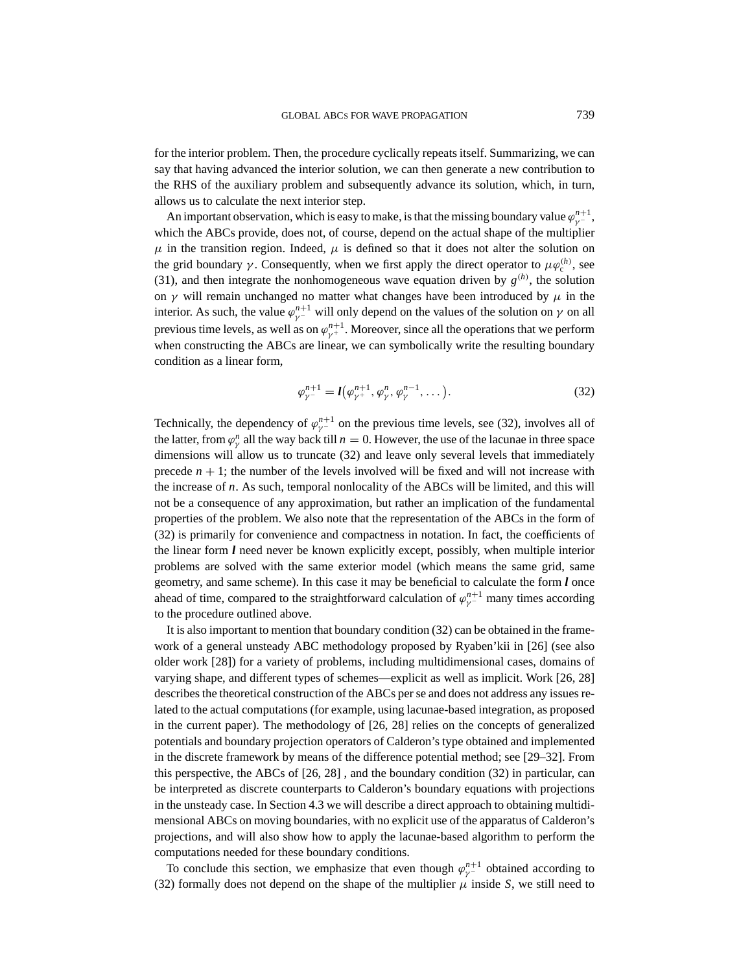for the interior problem. Then, the procedure cyclically repeats itself. Summarizing, we can say that having advanced the interior solution, we can then generate a new contribution to the RHS of the auxiliary problem and subsequently advance its solution, which, in turn, allows us to calculate the next interior step.

An important observation, which is easy to make, is that the missing boundary value  $\varphi_{\gamma}^{n+1}$ , which the ABCs provide, does not, of course, depend on the actual shape of the multiplier  $\mu$  in the transition region. Indeed,  $\mu$  is defined so that it does not alter the solution on the grid boundary  $\gamma$ . Consequently, when we first apply the direct operator to  $\mu \varphi_c^{(h)}$ , see (31), and then integrate the nonhomogeneous wave equation driven by  $g^{(h)}$ , the solution on  $\gamma$  will remain unchanged no matter what changes have been introduced by  $\mu$  in the interior. As such, the value  $\varphi_{\gamma}^{n+1}$  will only depend on the values of the solution on  $\gamma$  on all previous time levels, as well as on  $\varphi_{\gamma^+}^{n+1}$ . Moreover, since all the operations that we perform when constructing the ABCs are linear, we can symbolically write the resulting boundary condition as a linear form,

$$
\varphi_{\gamma}^{n+1} = l(\varphi_{\gamma}^{n+1}, \varphi_{\gamma}^{n}, \varphi_{\gamma}^{n-1}, \dots).
$$
 (32)

Technically, the dependency of  $\varphi_{\gamma}^{n+1}$  on the previous time levels, see (32), involves all of the latter, from  $\varphi_{\gamma}^{n}$  all the way back till  $n = 0$ . However, the use of the lacunae in three space dimensions will allow us to truncate (32) and leave only several levels that immediately precede  $n + 1$ ; the number of the levels involved will be fixed and will not increase with the increase of *n*. As such, temporal nonlocality of the ABCs will be limited, and this will not be a consequence of any approximation, but rather an implication of the fundamental properties of the problem. We also note that the representation of the ABCs in the form of (32) is primarily for convenience and compactness in notation. In fact, the coefficients of the linear form *l* need never be known explicitly except, possibly, when multiple interior problems are solved with the same exterior model (which means the same grid, same geometry, and same scheme). In this case it may be beneficial to calculate the form *l* once ahead of time, compared to the straightforward calculation of  $\varphi_{\gamma}^{n+1}$  many times according to the procedure outlined above.

It is also important to mention that boundary condition (32) can be obtained in the framework of a general unsteady ABC methodology proposed by Ryaben'kii in [26] (see also older work [28]) for a variety of problems, including multidimensional cases, domains of varying shape, and different types of schemes—explicit as well as implicit. Work [26, 28] describes the theoretical construction of the ABCs per se and does not address any issues related to the actual computations (for example, using lacunae-based integration, as proposed in the current paper). The methodology of [26, 28] relies on the concepts of generalized potentials and boundary projection operators of Calderon's type obtained and implemented in the discrete framework by means of the difference potential method; see [29–32]. From this perspective, the ABCs of [26, 28] , and the boundary condition (32) in particular, can be interpreted as discrete counterparts to Calderon's boundary equations with projections in the unsteady case. In Section 4.3 we will describe a direct approach to obtaining multidimensional ABCs on moving boundaries, with no explicit use of the apparatus of Calderon's projections, and will also show how to apply the lacunae-based algorithm to perform the computations needed for these boundary conditions.

To conclude this section, we emphasize that even though  $\varphi_{\gamma}^{n+1}$  obtained according to (32) formally does not depend on the shape of the multiplier  $\mu$  inside *S*, we still need to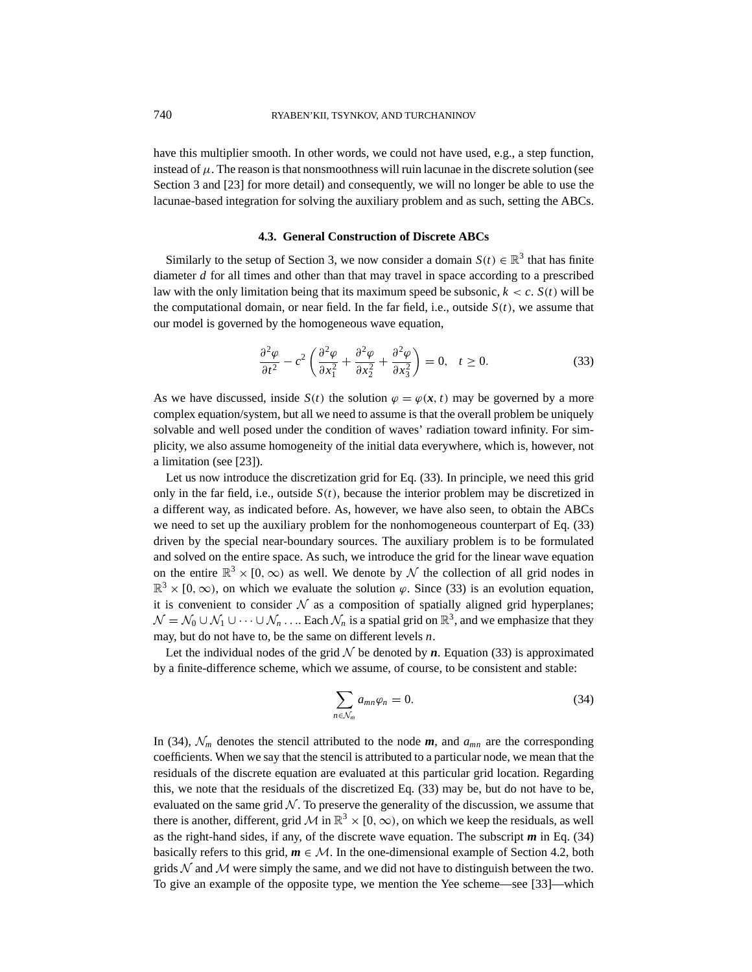have this multiplier smooth. In other words, we could not have used, e.g., a step function, instead of  $\mu$ . The reason is that nonsmoothness will ruin lacunae in the discrete solution (see Section 3 and [23] for more detail) and consequently, we will no longer be able to use the lacunae-based integration for solving the auxiliary problem and as such, setting the ABCs.

## **4.3. General Construction of Discrete ABCs**

Similarly to the setup of Section 3, we now consider a domain  $S(t) \in \mathbb{R}^3$  that has finite diameter *d* for all times and other than that may travel in space according to a prescribed law with the only limitation being that its maximum speed be subsonic,  $k < c$ .  $S(t)$  will be the computational domain, or near field. In the far field, i.e., outside  $S(t)$ , we assume that our model is governed by the homogeneous wave equation,

$$
\frac{\partial^2 \varphi}{\partial t^2} - c^2 \left( \frac{\partial^2 \varphi}{\partial x_1^2} + \frac{\partial^2 \varphi}{\partial x_2^2} + \frac{\partial^2 \varphi}{\partial x_3^2} \right) = 0, \quad t \ge 0.
$$
 (33)

As we have discussed, inside  $S(t)$  the solution  $\varphi = \varphi(x, t)$  may be governed by a more complex equation/system, but all we need to assume is that the overall problem be uniquely solvable and well posed under the condition of waves' radiation toward infinity. For simplicity, we also assume homogeneity of the initial data everywhere, which is, however, not a limitation (see [23]).

Let us now introduce the discretization grid for Eq. (33). In principle, we need this grid only in the far field, i.e., outside  $S(t)$ , because the interior problem may be discretized in a different way, as indicated before. As, however, we have also seen, to obtain the ABCs we need to set up the auxiliary problem for the nonhomogeneous counterpart of Eq. (33) driven by the special near-boundary sources. The auxiliary problem is to be formulated and solved on the entire space. As such, we introduce the grid for the linear wave equation on the entire  $\mathbb{R}^3 \times [0, \infty)$  as well. We denote by N the collection of all grid nodes in  $\mathbb{R}^3 \times [0,\infty)$ , on which we evaluate the solution  $\varphi$ . Since (33) is an evolution equation, it is convenient to consider  $N$  as a composition of spatially aligned grid hyperplanes;  $\mathcal{N} = \mathcal{N}_0 \cup \mathcal{N}_1 \cup \cdots \cup \mathcal{N}_n \ldots$  Each  $\mathcal{N}_n$  is a spatial grid on  $\mathbb{R}^3$ , and we emphasize that they may, but do not have to, be the same on different levels *n*.

Let the individual nodes of the grid  $\mathcal N$  be denoted by  $\mathbf n$ . Equation (33) is approximated by a finite-difference scheme, which we assume, of course, to be consistent and stable:

$$
\sum_{m \in \mathcal{N}_m} a_{mn} \varphi_n = 0. \tag{34}
$$

In (34),  $\mathcal{N}_m$  denotes the stencil attributed to the node  $m$ , and  $a_{mn}$  are the corresponding coefficients. When we say that the stencil is attributed to a particular node, we mean that the residuals of the discrete equation are evaluated at this particular grid location. Regarding this, we note that the residuals of the discretized Eq. (33) may be, but do not have to be, evaluated on the same grid  $N$ . To preserve the generality of the discussion, we assume that there is another, different, grid M in  $\mathbb{R}^3 \times [0, \infty)$ , on which we keep the residuals, as well as the right-hand sides, if any, of the discrete wave equation. The subscript *m* in Eq. (34) basically refers to this grid,  $m \in \mathcal{M}$ . In the one-dimensional example of Section 4.2, both grids  $N$  and  $M$  were simply the same, and we did not have to distinguish between the two. To give an example of the opposite type, we mention the Yee scheme—see [33]—which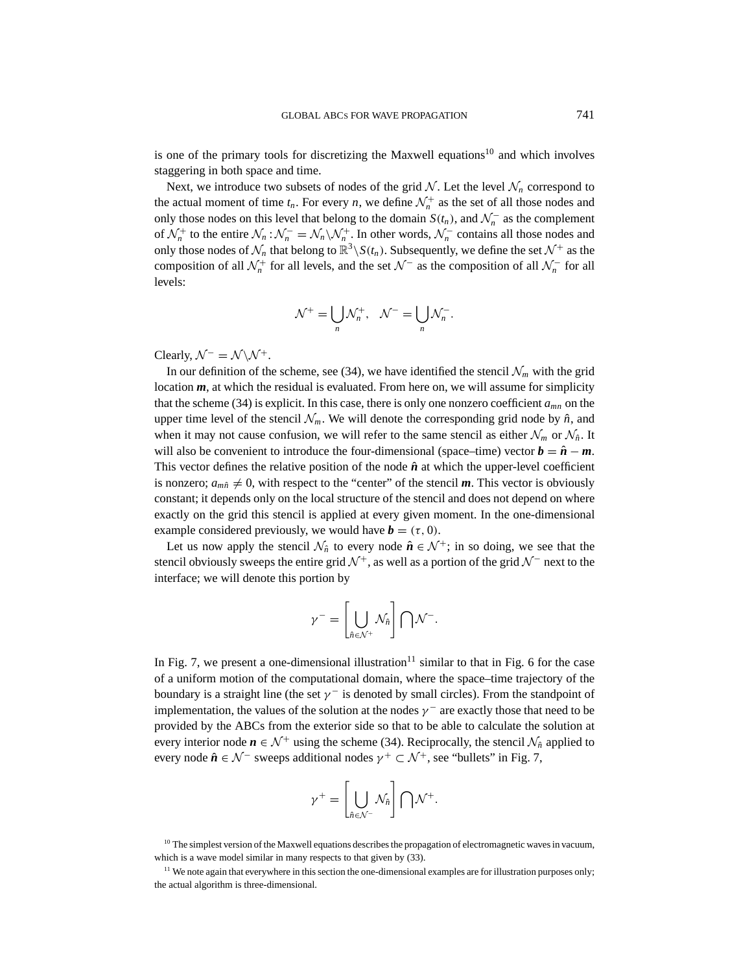is one of the primary tools for discretizing the Maxwell equations<sup>10</sup> and which involves staggering in both space and time.

Next, we introduce two subsets of nodes of the grid  $N$ . Let the level  $N_n$  correspond to the actual moment of time  $t_n$ . For every *n*, we define  $\mathcal{N}_n^+$  as the set of all those nodes and only those nodes on this level that belong to the domain  $S(t_n)$ , and  $\mathcal{N}_n^-$  as the complement of  $\mathcal{N}_n^+$  to the entire  $\mathcal{N}_n : \mathcal{N}_n^- = \mathcal{N}_n \setminus \mathcal{N}_n^+$ . In other words,  $\mathcal{N}_n^-$  contains all those nodes and only those nodes of  $\mathcal{N}_n$  that belong to  $\mathbb{R}^3 \backslash S(t_n)$ . Subsequently, we define the set  $\mathcal{N}^+$  as the composition of all  $\mathcal{N}_n^+$  for all levels, and the set  $\mathcal{N}^-$  as the composition of all  $\mathcal{N}_n^-$  for all levels:

$$
\mathcal{N}^+ = \bigcup_n \mathcal{N}^+_n, \quad \mathcal{N}^- = \bigcup_n \mathcal{N}^-_n.
$$

Clearly,  $\mathcal{N}^- = \mathcal{N} \backslash \mathcal{N}^+$ .

In our definition of the scheme, see (34), we have identified the stencil  $\mathcal{N}_m$  with the grid location  $m$ , at which the residual is evaluated. From here on, we will assume for simplicity that the scheme (34) is explicit. In this case, there is only one nonzero coefficient  $a_{mn}$  on the upper time level of the stencil  $\mathcal{N}_m$ . We will denote the corresponding grid node by  $\hat{n}$ , and when it may not cause confusion, we will refer to the same stencil as either  $\mathcal{N}_m$  or  $\mathcal{N}_n$ . It will also be convenient to introduce the four-dimensional (space–time) vector  $\mathbf{b} = \hat{\mathbf{n}} - \mathbf{m}$ . This vector defines the relative position of the node  $\hat{n}$  at which the upper-level coefficient is nonzero;  $a_{m\hat{n}} \neq 0$ , with respect to the "center" of the stencil *m*. This vector is obviously constant; it depends only on the local structure of the stencil and does not depend on where exactly on the grid this stencil is applied at every given moment. In the one-dimensional example considered previously, we would have  $\mathbf{b} = (\tau, 0)$ .

Let us now apply the stencil  $\mathcal{N}_{\hat{n}}$  to every node  $\hat{\boldsymbol{n}} \in \mathcal{N}^+$ ; in so doing, we see that the stencil obviously sweeps the entire grid  $\mathcal{N}^+$ , as well as a portion of the grid  $\mathcal{N}^-$  next to the interface; we will denote this portion by

$$
\gamma^-=\left[\bigcup_{\hat n\in\mathcal N^+}\mathcal N_{\hat n}\right]\bigcap\mathcal N^-.
$$

In Fig. 7, we present a one-dimensional illustration<sup>11</sup> similar to that in Fig. 6 for the case of a uniform motion of the computational domain, where the space–time trajectory of the boundary is a straight line (the set  $\gamma$ <sup>-</sup> is denoted by small circles). From the standpoint of implementation, the values of the solution at the nodes  $\gamma^-$  are exactly those that need to be provided by the ABCs from the exterior side so that to be able to calculate the solution at every interior node  $n \in \mathcal{N}^+$  using the scheme (34). Reciprocally, the stencil  $\mathcal{N}_{\hat{n}}$  applied to every node  $\hat{\boldsymbol{n}} \in \mathcal{N}^-$  sweeps additional nodes  $\gamma^+ \subset \mathcal{N}^+$ , see "bullets" in Fig. 7,

$$
\gamma^+ = \left[ \bigcup_{\hat{n} \in \mathcal{N}^-} \mathcal{N}_{\hat{n}} \right] \bigcap \mathcal{N}^+.
$$

 $10$  The simplest version of the Maxwell equations describes the propagation of electromagnetic waves in vacuum, which is a wave model similar in many respects to that given by (33).

<sup>&</sup>lt;sup>11</sup> We note again that everywhere in this section the one-dimensional examples are for illustration purposes only; the actual algorithm is three-dimensional.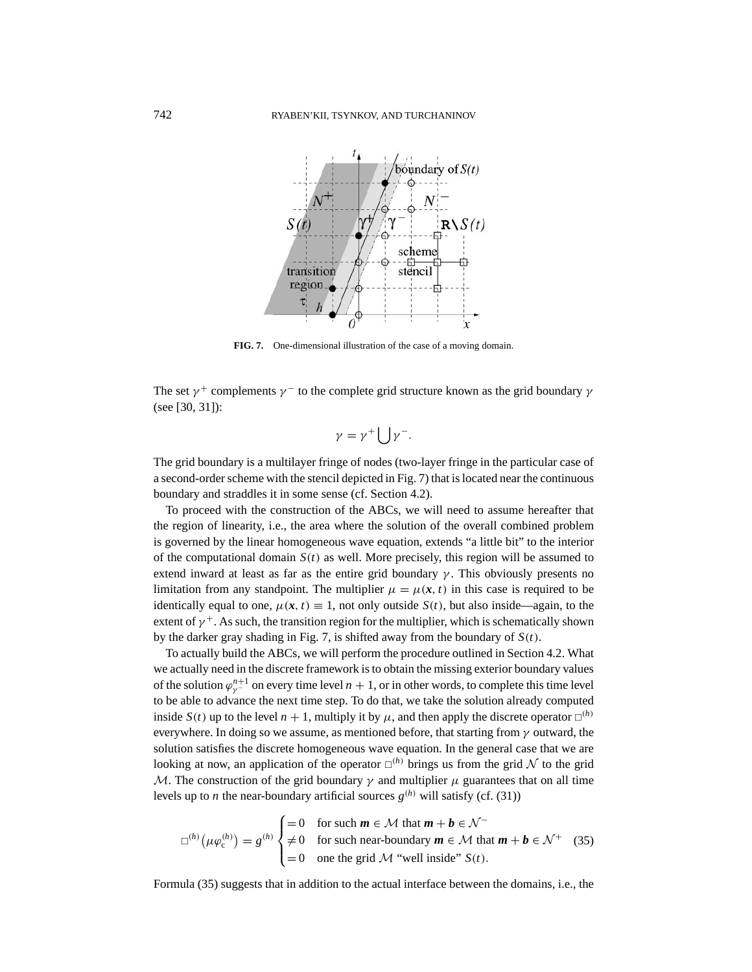

**FIG. 7.** One-dimensional illustration of the case of a moving domain.

The set  $\gamma^+$  complements  $\gamma^-$  to the complete grid structure known as the grid boundary  $\gamma$ (see [30, 31]):

$$
\gamma = \gamma^+ \bigcup \gamma^-.
$$

The grid boundary is a multilayer fringe of nodes (two-layer fringe in the particular case of a second-order scheme with the stencil depicted in Fig. 7) that is located near the continuous boundary and straddles it in some sense (cf. Section 4.2).

To proceed with the construction of the ABCs, we will need to assume hereafter that the region of linearity, i.e., the area where the solution of the overall combined problem is governed by the linear homogeneous wave equation, extends "a little bit" to the interior of the computational domain  $S(t)$  as well. More precisely, this region will be assumed to extend inward at least as far as the entire grid boundary  $\gamma$ . This obviously presents no limitation from any standpoint. The multiplier  $\mu = \mu(x, t)$  in this case is required to be identically equal to one,  $\mu(\mathbf{x}, t) \equiv 1$ , not only outside  $S(t)$ , but also inside—again, to the extent of  $\gamma^+$ . As such, the transition region for the multiplier, which is schematically shown by the darker gray shading in Fig. 7, is shifted away from the boundary of *S*(*t*).

To actually build the ABCs, we will perform the procedure outlined in Section 4.2. What we actually need in the discrete framework is to obtain the missing exterior boundary values of the solution  $\varphi_{\gamma}^{n+1}$  on every time level  $n+1$ , or in other words, to complete this time level to be able to advance the next time step. To do that, we take the solution already computed inside *S*(*t*) up to the level *n* + 1, multiply it by  $\mu$ , and then apply the discrete operator  $\Box^{(h)}$ everywhere. In doing so we assume, as mentioned before, that starting from  $\gamma$  outward, the solution satisfies the discrete homogeneous wave equation. In the general case that we are looking at now, an application of the operator  $\Box^{(h)}$  brings us from the grid N to the grid M. The construction of the grid boundary  $\gamma$  and multiplier  $\mu$  guarantees that on all time levels up to *n* the near-boundary artificial sources  $g^{(h)}$  will satisfy (cf. (31))

$$
\Box^{(h)}(\mu \varphi_c^{(h)}) = g^{(h)} \begin{cases} = 0 & \text{for such } \mathbf{m} \in \mathcal{M} \text{ that } \mathbf{m} + \mathbf{b} \in \mathcal{N}^- \\ \neq 0 & \text{for such near-boundary } \mathbf{m} \in \mathcal{M} \text{ that } \mathbf{m} + \mathbf{b} \in \mathcal{N}^+ \\ = 0 & \text{one the grid } \mathcal{M} \text{ "well inside" } S(t). \end{cases} \tag{35}
$$

Formula (35) suggests that in addition to the actual interface between the domains, i.e., the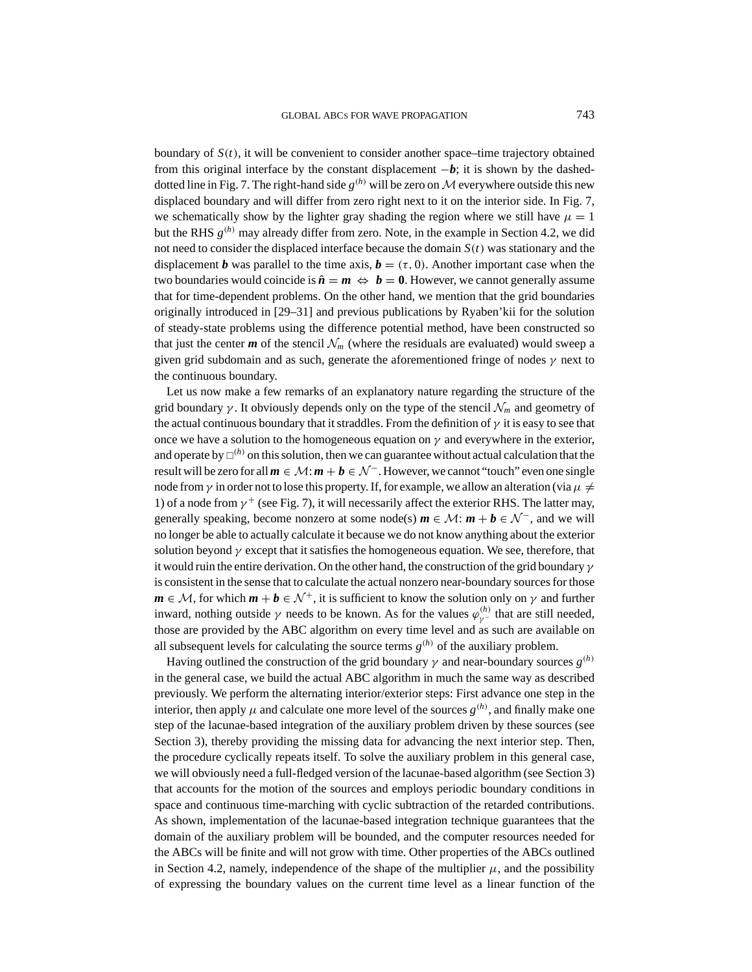boundary of  $S(t)$ , it will be convenient to consider another space–time trajectory obtained from this original interface by the constant displacement  $-b$ ; it is shown by the dasheddotted line in Fig. 7. The right-hand side  $g^{(h)}$  will be zero on M everywhere outside this new displaced boundary and will differ from zero right next to it on the interior side. In Fig. 7, we schematically show by the lighter gray shading the region where we still have  $\mu = 1$ but the RHS  $g^{(h)}$  may already differ from zero. Note, in the example in Section 4.2, we did not need to consider the displaced interface because the domain *S*(*t*) was stationary and the displacement *b* was parallel to the time axis,  $\mathbf{b} = (\tau, 0)$ . Another important case when the two boundaries would coincide is  $\hat{n} = m \Leftrightarrow b = 0$ . However, we cannot generally assume that for time-dependent problems. On the other hand, we mention that the grid boundaries originally introduced in [29–31] and previous publications by Ryaben'kii for the solution of steady-state problems using the difference potential method, have been constructed so that just the center  $m$  of the stencil  $\mathcal{N}_m$  (where the residuals are evaluated) would sweep a given grid subdomain and as such, generate the aforementioned fringe of nodes  $\gamma$  next to the continuous boundary.

Let us now make a few remarks of an explanatory nature regarding the structure of the grid boundary  $\gamma$ . It obviously depends only on the type of the stencil  $\mathcal{N}_m$  and geometry of the actual continuous boundary that it straddles. From the definition of  $\gamma$  it is easy to see that once we have a solution to the homogeneous equation on  $\gamma$  and everywhere in the exterior, and operate by  $\Box^{(h)}$  on this solution, then we can guarantee without actual calculation that the result will be zero for all  $m \in \mathcal{M}$ :  $m + b \in \mathcal{N}$ <sup>-</sup>. However, we cannot "touch" even one single node from  $\gamma$  in order not to lose this property. If, for example, we allow an alteration (via  $\mu \neq$ 1) of a node from  $\gamma^+$  (see Fig. 7), it will necessarily affect the exterior RHS. The latter may, generally speaking, become nonzero at some node(s)  $m \in \mathcal{M}$ :  $m + b \in \mathcal{N}$ , and we will no longer be able to actually calculate it because we do not know anything about the exterior solution beyond  $\gamma$  except that it satisfies the homogeneous equation. We see, therefore, that it would ruin the entire derivation. On the other hand, the construction of the grid boundary  $\gamma$ is consistent in the sense that to calculate the actual nonzero near-boundary sources for those  $m \in \mathcal{M}$ , for which  $m + b \in \mathcal{N}^+$ , it is sufficient to know the solution only on  $\gamma$  and further inward, nothing outside  $\gamma$  needs to be known. As for the values  $\varphi_{\gamma}^{(h)}$  that are still needed, those are provided by the ABC algorithm on every time level and as such are available on all subsequent levels for calculating the source terms  $g^{(h)}$  of the auxiliary problem.

Having outlined the construction of the grid boundary  $\gamma$  and near-boundary sources  $g^{(h)}$ in the general case, we build the actual ABC algorithm in much the same way as described previously. We perform the alternating interior/exterior steps: First advance one step in the interior, then apply  $\mu$  and calculate one more level of the sources  $g^{(h)}$ , and finally make one step of the lacunae-based integration of the auxiliary problem driven by these sources (see Section 3), thereby providing the missing data for advancing the next interior step. Then, the procedure cyclically repeats itself. To solve the auxiliary problem in this general case, we will obviously need a full-fledged version of the lacunae-based algorithm (see Section 3) that accounts for the motion of the sources and employs periodic boundary conditions in space and continuous time-marching with cyclic subtraction of the retarded contributions. As shown, implementation of the lacunae-based integration technique guarantees that the domain of the auxiliary problem will be bounded, and the computer resources needed for the ABCs will be finite and will not grow with time. Other properties of the ABCs outlined in Section 4.2, namely, independence of the shape of the multiplier  $\mu$ , and the possibility of expressing the boundary values on the current time level as a linear function of the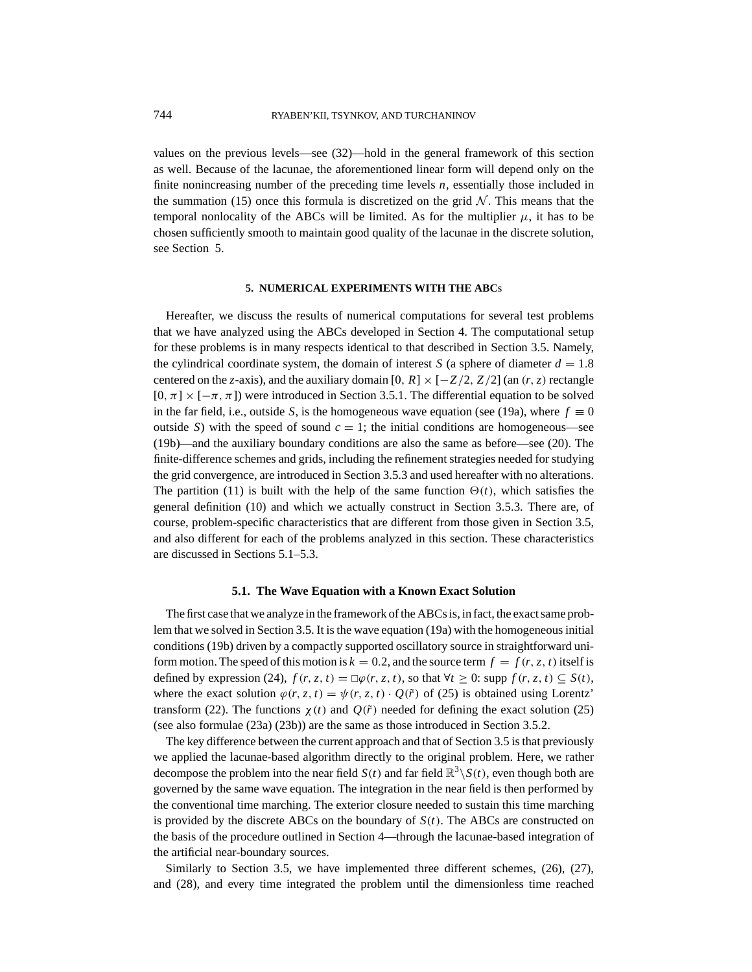values on the previous levels—see (32)—hold in the general framework of this section as well. Because of the lacunae, the aforementioned linear form will depend only on the finite nonincreasing number of the preceding time levels  $n$ , essentially those included in the summation (15) once this formula is discretized on the grid  $N$ . This means that the temporal nonlocality of the ABCs will be limited. As for the multiplier  $\mu$ , it has to be chosen sufficiently smooth to maintain good quality of the lacunae in the discrete solution, see Section 5.

### **5. NUMERICAL EXPERIMENTS WITH THE ABC**s

Hereafter, we discuss the results of numerical computations for several test problems that we have analyzed using the ABCs developed in Section 4. The computational setup for these problems is in many respects identical to that described in Section 3.5. Namely, the cylindrical coordinate system, the domain of interest *S* (a sphere of diameter  $d = 1.8$ ) centered on the *z*-axis), and the auxiliary domain [0,  $R \times [-Z/2, Z/2]$  (an  $(r, z)$  rectangle [0,  $\pi$ ] × [ $-\pi$ ,  $\pi$ ]) were introduced in Section 3.5.1. The differential equation to be solved in the far field, i.e., outside *S*, is the homogeneous wave equation (see (19a), where  $f \equiv 0$ outside *S*) with the speed of sound  $c = 1$ ; the initial conditions are homogeneous—see (19b)—and the auxiliary boundary conditions are also the same as before—see (20). The finite-difference schemes and grids, including the refinement strategies needed for studying the grid convergence, are introduced in Section 3.5.3 and used hereafter with no alterations. The partition (11) is built with the help of the same function  $\Theta(t)$ , which satisfies the general definition (10) and which we actually construct in Section 3.5.3. There are, of course, problem-specific characteristics that are different from those given in Section 3.5, and also different for each of the problems analyzed in this section. These characteristics are discussed in Sections 5.1–5.3.

# **5.1. The Wave Equation with a Known Exact Solution**

The first case that we analyze in the framework of the ABCs is, in fact, the exact same problem that we solved in Section 3.5. It is the wave equation (19a) with the homogeneous initial conditions (19b) driven by a compactly supported oscillatory source in straightforward uniform motion. The speed of this motion is  $k = 0.2$ , and the source term  $f = f(r, z, t)$  itself is defined by expression (24),  $f(r, z, t) = \Box \varphi(r, z, t)$ , so that ∀*t* ≥ 0: supp  $f(r, z, t) \subseteq S(t)$ , where the exact solution  $\varphi(r, z, t) = \psi(r, z, t) \cdot Q(\tilde{r})$  of (25) is obtained using Lorentz' transform (22). The functions  $\chi(t)$  and  $\dot{Q}(\tilde{r})$  needed for defining the exact solution (25) (see also formulae (23a) (23b)) are the same as those introduced in Section 3.5.2.

The key difference between the current approach and that of Section 3.5 is that previously we applied the lacunae-based algorithm directly to the original problem. Here, we rather decompose the problem into the near field  $S(t)$  and far field  $\mathbb{R}^3 \backslash S(t)$ , even though both are governed by the same wave equation. The integration in the near field is then performed by the conventional time marching. The exterior closure needed to sustain this time marching is provided by the discrete ABCs on the boundary of  $S(t)$ . The ABCs are constructed on the basis of the procedure outlined in Section 4—through the lacunae-based integration of the artificial near-boundary sources.

Similarly to Section 3.5, we have implemented three different schemes, (26), (27), and (28), and every time integrated the problem until the dimensionless time reached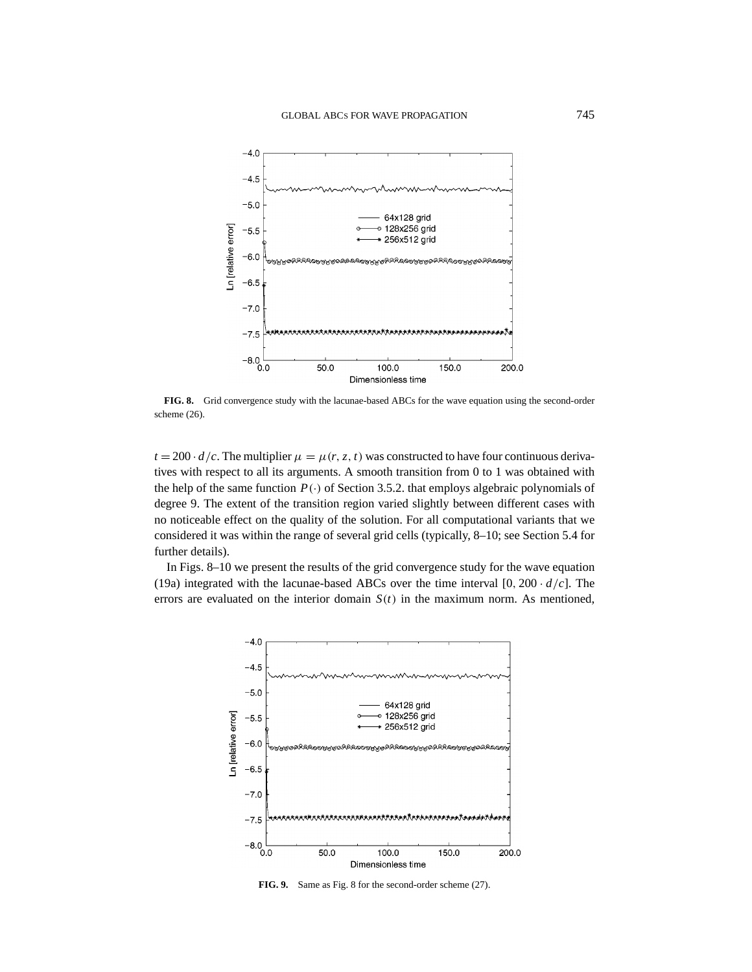

**FIG. 8.** Grid convergence study with the lacunae-based ABCs for the wave equation using the second-order scheme (26).

 $t = 200 \cdot d/c$ . The multiplier  $\mu = \mu(r, z, t)$  was constructed to have four continuous derivatives with respect to all its arguments. A smooth transition from 0 to 1 was obtained with the help of the same function  $P(\cdot)$  of Section 3.5.2. that employs algebraic polynomials of degree 9. The extent of the transition region varied slightly between different cases with no noticeable effect on the quality of the solution. For all computational variants that we considered it was within the range of several grid cells (typically, 8–10; see Section 5.4 for further details).

In Figs. 8–10 we present the results of the grid convergence study for the wave equation (19a) integrated with the lacunae-based ABCs over the time interval  $[0, 200 \cdot d/c]$ . The errors are evaluated on the interior domain  $S(t)$  in the maximum norm. As mentioned,



**FIG. 9.** Same as Fig. 8 for the second-order scheme (27).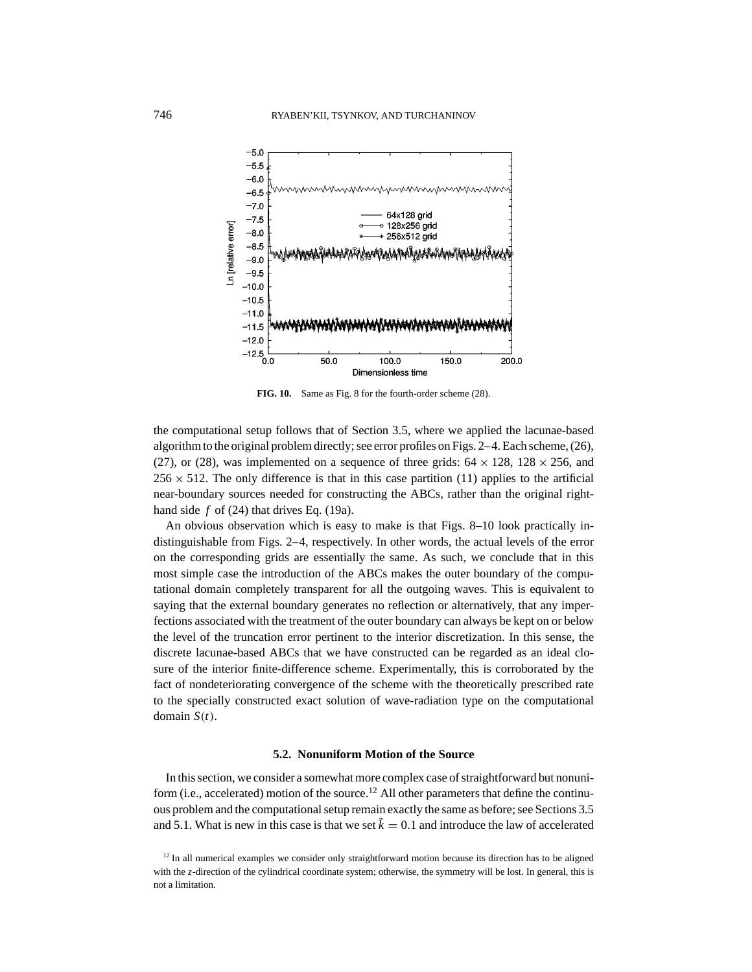

**FIG. 10.** Same as Fig. 8 for the fourth-order scheme (28).

the computational setup follows that of Section 3.5, where we applied the lacunae-based algorithm to the original problem directly; see error profiles on Figs. 2–4. Each scheme, (26), (27), or (28), was implemented on a sequence of three grids:  $64 \times 128$ ,  $128 \times 256$ , and  $256 \times 512$ . The only difference is that in this case partition (11) applies to the artificial near-boundary sources needed for constructing the ABCs, rather than the original righthand side *f* of (24) that drives Eq. (19a).

An obvious observation which is easy to make is that Figs. 8–10 look practically indistinguishable from Figs. 2–4, respectively. In other words, the actual levels of the error on the corresponding grids are essentially the same. As such, we conclude that in this most simple case the introduction of the ABCs makes the outer boundary of the computational domain completely transparent for all the outgoing waves. This is equivalent to saying that the external boundary generates no reflection or alternatively, that any imperfections associated with the treatment of the outer boundary can always be kept on or below the level of the truncation error pertinent to the interior discretization. In this sense, the discrete lacunae-based ABCs that we have constructed can be regarded as an ideal closure of the interior finite-difference scheme. Experimentally, this is corroborated by the fact of nondeteriorating convergence of the scheme with the theoretically prescribed rate to the specially constructed exact solution of wave-radiation type on the computational domain *S*(*t*).

# **5.2. Nonuniform Motion of the Source**

In this section, we consider a somewhat more complex case of straightforward but nonuniform (i.e., accelerated) motion of the source.<sup>12</sup> All other parameters that define the continuous problem and the computational setup remain exactly the same as before; see Sections 3.5 and 5.1. What is new in this case is that we set  $\tilde{k} = 0.1$  and introduce the law of accelerated

<sup>&</sup>lt;sup>12</sup> In all numerical examples we consider only straightforward motion because its direction has to be aligned with the *z*-direction of the cylindrical coordinate system; otherwise, the symmetry will be lost. In general, this is not a limitation.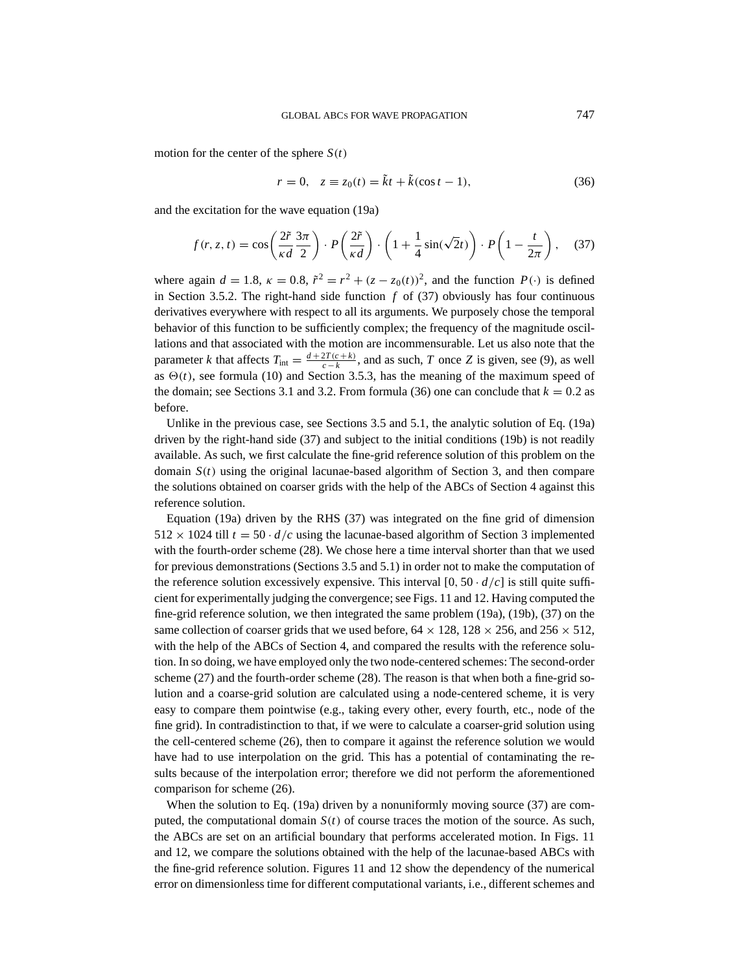motion for the center of the sphere  $S(t)$ 

$$
r = 0, \quad z \equiv z_0(t) = \tilde{k}t + \tilde{k}(\cos t - 1),
$$
 (36)

and the excitation for the wave equation (19a)

$$
f(r, z, t) = \cos\left(\frac{2\tilde{r}}{\kappa d} \frac{3\pi}{2}\right) \cdot P\left(\frac{2\tilde{r}}{\kappa d}\right) \cdot \left(1 + \frac{1}{4}\sin(\sqrt{2}t)\right) \cdot P\left(1 - \frac{t}{2\pi}\right), \quad (37)
$$

where again  $d = 1.8$ ,  $\kappa = 0.8$ ,  $\tilde{r}^2 = r^2 + (z - z_0(t))^2$ , and the function  $P(\cdot)$  is defined in Section 3.5.2. The right-hand side function  $f$  of (37) obviously has four continuous derivatives everywhere with respect to all its arguments. We purposely chose the temporal behavior of this function to be sufficiently complex; the frequency of the magnitude oscillations and that associated with the motion are incommensurable. Let us also note that the parameter *k* that affects  $T_{\text{int}} = \frac{d + 2T(c+k)}{c-k}$ , and as such, *T* once *Z* is given, see (9), as well as  $\Theta(t)$ , see formula (10) and Section 3.5.3, has the meaning of the maximum speed of the domain; see Sections 3.1 and 3.2. From formula (36) one can conclude that  $k = 0.2$  as before.

Unlike in the previous case, see Sections 3.5 and 5.1, the analytic solution of Eq. (19a) driven by the right-hand side (37) and subject to the initial conditions (19b) is not readily available. As such, we first calculate the fine-grid reference solution of this problem on the domain  $S(t)$  using the original lacunae-based algorithm of Section 3, and then compare the solutions obtained on coarser grids with the help of the ABCs of Section 4 against this reference solution.

Equation (19a) driven by the RHS (37) was integrated on the fine grid of dimension  $512 \times 1024$  till  $t = 50 \cdot d/c$  using the lacunae-based algorithm of Section 3 implemented with the fourth-order scheme (28). We chose here a time interval shorter than that we used for previous demonstrations (Sections 3.5 and 5.1) in order not to make the computation of the reference solution excessively expensive. This interval  $[0, 50 \cdot d/c]$  is still quite sufficient for experimentally judging the convergence; see Figs. 11 and 12. Having computed the fine-grid reference solution, we then integrated the same problem (19a), (19b), (37) on the same collection of coarser grids that we used before,  $64 \times 128$ ,  $128 \times 256$ , and  $256 \times 512$ , with the help of the ABCs of Section 4, and compared the results with the reference solution. In so doing, we have employed only the two node-centered schemes: The second-order scheme (27) and the fourth-order scheme (28). The reason is that when both a fine-grid solution and a coarse-grid solution are calculated using a node-centered scheme, it is very easy to compare them pointwise (e.g., taking every other, every fourth, etc., node of the fine grid). In contradistinction to that, if we were to calculate a coarser-grid solution using the cell-centered scheme (26), then to compare it against the reference solution we would have had to use interpolation on the grid. This has a potential of contaminating the results because of the interpolation error; therefore we did not perform the aforementioned comparison for scheme (26).

When the solution to Eq.  $(19a)$  driven by a nonuniformly moving source  $(37)$  are computed, the computational domain  $S(t)$  of course traces the motion of the source. As such, the ABCs are set on an artificial boundary that performs accelerated motion. In Figs. 11 and 12, we compare the solutions obtained with the help of the lacunae-based ABCs with the fine-grid reference solution. Figures 11 and 12 show the dependency of the numerical error on dimensionless time for different computational variants, i.e., different schemes and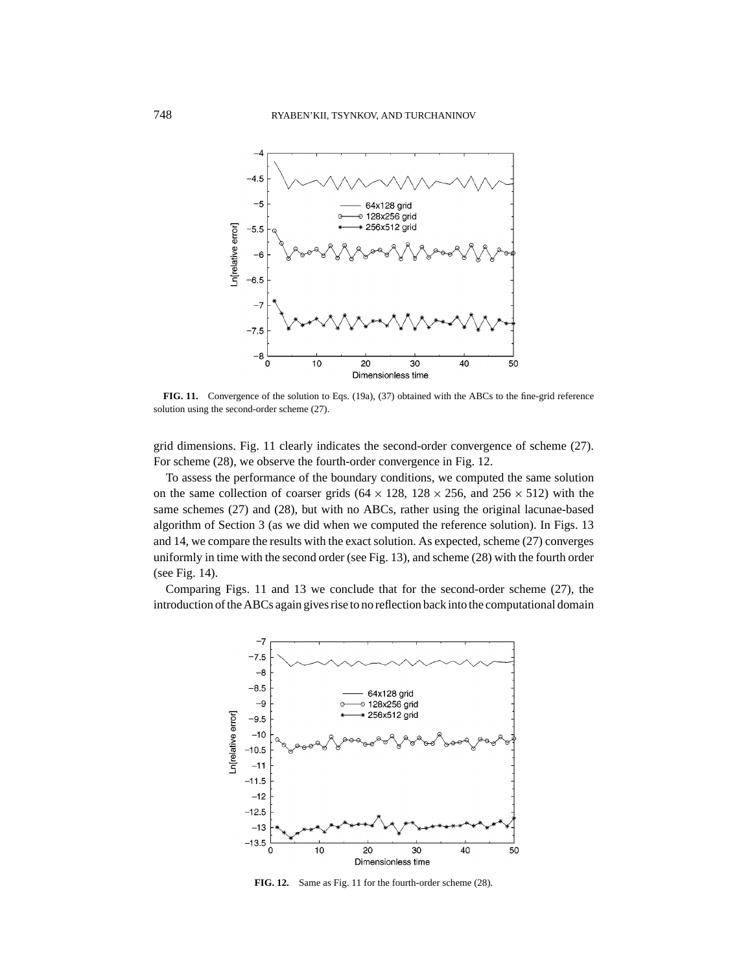

**FIG. 11.** Convergence of the solution to Eqs. (19a), (37) obtained with the ABCs to the fine-grid reference solution using the second-order scheme (27).

grid dimensions. Fig. 11 clearly indicates the second-order convergence of scheme (27). For scheme (28), we observe the fourth-order convergence in Fig. 12.

To assess the performance of the boundary conditions, we computed the same solution on the same collection of coarser grids  $(64 \times 128, 128 \times 256, \text{ and } 256 \times 512)$  with the same schemes (27) and (28), but with no ABCs, rather using the original lacunae-based algorithm of Section 3 (as we did when we computed the reference solution). In Figs. 13 and 14, we compare the results with the exact solution. As expected, scheme (27) converges uniformly in time with the second order (see Fig. 13), and scheme (28) with the fourth order (see Fig. 14).

Comparing Figs. 11 and 13 we conclude that for the second-order scheme (27), the introduction of the ABCs again gives rise to no reflection back into the computational domain



**FIG. 12.** Same as Fig. 11 for the fourth-order scheme (28).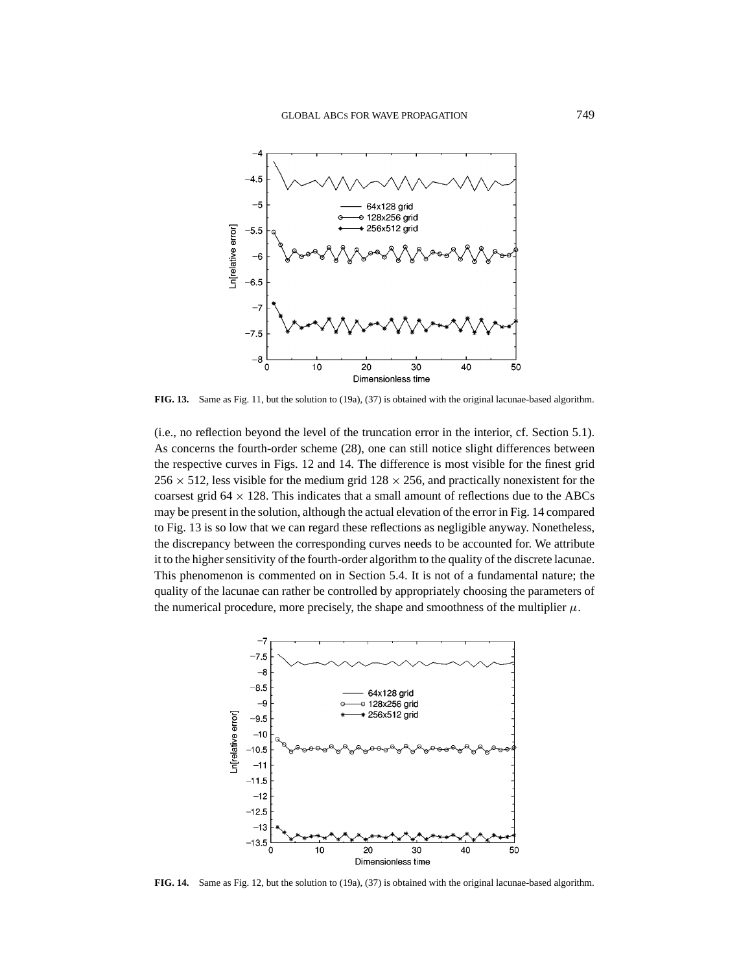

**FIG. 13.** Same as Fig. 11, but the solution to (19a), (37) is obtained with the original lacunae-based algorithm.

(i.e., no reflection beyond the level of the truncation error in the interior, cf. Section 5.1). As concerns the fourth-order scheme (28), one can still notice slight differences between the respective curves in Figs. 12 and 14. The difference is most visible for the finest grid  $256 \times 512$ , less visible for the medium grid  $128 \times 256$ , and practically nonexistent for the coarsest grid  $64 \times 128$ . This indicates that a small amount of reflections due to the ABCs may be present in the solution, although the actual elevation of the error in Fig. 14 compared to Fig. 13 is so low that we can regard these reflections as negligible anyway. Nonetheless, the discrepancy between the corresponding curves needs to be accounted for. We attribute it to the higher sensitivity of the fourth-order algorithm to the quality of the discrete lacunae. This phenomenon is commented on in Section 5.4. It is not of a fundamental nature; the quality of the lacunae can rather be controlled by appropriately choosing the parameters of the numerical procedure, more precisely, the shape and smoothness of the multiplier  $\mu$ .



**FIG. 14.** Same as Fig. 12, but the solution to (19a), (37) is obtained with the original lacunae-based algorithm.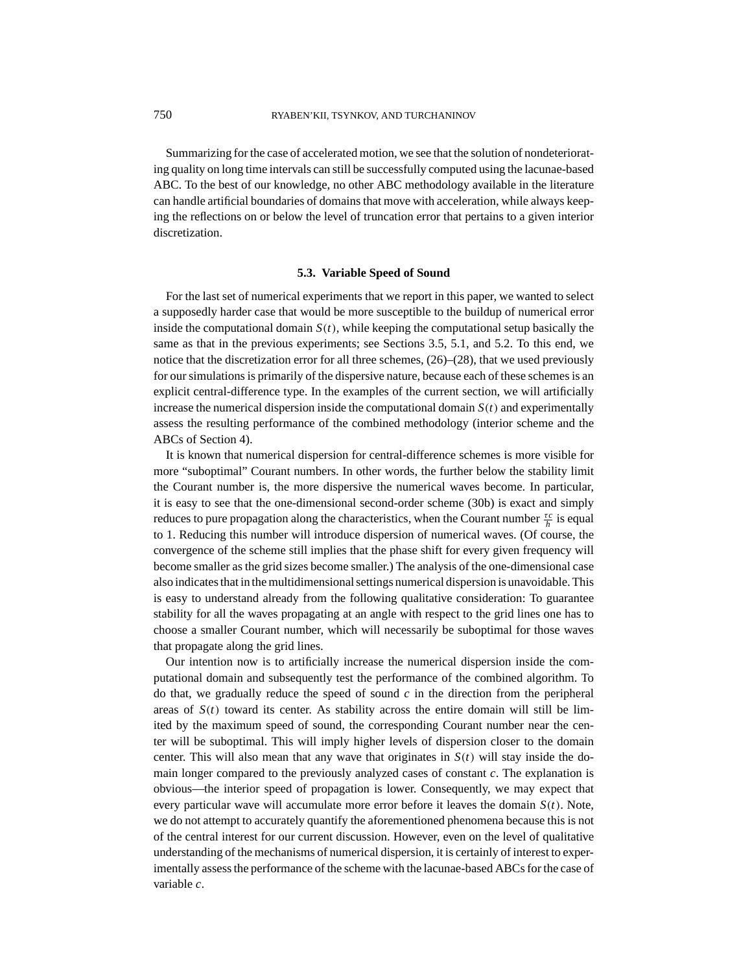Summarizing for the case of accelerated motion, we see that the solution of nondeteriorating quality on long time intervals can still be successfully computed using the lacunae-based ABC. To the best of our knowledge, no other ABC methodology available in the literature can handle artificial boundaries of domains that move with acceleration, while always keeping the reflections on or below the level of truncation error that pertains to a given interior discretization.

## **5.3. Variable Speed of Sound**

For the last set of numerical experiments that we report in this paper, we wanted to select a supposedly harder case that would be more susceptible to the buildup of numerical error inside the computational domain  $S(t)$ , while keeping the computational setup basically the same as that in the previous experiments; see Sections 3.5, 5.1, and 5.2. To this end, we notice that the discretization error for all three schemes,  $(26)$ – $(28)$ , that we used previously for our simulations is primarily of the dispersive nature, because each of these schemes is an explicit central-difference type. In the examples of the current section, we will artificially increase the numerical dispersion inside the computational domain  $S(t)$  and experimentally assess the resulting performance of the combined methodology (interior scheme and the ABCs of Section 4).

It is known that numerical dispersion for central-difference schemes is more visible for more "suboptimal" Courant numbers. In other words, the further below the stability limit the Courant number is, the more dispersive the numerical waves become. In particular, it is easy to see that the one-dimensional second-order scheme (30b) is exact and simply reduces to pure propagation along the characteristics, when the Courant number  $\frac{\tau_c}{h}$  is equal to 1. Reducing this number will introduce dispersion of numerical waves. (Of course, the convergence of the scheme still implies that the phase shift for every given frequency will become smaller as the grid sizes become smaller.) The analysis of the one-dimensional case also indicates that in the multidimensional settings numerical dispersion is unavoidable. This is easy to understand already from the following qualitative consideration: To guarantee stability for all the waves propagating at an angle with respect to the grid lines one has to choose a smaller Courant number, which will necessarily be suboptimal for those waves that propagate along the grid lines.

Our intention now is to artificially increase the numerical dispersion inside the computational domain and subsequently test the performance of the combined algorithm. To do that, we gradually reduce the speed of sound  $c$  in the direction from the peripheral areas of  $S(t)$  toward its center. As stability across the entire domain will still be limited by the maximum speed of sound, the corresponding Courant number near the center will be suboptimal. This will imply higher levels of dispersion closer to the domain center. This will also mean that any wave that originates in  $S(t)$  will stay inside the domain longer compared to the previously analyzed cases of constant *c*. The explanation is obvious—the interior speed of propagation is lower. Consequently, we may expect that every particular wave will accumulate more error before it leaves the domain *S*(*t*). Note, we do not attempt to accurately quantify the aforementioned phenomena because this is not of the central interest for our current discussion. However, even on the level of qualitative understanding of the mechanisms of numerical dispersion, it is certainly of interest to experimentally assess the performance of the scheme with the lacunae-based ABCs for the case of variable *c*.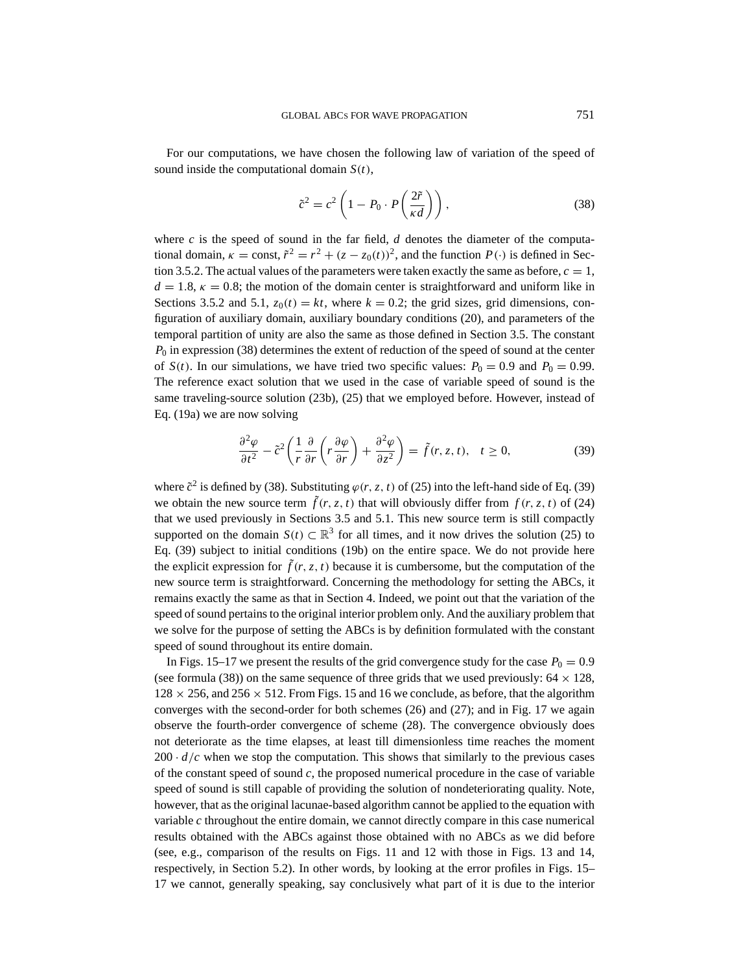For our computations, we have chosen the following law of variation of the speed of sound inside the computational domain *S*(*t*),

$$
\tilde{c}^2 = c^2 \left( 1 - P_0 \cdot P \left( \frac{2\tilde{r}}{\kappa d} \right) \right),\tag{38}
$$

where  $c$  is the speed of sound in the far field,  $d$  denotes the diameter of the computational domain,  $\kappa = \text{const}, \tilde{r}^2 = r^2 + (z - z_0(t))^2$ , and the function  $P(\cdot)$  is defined in Section 3.5.2. The actual values of the parameters were taken exactly the same as before,  $c = 1$ ,  $d = 1.8, \kappa = 0.8$ ; the motion of the domain center is straightforward and uniform like in Sections 3.5.2 and 5.1,  $z_0(t) = kt$ , where  $k = 0.2$ ; the grid sizes, grid dimensions, configuration of auxiliary domain, auxiliary boundary conditions (20), and parameters of the temporal partition of unity are also the same as those defined in Section 3.5. The constant  $P_0$  in expression (38) determines the extent of reduction of the speed of sound at the center of *S*(*t*). In our simulations, we have tried two specific values:  $P_0 = 0.9$  and  $P_0 = 0.99$ . The reference exact solution that we used in the case of variable speed of sound is the same traveling-source solution (23b), (25) that we employed before. However, instead of Eq. (19a) we are now solving

$$
\frac{\partial^2 \varphi}{\partial t^2} - \tilde{c}^2 \left( \frac{1}{r} \frac{\partial}{\partial r} \left( r \frac{\partial \varphi}{\partial r} \right) + \frac{\partial^2 \varphi}{\partial z^2} \right) = \tilde{f}(r, z, t), \quad t \ge 0,
$$
\n(39)

where  $\tilde{c}^2$  is defined by (38). Substituting  $\varphi(r, z, t)$  of (25) into the left-hand side of Eq. (39) we obtain the new source term  $\tilde{f}(r, z, t)$  that will obviously differ from  $f(r, z, t)$  of (24) that we used previously in Sections 3.5 and 5.1. This new source term is still compactly supported on the domain *S*(*t*)  $\subset \mathbb{R}^3$  for all times, and it now drives the solution (25) to Eq. (39) subject to initial conditions (19b) on the entire space. We do not provide here the explicit expression for  $\tilde{f}(r, z, t)$  because it is cumbersome, but the computation of the new source term is straightforward. Concerning the methodology for setting the ABCs, it remains exactly the same as that in Section 4. Indeed, we point out that the variation of the speed of sound pertains to the original interior problem only. And the auxiliary problem that we solve for the purpose of setting the ABCs is by definition formulated with the constant speed of sound throughout its entire domain.

In Figs. 15–17 we present the results of the grid convergence study for the case  $P_0 = 0.9$ (see formula (38)) on the same sequence of three grids that we used previously:  $64 \times 128$ ,  $128 \times 256$ , and  $256 \times 512$ . From Figs. 15 and 16 we conclude, as before, that the algorithm converges with the second-order for both schemes (26) and (27); and in Fig. 17 we again observe the fourth-order convergence of scheme (28). The convergence obviously does not deteriorate as the time elapses, at least till dimensionless time reaches the moment  $200 \cdot d/c$  when we stop the computation. This shows that similarly to the previous cases of the constant speed of sound *c*, the proposed numerical procedure in the case of variable speed of sound is still capable of providing the solution of nondeteriorating quality. Note, however, that as the original lacunae-based algorithm cannot be applied to the equation with variable *c* throughout the entire domain, we cannot directly compare in this case numerical results obtained with the ABCs against those obtained with no ABCs as we did before (see, e.g., comparison of the results on Figs. 11 and 12 with those in Figs. 13 and 14, respectively, in Section 5.2). In other words, by looking at the error profiles in Figs. 15– 17 we cannot, generally speaking, say conclusively what part of it is due to the interior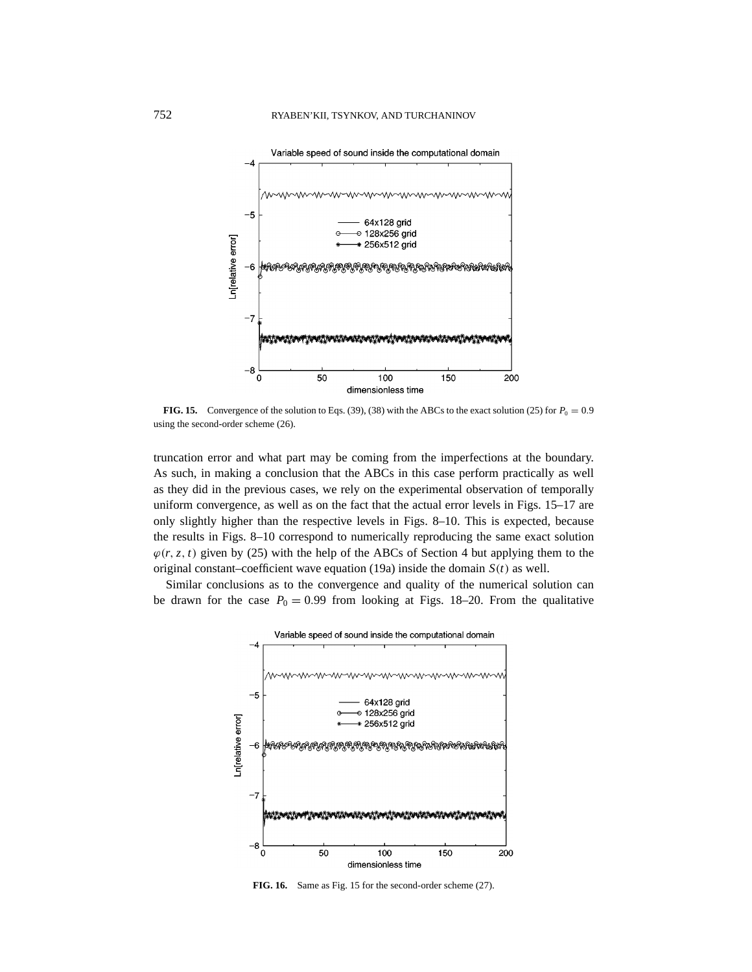

**FIG. 15.** Convergence of the solution to Eqs. (39), (38) with the ABCs to the exact solution (25) for  $P_0 = 0.9$ using the second-order scheme (26).

truncation error and what part may be coming from the imperfections at the boundary. As such, in making a conclusion that the ABCs in this case perform practically as well as they did in the previous cases, we rely on the experimental observation of temporally uniform convergence, as well as on the fact that the actual error levels in Figs. 15–17 are only slightly higher than the respective levels in Figs. 8–10. This is expected, because the results in Figs. 8–10 correspond to numerically reproducing the same exact solution  $\varphi(r, z, t)$  given by (25) with the help of the ABCs of Section 4 but applying them to the original constant–coefficient wave equation (19a) inside the domain *S*(*t*) as well.

Similar conclusions as to the convergence and quality of the numerical solution can be drawn for the case  $P_0 = 0.99$  from looking at Figs. 18–20. From the qualitative



**FIG. 16.** Same as Fig. 15 for the second-order scheme (27).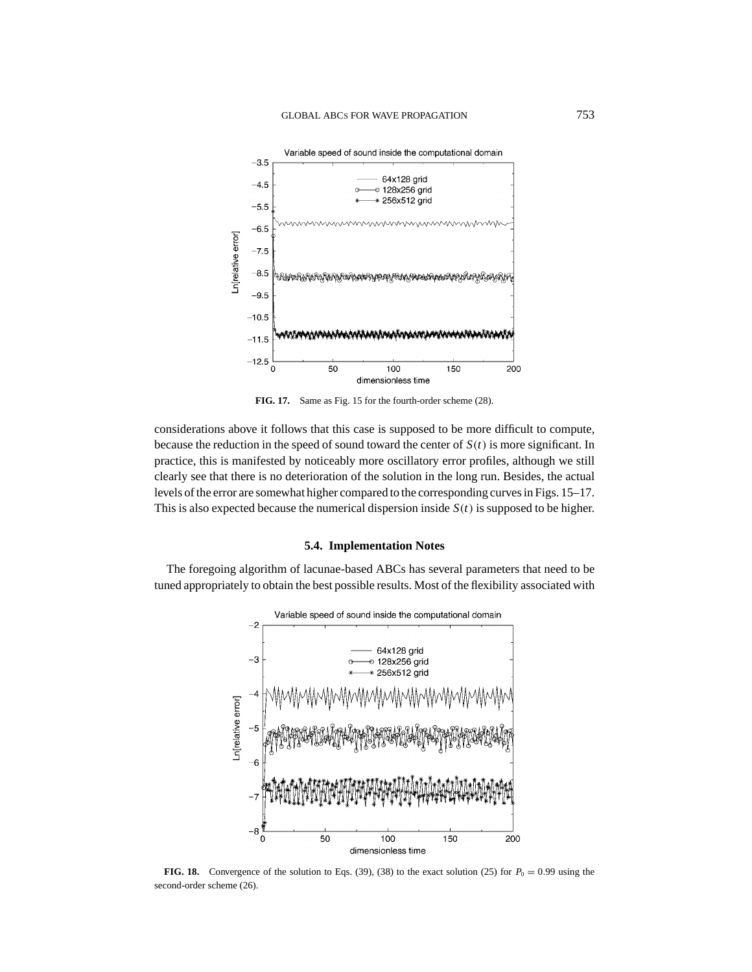

**FIG. 17.** Same as Fig. 15 for the fourth-order scheme (28).

considerations above it follows that this case is supposed to be more difficult to compute, because the reduction in the speed of sound toward the center of *S*(*t*) is more significant. In practice, this is manifested by noticeably more oscillatory error profiles, although we still clearly see that there is no deterioration of the solution in the long run. Besides, the actual levels of the error are somewhat higher compared to the corresponding curves in Figs. 15–17. This is also expected because the numerical dispersion inside  $S(t)$  is supposed to be higher.

# **5.4. Implementation Notes**

The foregoing algorithm of lacunae-based ABCs has several parameters that need to be tuned appropriately to obtain the best possible results. Most of the flexibility associated with



**FIG. 18.** Convergence of the solution to Eqs. (39), (38) to the exact solution (25) for  $P_0 = 0.99$  using the second-order scheme (26).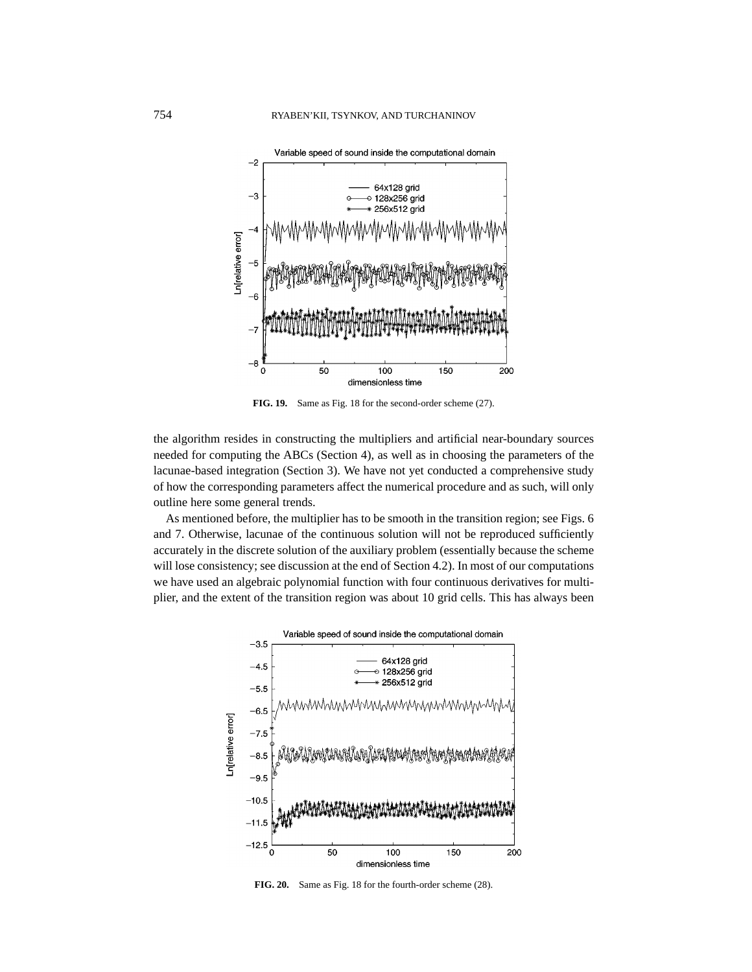

**FIG. 19.** Same as Fig. 18 for the second-order scheme (27).

the algorithm resides in constructing the multipliers and artificial near-boundary sources needed for computing the ABCs (Section 4), as well as in choosing the parameters of the lacunae-based integration (Section 3). We have not yet conducted a comprehensive study of how the corresponding parameters affect the numerical procedure and as such, will only outline here some general trends.

As mentioned before, the multiplier has to be smooth in the transition region; see Figs. 6 and 7. Otherwise, lacunae of the continuous solution will not be reproduced sufficiently accurately in the discrete solution of the auxiliary problem (essentially because the scheme will lose consistency; see discussion at the end of Section 4.2). In most of our computations we have used an algebraic polynomial function with four continuous derivatives for multiplier, and the extent of the transition region was about 10 grid cells. This has always been



**FIG. 20.** Same as Fig. 18 for the fourth-order scheme (28).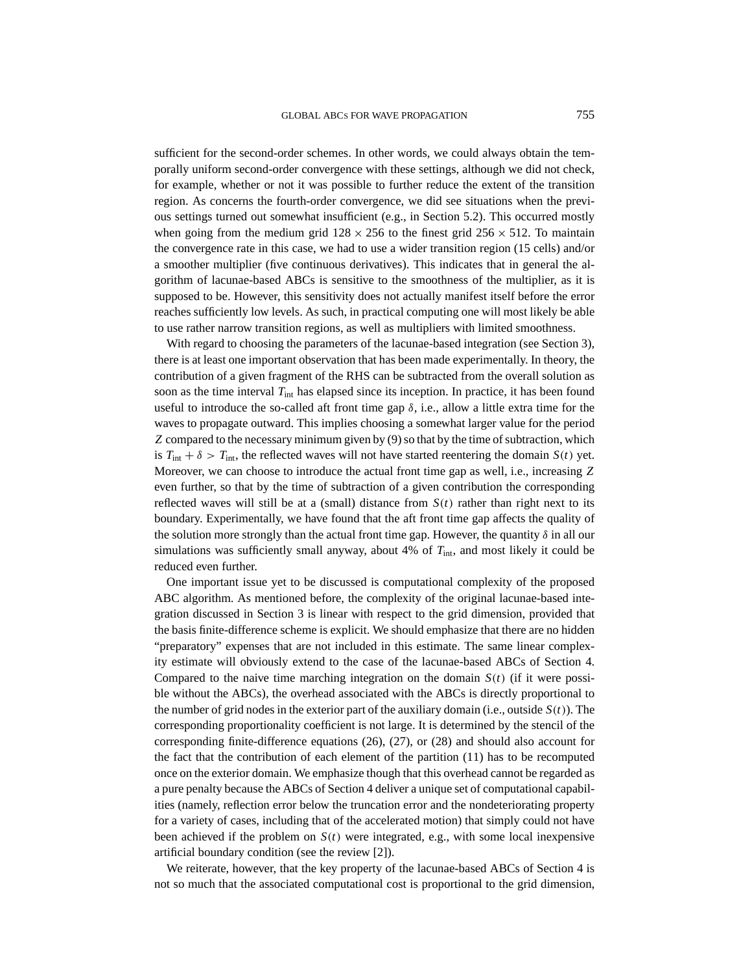sufficient for the second-order schemes. In other words, we could always obtain the temporally uniform second-order convergence with these settings, although we did not check, for example, whether or not it was possible to further reduce the extent of the transition region. As concerns the fourth-order convergence, we did see situations when the previous settings turned out somewhat insufficient (e.g., in Section 5.2). This occurred mostly when going from the medium grid  $128 \times 256$  to the finest grid  $256 \times 512$ . To maintain the convergence rate in this case, we had to use a wider transition region (15 cells) and/or a smoother multiplier (five continuous derivatives). This indicates that in general the algorithm of lacunae-based ABCs is sensitive to the smoothness of the multiplier, as it is supposed to be. However, this sensitivity does not actually manifest itself before the error reaches sufficiently low levels. As such, in practical computing one will most likely be able to use rather narrow transition regions, as well as multipliers with limited smoothness.

With regard to choosing the parameters of the lacunae-based integration (see Section 3), there is at least one important observation that has been made experimentally. In theory, the contribution of a given fragment of the RHS can be subtracted from the overall solution as soon as the time interval  $T_{\text{int}}$  has elapsed since its inception. In practice, it has been found useful to introduce the so-called aft front time gap  $\delta$ , i.e., allow a little extra time for the waves to propagate outward. This implies choosing a somewhat larger value for the period *Z* compared to the necessary minimum given by (9) so that by the time of subtraction, which is  $T_{\text{int}} + \delta > T_{\text{int}}$ , the reflected waves will not have started reentering the domain  $S(t)$  yet. Moreover, we can choose to introduce the actual front time gap as well, i.e., increasing *Z* even further, so that by the time of subtraction of a given contribution the corresponding reflected waves will still be at a (small) distance from  $S(t)$  rather than right next to its boundary. Experimentally, we have found that the aft front time gap affects the quality of the solution more strongly than the actual front time gap. However, the quantity  $\delta$  in all our simulations was sufficiently small anyway, about 4% of  $T_{\text{int}}$ , and most likely it could be reduced even further.

One important issue yet to be discussed is computational complexity of the proposed ABC algorithm. As mentioned before, the complexity of the original lacunae-based integration discussed in Section 3 is linear with respect to the grid dimension, provided that the basis finite-difference scheme is explicit. We should emphasize that there are no hidden "preparatory" expenses that are not included in this estimate. The same linear complexity estimate will obviously extend to the case of the lacunae-based ABCs of Section 4. Compared to the naive time marching integration on the domain  $S(t)$  (if it were possible without the ABCs), the overhead associated with the ABCs is directly proportional to the number of grid nodes in the exterior part of the auxiliary domain (i.e., outside  $S(t)$ ). The corresponding proportionality coefficient is not large. It is determined by the stencil of the corresponding finite-difference equations (26), (27), or (28) and should also account for the fact that the contribution of each element of the partition (11) has to be recomputed once on the exterior domain. We emphasize though that this overhead cannot be regarded as a pure penalty because the ABCs of Section 4 deliver a unique set of computational capabilities (namely, reflection error below the truncation error and the nondeteriorating property for a variety of cases, including that of the accelerated motion) that simply could not have been achieved if the problem on  $S(t)$  were integrated, e.g., with some local inexpensive artificial boundary condition (see the review [2]).

We reiterate, however, that the key property of the lacunae-based ABCs of Section 4 is not so much that the associated computational cost is proportional to the grid dimension,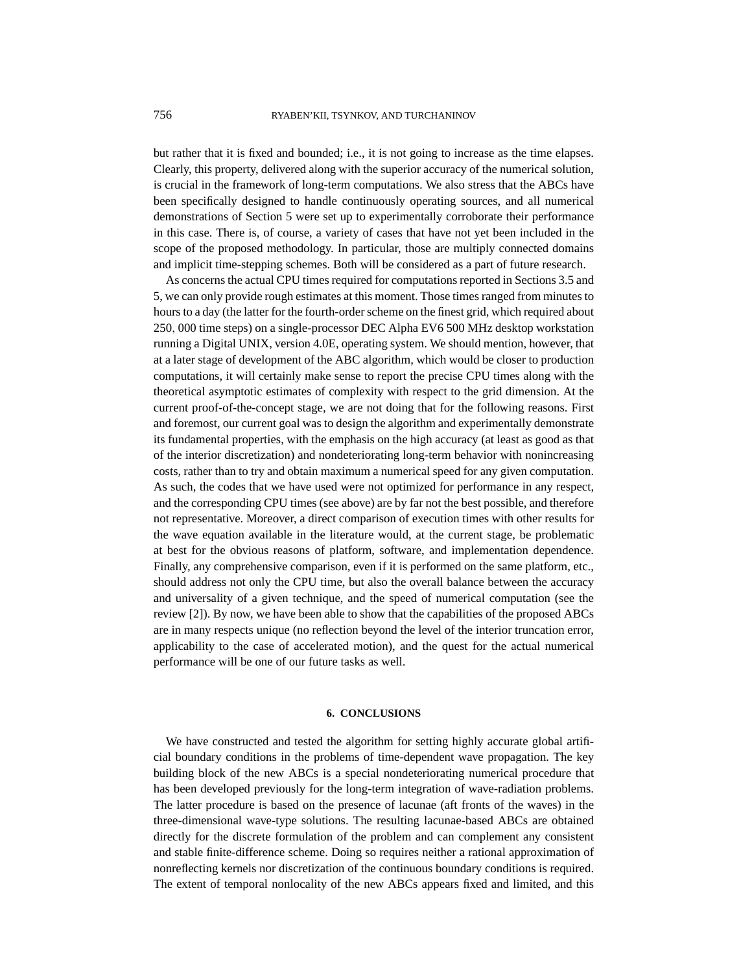but rather that it is fixed and bounded; i.e., it is not going to increase as the time elapses. Clearly, this property, delivered along with the superior accuracy of the numerical solution, is crucial in the framework of long-term computations. We also stress that the ABCs have been specifically designed to handle continuously operating sources, and all numerical demonstrations of Section 5 were set up to experimentally corroborate their performance in this case. There is, of course, a variety of cases that have not yet been included in the scope of the proposed methodology. In particular, those are multiply connected domains and implicit time-stepping schemes. Both will be considered as a part of future research.

As concerns the actual CPU times required for computations reported in Sections 3.5 and 5, we can only provide rough estimates at this moment. Those times ranged from minutes to hours to a day (the latter for the fourth-order scheme on the finest grid, which required about 250, 000 time steps) on a single-processor DEC Alpha EV6 500 MHz desktop workstation running a Digital UNIX, version 4.0E, operating system. We should mention, however, that at a later stage of development of the ABC algorithm, which would be closer to production computations, it will certainly make sense to report the precise CPU times along with the theoretical asymptotic estimates of complexity with respect to the grid dimension. At the current proof-of-the-concept stage, we are not doing that for the following reasons. First and foremost, our current goal was to design the algorithm and experimentally demonstrate its fundamental properties, with the emphasis on the high accuracy (at least as good as that of the interior discretization) and nondeteriorating long-term behavior with nonincreasing costs, rather than to try and obtain maximum a numerical speed for any given computation. As such, the codes that we have used were not optimized for performance in any respect, and the corresponding CPU times (see above) are by far not the best possible, and therefore not representative. Moreover, a direct comparison of execution times with other results for the wave equation available in the literature would, at the current stage, be problematic at best for the obvious reasons of platform, software, and implementation dependence. Finally, any comprehensive comparison, even if it is performed on the same platform, etc., should address not only the CPU time, but also the overall balance between the accuracy and universality of a given technique, and the speed of numerical computation (see the review [2]). By now, we have been able to show that the capabilities of the proposed ABCs are in many respects unique (no reflection beyond the level of the interior truncation error, applicability to the case of accelerated motion), and the quest for the actual numerical performance will be one of our future tasks as well.

# **6. CONCLUSIONS**

We have constructed and tested the algorithm for setting highly accurate global artificial boundary conditions in the problems of time-dependent wave propagation. The key building block of the new ABCs is a special nondeteriorating numerical procedure that has been developed previously for the long-term integration of wave-radiation problems. The latter procedure is based on the presence of lacunae (aft fronts of the waves) in the three-dimensional wave-type solutions. The resulting lacunae-based ABCs are obtained directly for the discrete formulation of the problem and can complement any consistent and stable finite-difference scheme. Doing so requires neither a rational approximation of nonreflecting kernels nor discretization of the continuous boundary conditions is required. The extent of temporal nonlocality of the new ABCs appears fixed and limited, and this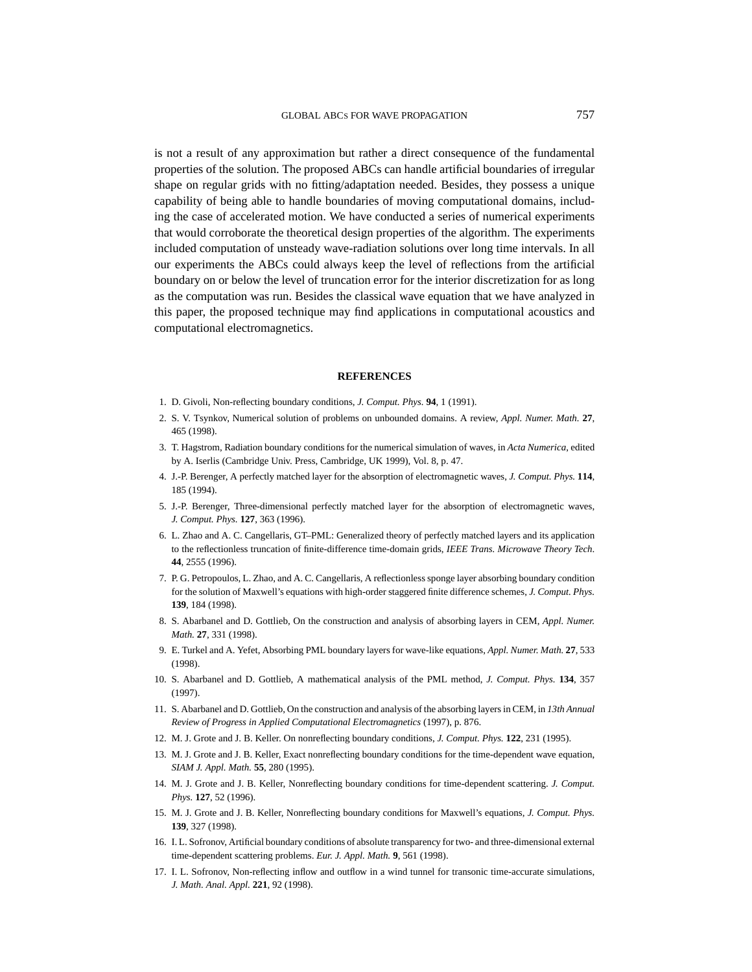is not a result of any approximation but rather a direct consequence of the fundamental properties of the solution. The proposed ABCs can handle artificial boundaries of irregular shape on regular grids with no fitting/adaptation needed. Besides, they possess a unique capability of being able to handle boundaries of moving computational domains, including the case of accelerated motion. We have conducted a series of numerical experiments that would corroborate the theoretical design properties of the algorithm. The experiments included computation of unsteady wave-radiation solutions over long time intervals. In all our experiments the ABCs could always keep the level of reflections from the artificial boundary on or below the level of truncation error for the interior discretization for as long as the computation was run. Besides the classical wave equation that we have analyzed in this paper, the proposed technique may find applications in computational acoustics and computational electromagnetics.

## **REFERENCES**

- 1. D. Givoli, Non-reflecting boundary conditions, *J. Comput. Phys.* **94**, 1 (1991).
- 2. S. V. Tsynkov, Numerical solution of problems on unbounded domains. A review, *Appl. Numer. Math.* **27**, 465 (1998).
- 3. T. Hagstrom, Radiation boundary conditions for the numerical simulation of waves, in *Acta Numerica*, edited by A. Iserlis (Cambridge Univ. Press, Cambridge, UK 1999), Vol. 8, p. 47.
- 4. J.-P. Berenger, A perfectly matched layer for the absorption of electromagnetic waves, *J. Comput. Phys.* **114**, 185 (1994).
- 5. J.-P. Berenger, Three-dimensional perfectly matched layer for the absorption of electromagnetic waves, *J. Comput. Phys.* **127**, 363 (1996).
- 6. L. Zhao and A. C. Cangellaris, GT–PML: Generalized theory of perfectly matched layers and its application to the reflectionless truncation of finite-difference time-domain grids, *IEEE Trans. Microwave Theory Tech*. **44**, 2555 (1996).
- 7. P. G. Petropoulos, L. Zhao, and A. C. Cangellaris, A reflectionless sponge layer absorbing boundary condition for the solution of Maxwell's equations with high-order staggered finite difference schemes, *J. Comput. Phys.* **139**, 184 (1998).
- 8. S. Abarbanel and D. Gottlieb, On the construction and analysis of absorbing layers in CEM, *Appl. Numer. Math.* **27**, 331 (1998).
- 9. E. Turkel and A. Yefet, Absorbing PML boundary layers for wave-like equations, *Appl. Numer. Math.* **27**, 533 (1998).
- 10. S. Abarbanel and D. Gottlieb, A mathematical analysis of the PML method, *J. Comput. Phys.* **134**, 357 (1997).
- 11. S. Abarbanel and D. Gottlieb, On the construction and analysis of the absorbing layers in CEM, in *13th Annual Review of Progress in Applied Computational Electromagnetics* (1997), p. 876.
- 12. M. J. Grote and J. B. Keller. On nonreflecting boundary conditions, *J. Comput. Phys.* **122**, 231 (1995).
- 13. M. J. Grote and J. B. Keller, Exact nonreflecting boundary conditions for the time-dependent wave equation, *SIAM J. Appl. Math.* **55**, 280 (1995).
- 14. M. J. Grote and J. B. Keller, Nonreflecting boundary conditions for time-dependent scattering. *J. Comput. Phys.* **127**, 52 (1996).
- 15. M. J. Grote and J. B. Keller, Nonreflecting boundary conditions for Maxwell's equations, *J. Comput. Phys.* **139**, 327 (1998).
- 16. I. L. Sofronov, Artificial boundary conditions of absolute transparency for two- and three-dimensional external time-dependent scattering problems. *Eur. J. Appl. Math.* **9**, 561 (1998).
- 17. I. L. Sofronov, Non-reflecting inflow and outflow in a wind tunnel for transonic time-accurate simulations, *J. Math. Anal. Appl.* **221**, 92 (1998).